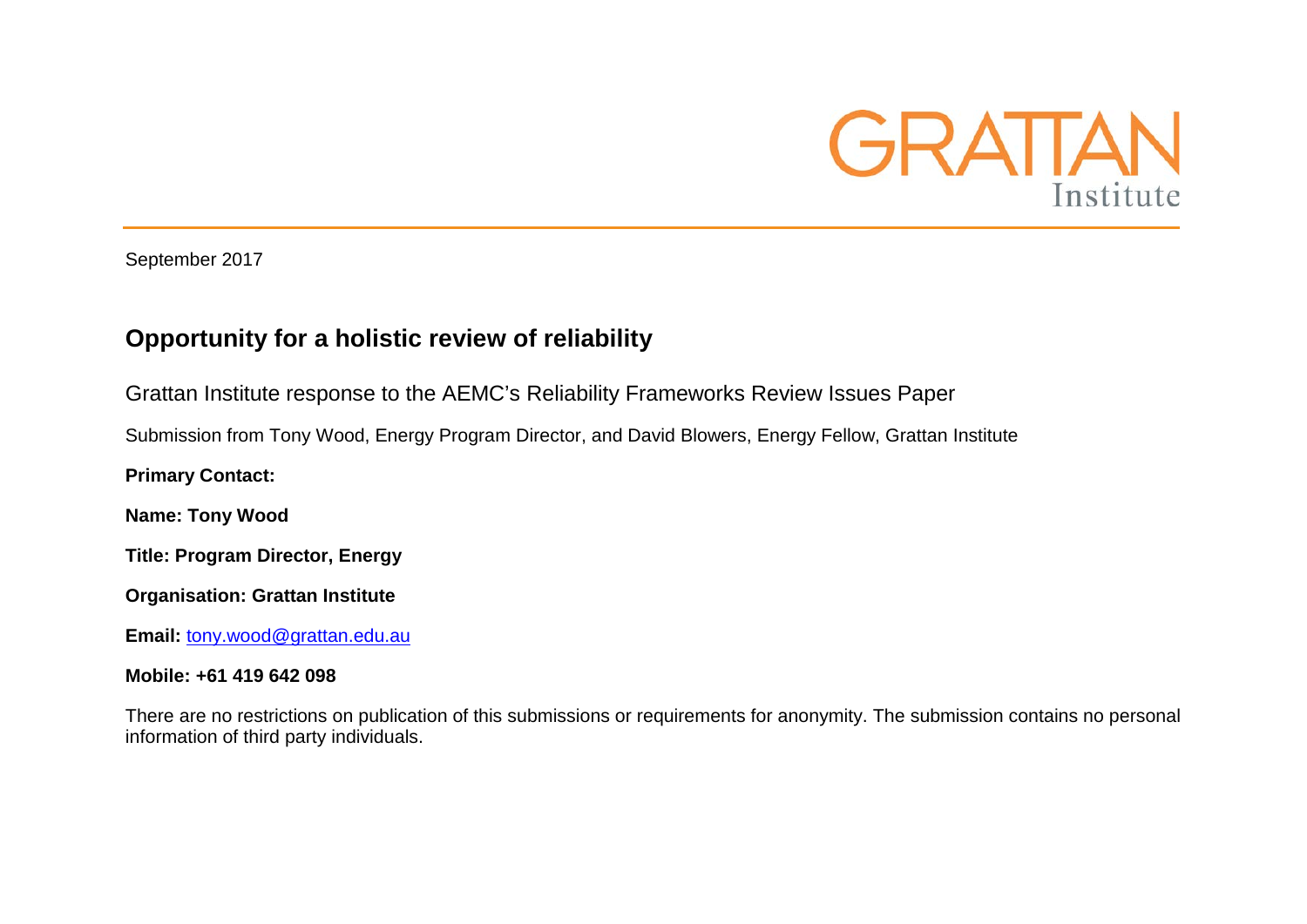

September 2017

## **Opportunity for a holistic review of reliability**

Grattan Institute response to the AEMC's Reliability Frameworks Review Issues Paper

Submission from Tony Wood, Energy Program Director, and David Blowers, Energy Fellow, Grattan Institute

**Primary Contact:**

**Name: Tony Wood**

**Title: Program Director, Energy**

**Organisation: Grattan Institute**

**Email:** [tony.wood@grattan.edu.au](mailto:tony.wood@grattan.edu.au)

#### **Mobile: +61 419 642 098**

There are no restrictions on publication of this submissions or requirements for anonymity. The submission contains no personal information of third party individuals.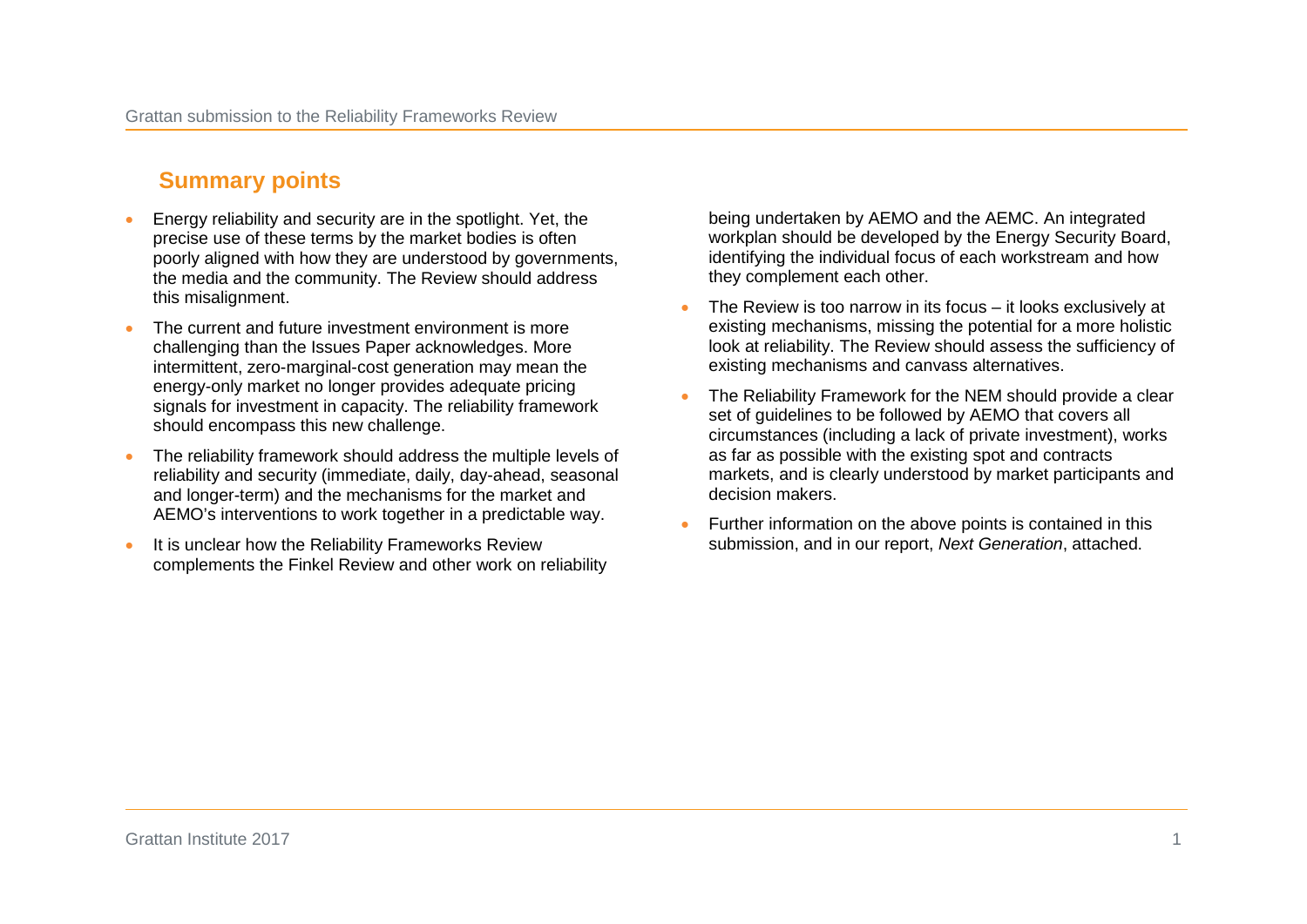## **Summary points**

- Energy reliability and security are in the spotlight. Yet, the precise use of these terms by the market bodies is often poorly aligned with how they are understood by governments, the media and the community. The Review should address this misalignment.
- The current and future investment environment is more challenging than the Issues Paper acknowledges. More intermittent, zero-marginal-cost generation may mean the energy-only market no longer provides adequate pricing signals for investment in capacity. The reliability framework should encompass this new challenge.
- The reliability framework should address the multiple levels of reliability and security (immediate, daily, day-ahead, seasonal and longer-term) and the mechanisms for the market and AEMO's interventions to work together in a predictable way.
- It is unclear how the Reliability Frameworks Review complements the Finkel Review and other work on reliability

being undertaken by AEMO and the AEMC. An integrated workplan should be developed by the Energy Security Board, identifying the individual focus of each workstream and how they complement each other.

- The Review is too narrow in its focus it looks exclusively at existing mechanisms, missing the potential for a more holistic look at reliability. The Review should assess the sufficiency of existing mechanisms and canvass alternatives.
- The Reliability Framework for the NEM should provide a clear set of guidelines to be followed by AEMO that covers all circumstances (including a lack of private investment), works as far as possible with the existing spot and contracts markets, and is clearly understood by market participants and decision makers.
- Further information on the above points is contained in this submission, and in our report, *Next Generation*, attached.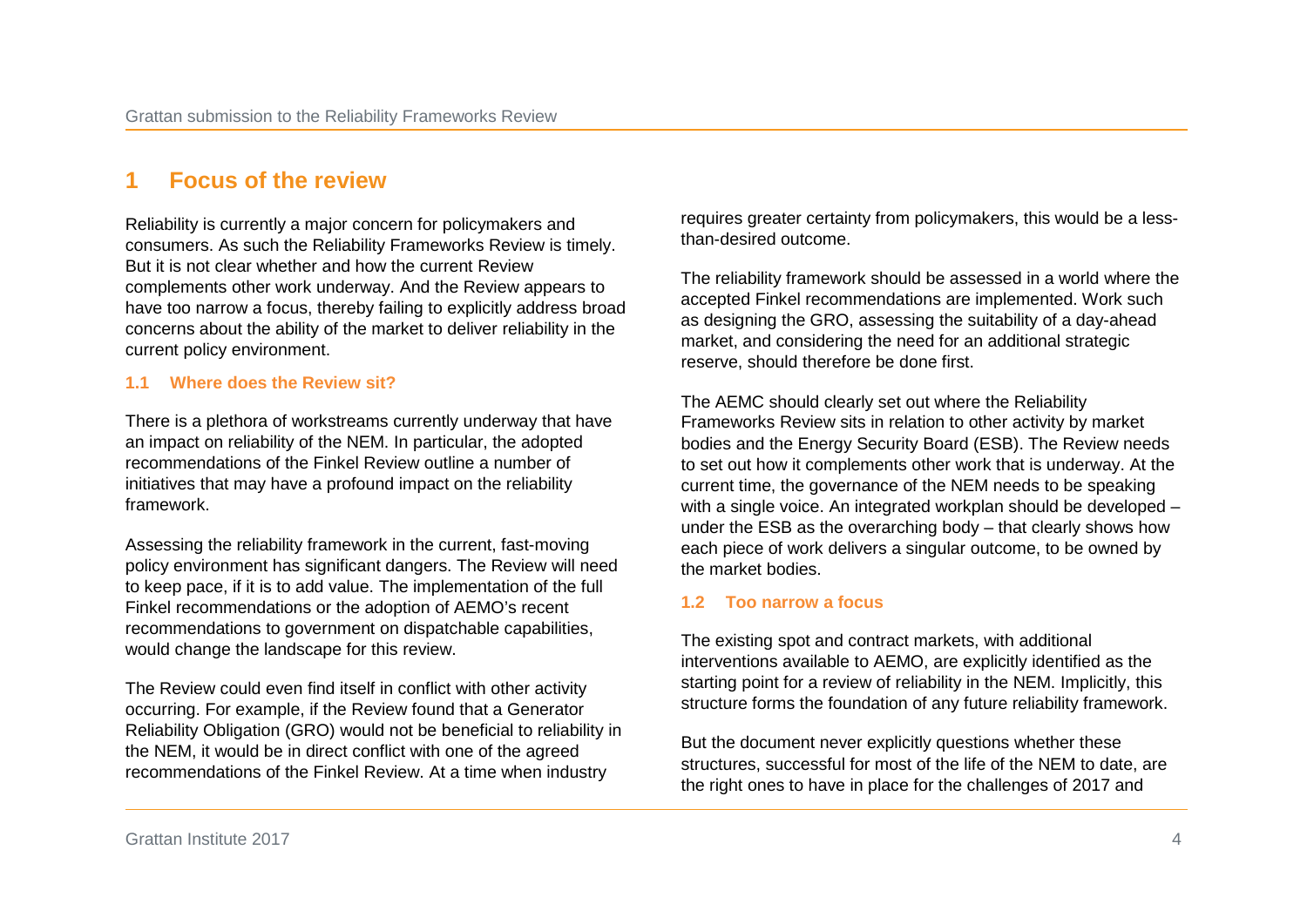## **1 Focus of the review**

Reliability is currently a major concern for policymakers and consumers. As such the Reliability Frameworks Review is timely. But it is not clear whether and how the current Review complements other work underway. And the Review appears to have too narrow a focus, thereby failing to explicitly address broad concerns about the ability of the market to deliver reliability in the current policy environment.

#### **1.1 Where does the Review sit?**

There is a plethora of workstreams currently underway that have an impact on reliability of the NEM. In particular, the adopted recommendations of the Finkel Review outline a number of initiatives that may have a profound impact on the reliability framework.

Assessing the reliability framework in the current, fast-moving policy environment has significant dangers. The Review will need to keep pace, if it is to add value. The implementation of the full Finkel recommendations or the adoption of AEMO's recent recommendations to government on dispatchable capabilities, would change the landscape for this review.

The Review could even find itself in conflict with other activity occurring. For example, if the Review found that a Generator Reliability Obligation (GRO) would not be beneficial to reliability in the NEM, it would be in direct conflict with one of the agreed recommendations of the Finkel Review. At a time when industry

requires greater certainty from policymakers, this would be a lessthan-desired outcome.

The reliability framework should be assessed in a world where the accepted Finkel recommendations are implemented. Work such as designing the GRO, assessing the suitability of a day-ahead market, and considering the need for an additional strategic reserve, should therefore be done first.

The AEMC should clearly set out where the Reliability Frameworks Review sits in relation to other activity by market bodies and the Energy Security Board (ESB). The Review needs to set out how it complements other work that is underway. At the current time, the governance of the NEM needs to be speaking with a single voice. An integrated workplan should be developed – under the ESB as the overarching body – that clearly shows how each piece of work delivers a singular outcome, to be owned by the market bodies.

#### **1.2 Too narrow a focus**

The existing spot and contract markets, with additional interventions available to AEMO, are explicitly identified as the starting point for a review of reliability in the NEM. Implicitly, this structure forms the foundation of any future reliability framework.

But the document never explicitly questions whether these structures, successful for most of the life of the NEM to date, are the right ones to have in place for the challenges of 2017 and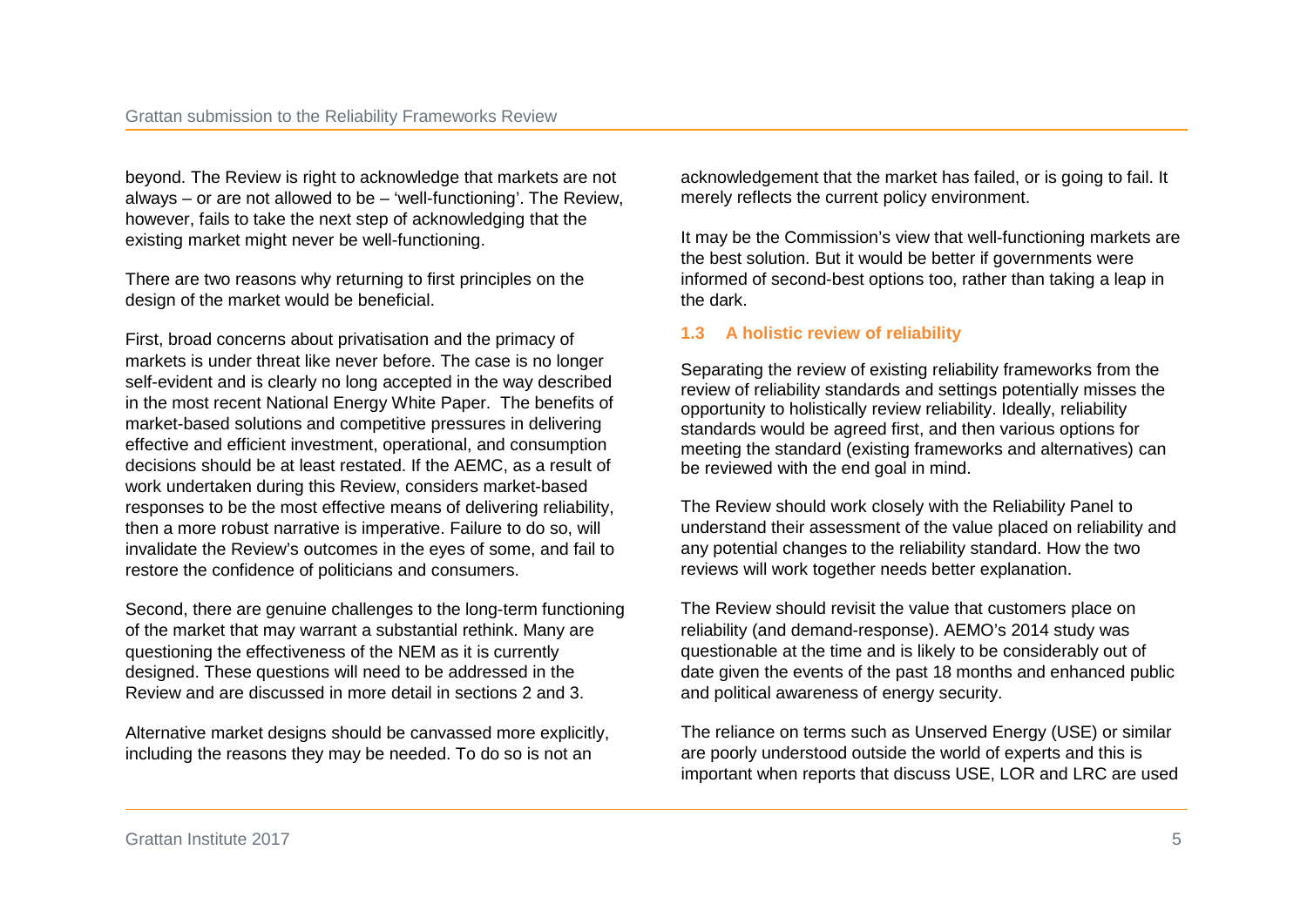beyond. The Review is right to acknowledge that markets are not always – or are not allowed to be – 'well-functioning'. The Review, however, fails to take the next step of acknowledging that the existing market might never be well-functioning.

There are two reasons why returning to first principles on the design of the market would be beneficial.

First, broad concerns about privatisation and the primacy of markets is under threat like never before. The case is no longer self-evident and is clearly no long accepted in the way described in the most recent National Energy White Paper. The benefits of market-based solutions and competitive pressures in delivering effective and efficient investment, operational, and consumption decisions should be at least restated. If the AEMC, as a result of work undertaken during this Review, considers market-based responses to be the most effective means of delivering reliability, then a more robust narrative is imperative. Failure to do so, will invalidate the Review's outcomes in the eyes of some, and fail to restore the confidence of politicians and consumers.

Second, there are genuine challenges to the long-term functioning of the market that may warrant a substantial rethink. Many are questioning the effectiveness of the NEM as it is currently designed. These questions will need to be addressed in the Review and are discussed in more detail in sections 2 and 3.

Alternative market designs should be canvassed more explicitly, including the reasons they may be needed. To do so is not an

acknowledgement that the market has failed, or is going to fail. It merely reflects the current policy environment.

It may be the Commission's view that well-functioning markets are the best solution. But it would be better if governments were informed of second-best options too, rather than taking a leap in the dark.

#### **1.3 A holistic review of reliability**

Separating the review of existing reliability frameworks from the review of reliability standards and settings potentially misses the opportunity to holistically review reliability. Ideally, reliability standards would be agreed first, and then various options for meeting the standard (existing frameworks and alternatives) can be reviewed with the end goal in mind.

The Review should work closely with the Reliability Panel to understand their assessment of the value placed on reliability and any potential changes to the reliability standard. How the two reviews will work together needs better explanation.

The Review should revisit the value that customers place on reliability (and demand-response). AEMO's 2014 study was questionable at the time and is likely to be considerably out of date given the events of the past 18 months and enhanced public and political awareness of energy security.

The reliance on terms such as Unserved Energy (USE) or similar are poorly understood outside the world of experts and this is important when reports that discuss USE, LOR and LRC are used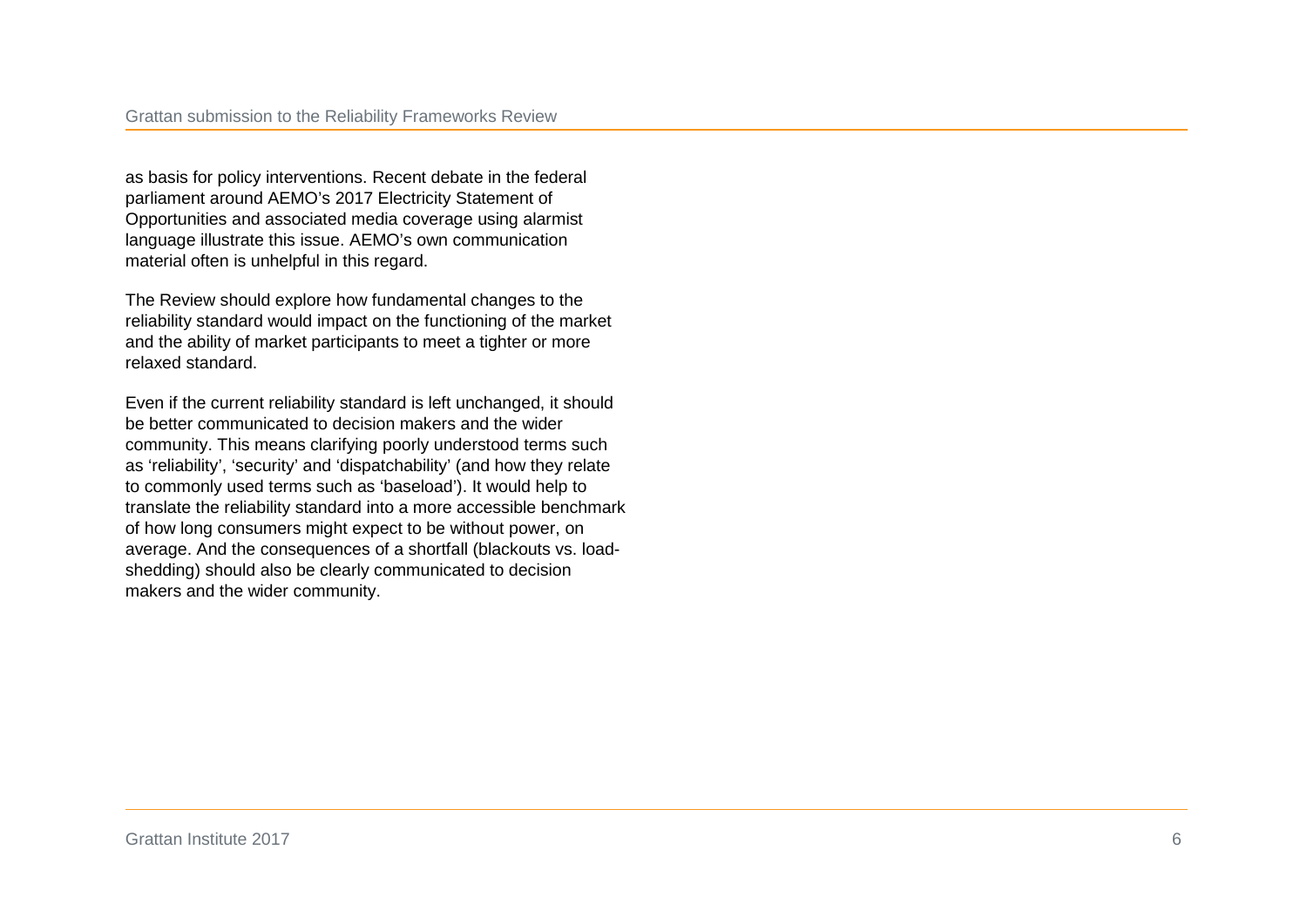as basis for policy interventions. Recent debate in the federal parliament around AEMO's 2017 Electricity Statement of Opportunities and associated media coverage using alarmist language illustrate this issue. AEMO's own communication material often is unhelpful in this regard.

The Review should explore how fundamental changes to the reliability standard would impact on the functioning of the market and the ability of market participants to meet a tighter or more relaxed standard.

Even if the current reliability standard is left unchanged, it should be better communicated to decision makers and the wider community. This means clarifying poorly understood terms such as 'reliability', 'security' and 'dispatchability' (and how they relate to commonly used terms such as 'baseload'). It would help to translate the reliability standard into a more accessible benchmark of how long consumers might expect to be without power, on average. And the consequences of a shortfall (blackouts vs. loadshedding) should also be clearly communicated to decision makers and the wider community.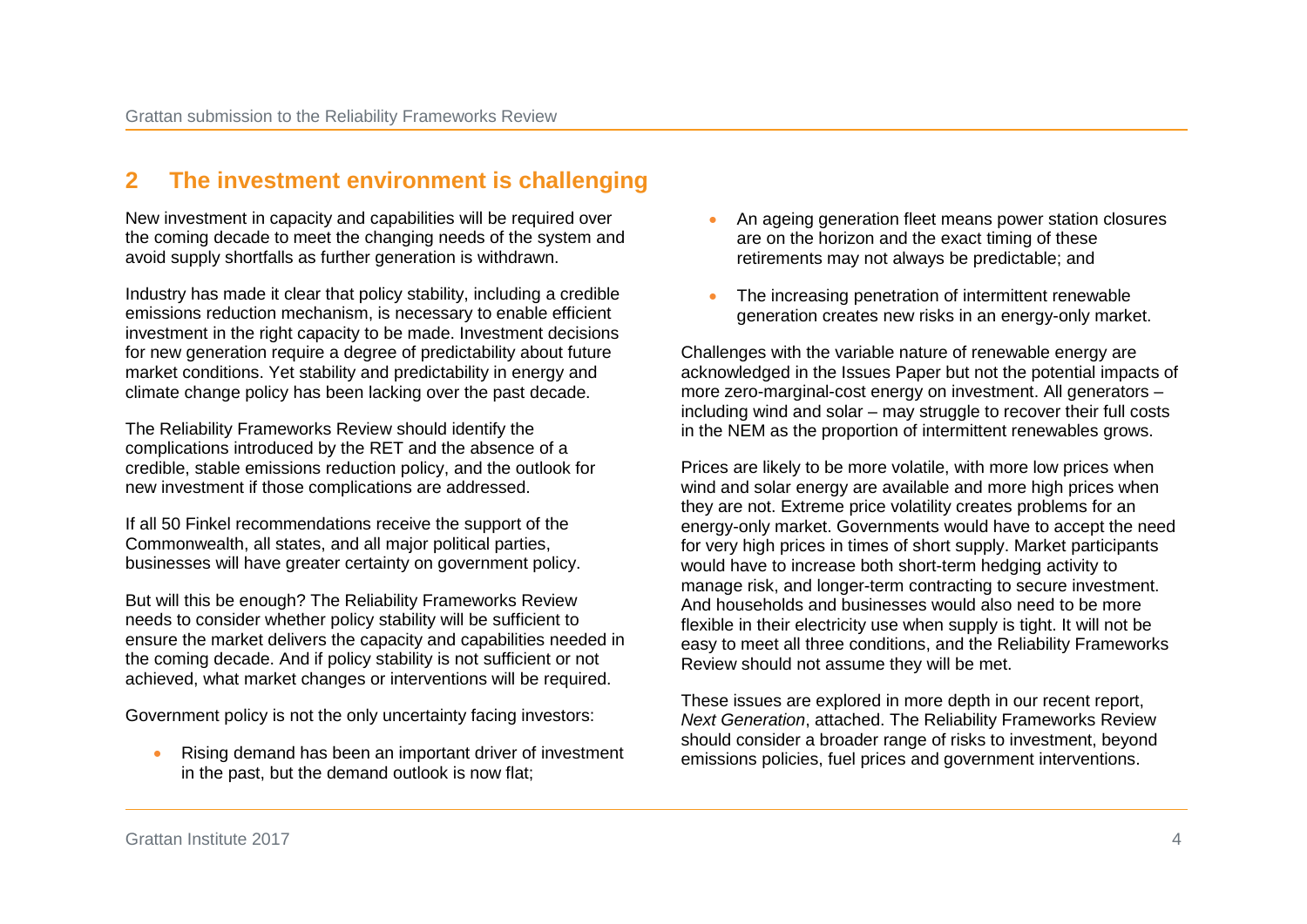## **2 The investment environment is challenging**

New investment in capacity and capabilities will be required over the coming decade to meet the changing needs of the system and avoid supply shortfalls as further generation is withdrawn.

Industry has made it clear that policy stability, including a credible emissions reduction mechanism, is necessary to enable efficient investment in the right capacity to be made. Investment decisions for new generation require a degree of predictability about future market conditions. Yet stability and predictability in energy and climate change policy has been lacking over the past decade.

The Reliability Frameworks Review should identify the complications introduced by the RET and the absence of a credible, stable emissions reduction policy, and the outlook for new investment if those complications are addressed.

If all 50 Finkel recommendations receive the support of the Commonwealth, all states, and all major political parties, businesses will have greater certainty on government policy.

But will this be enough? The Reliability Frameworks Review needs to consider whether policy stability will be sufficient to ensure the market delivers the capacity and capabilities needed in the coming decade. And if policy stability is not sufficient or not achieved, what market changes or interventions will be required.

Government policy is not the only uncertainty facing investors:

• Rising demand has been an important driver of investment in the past, but the demand outlook is now flat;

- An ageing generation fleet means power station closures are on the horizon and the exact timing of these retirements may not always be predictable; and
- The increasing penetration of intermittent renewable generation creates new risks in an energy-only market.

Challenges with the variable nature of renewable energy are acknowledged in the Issues Paper but not the potential impacts of more zero-marginal-cost energy on investment. All generators – including wind and solar – may struggle to recover their full costs in the NEM as the proportion of intermittent renewables grows.

Prices are likely to be more volatile, with more low prices when wind and solar energy are available and more high prices when they are not. Extreme price volatility creates problems for an energy-only market. Governments would have to accept the need for very high prices in times of short supply. Market participants would have to increase both short-term hedging activity to manage risk, and longer-term contracting to secure investment. And households and businesses would also need to be more flexible in their electricity use when supply is tight. It will not be easy to meet all three conditions, and the Reliability Frameworks Review should not assume they will be met.

These issues are explored in more depth in our recent report, *Next Generation*, attached. The Reliability Frameworks Review should consider a broader range of risks to investment, beyond emissions policies, fuel prices and government interventions.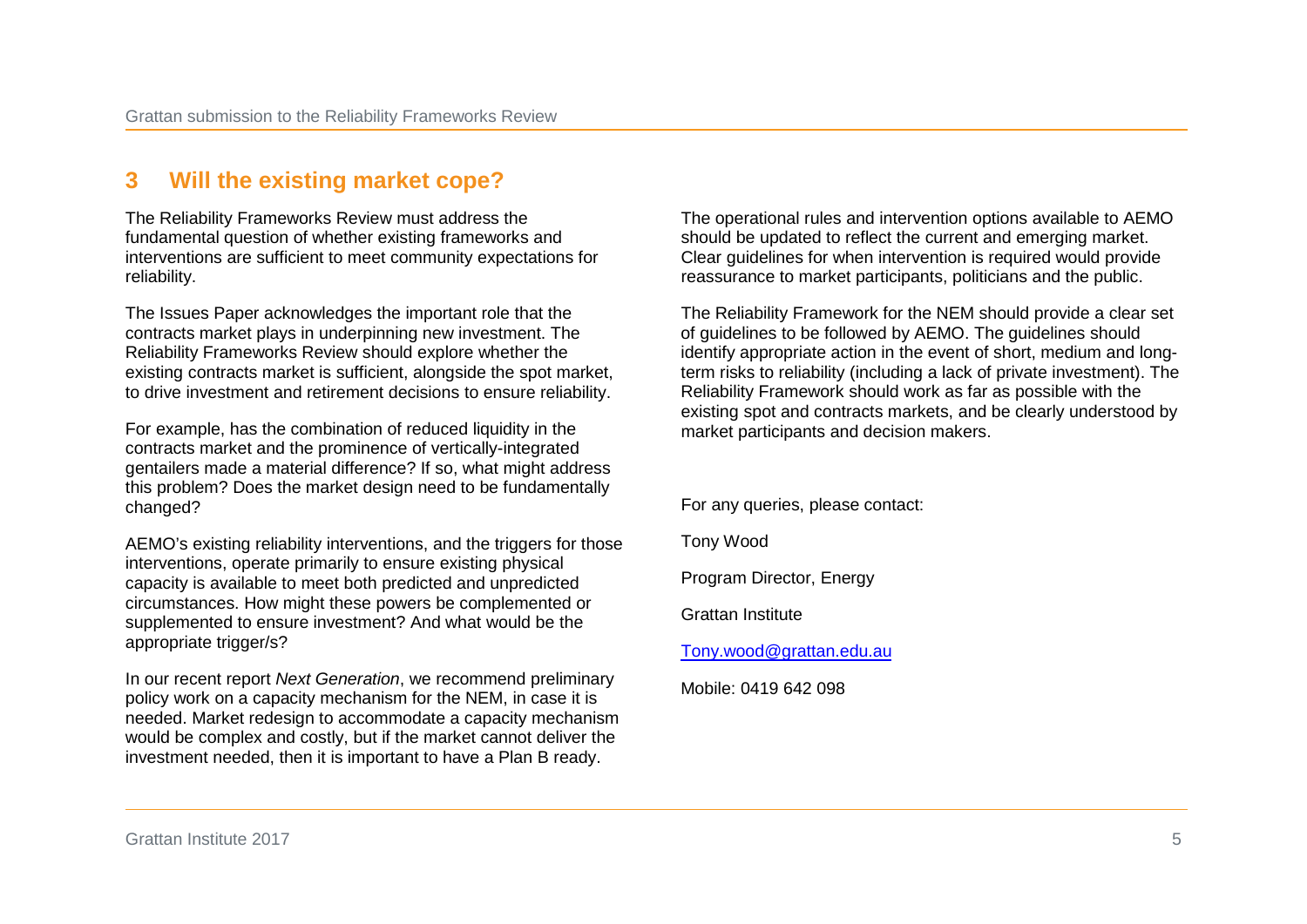## **3 Will the existing market cope?**

The Reliability Frameworks Review must address the fundamental question of whether existing frameworks and interventions are sufficient to meet community expectations for reliability.

The Issues Paper acknowledges the important role that the contracts market plays in underpinning new investment. The Reliability Frameworks Review should explore whether the existing contracts market is sufficient, alongside the spot market, to drive investment and retirement decisions to ensure reliability.

For example, has the combination of reduced liquidity in the contracts market and the prominence of vertically-integrated gentailers made a material difference? If so, what might address this problem? Does the market design need to be fundamentally changed?

AEMO's existing reliability interventions, and the triggers for those interventions, operate primarily to ensure existing physical capacity is available to meet both predicted and unpredicted circumstances. How might these powers be complemented or supplemented to ensure investment? And what would be the appropriate trigger/s?

In our recent report *Next Generation*, we recommend preliminary policy work on a capacity mechanism for the NEM, in case it is needed. Market redesign to accommodate a capacity mechanism would be complex and costly, but if the market cannot deliver the investment needed, then it is important to have a Plan B ready.

The operational rules and intervention options available to AEMO should be updated to reflect the current and emerging market. Clear guidelines for when intervention is required would provide reassurance to market participants, politicians and the public.

The Reliability Framework for the NEM should provide a clear set of guidelines to be followed by AEMO. The guidelines should identify appropriate action in the event of short, medium and longterm risks to reliability (including a lack of private investment). The Reliability Framework should work as far as possible with the existing spot and contracts markets, and be clearly understood by market participants and decision makers.

For any queries, please contact:

Tony Wood

Program Director, Energy

Grattan Institute

[Tony.wood@grattan.edu.au](mailto:Tony.wood@grattan.edu.au)

Mobile: 0419 642 098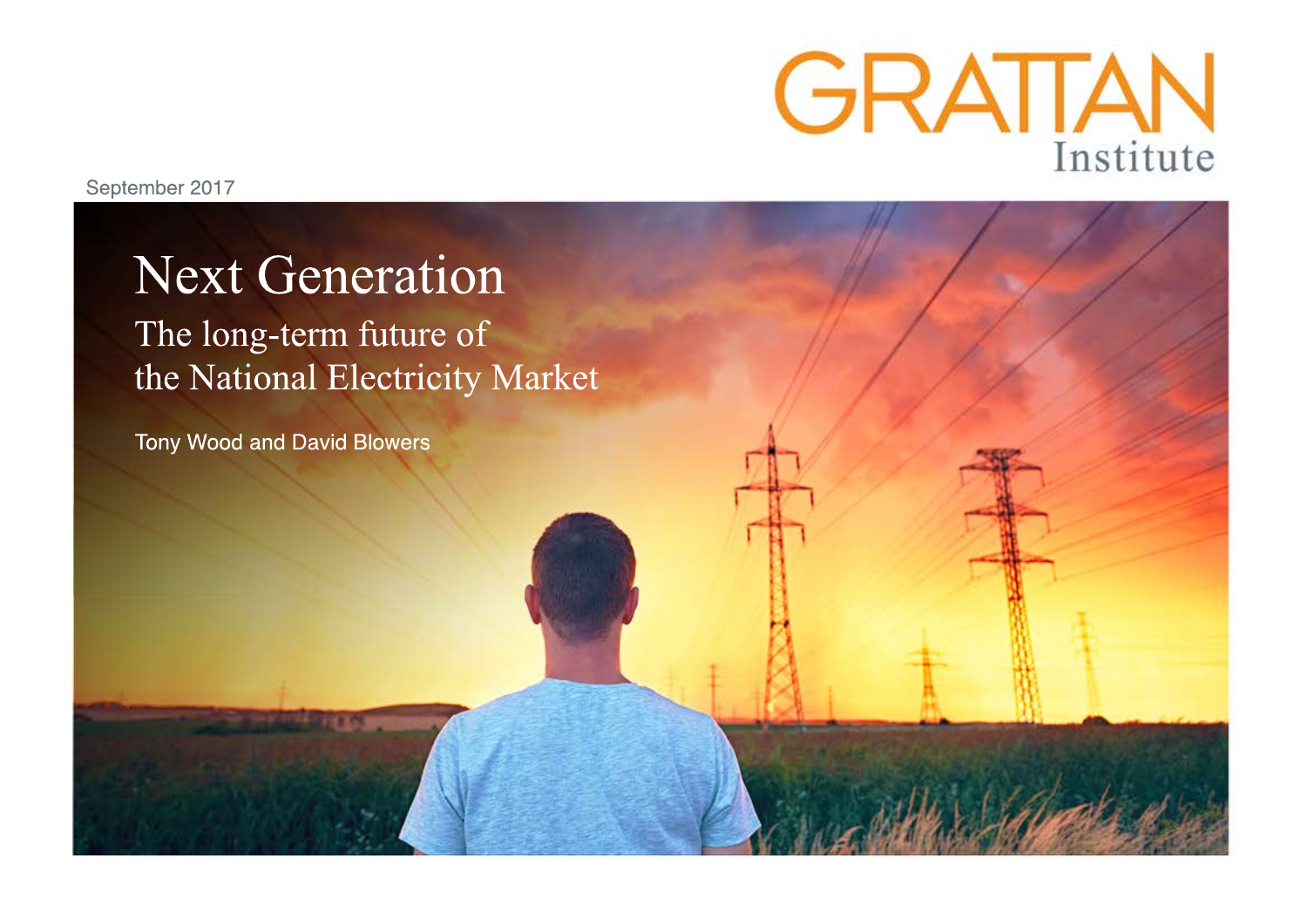

September 2017

# **Next Generation**

The long-term future of the National Electricity Market

Tony Wood and David Blowers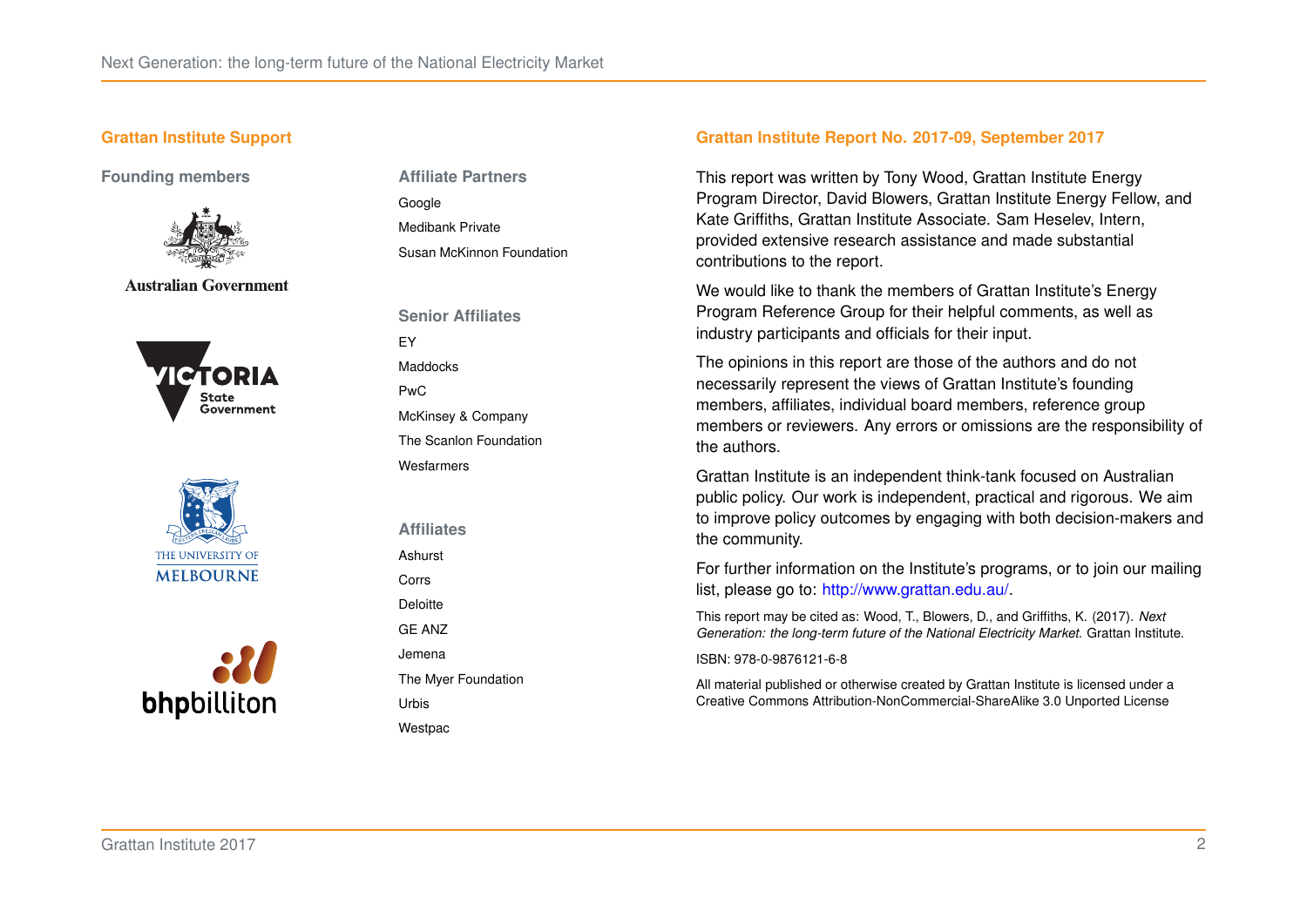#### **Grattan Institute Support**

**Founding members**



**Australian Government** 







**Affiliate Partners** Google Medibank Private Susan McKinnon Foundation

**Senior Affiliates** EY **Maddocks** PwC McKinsey & Company The Scanlon Foundation Wesfarmers

**Affiliates**

Ashurst

Corrs

Deloitte GE ANZ

Jemena

The Myer Foundation

Urbis **Westpac**  **Grattan Institute Report No. 2017-09, September 2017**

This report was written by Tony Wood, Grattan Institute Energy Program Director, David Blowers, Grattan Institute Energy Fellow, and Kate Griffiths, Grattan Institute Associate. Sam Heselev, Intern, provided extensive research assistance and made substantial contributions to the report.

We would like to thank the members of Grattan Institute's Energy Program Reference Group for their helpful comments, as well as industry participants and officials for their input.

The opinions in this report are those of the authors and do not necessarily represent the views of Grattan Institute's founding members, affiliates, individual board members, reference group members or reviewers. Any errors or omissions are the responsibility of the authors.

Grattan Institute is an independent think-tank focused on Australian public policy. Our work is independent, practical and rigorous. We aim to improve policy outcomes by engaging with both decision-makers and the community.

For further information on the Institute's programs, or to join our mailing list, please go to: [http://www.grattan.edu.au/.](http://www.grattan.edu.au/)

This report may be cited as: Wood, T., Blowers, D., and Griffiths, K. (2017). *Next Generation: the long-term future of the National Electricity Market*. Grattan Institute.

ISBN: 978-0-9876121-6-8

All material published or otherwise created by Grattan Institute is licensed under a Creative Commons Attribution-NonCommercial-ShareAlike 3.0 Unported License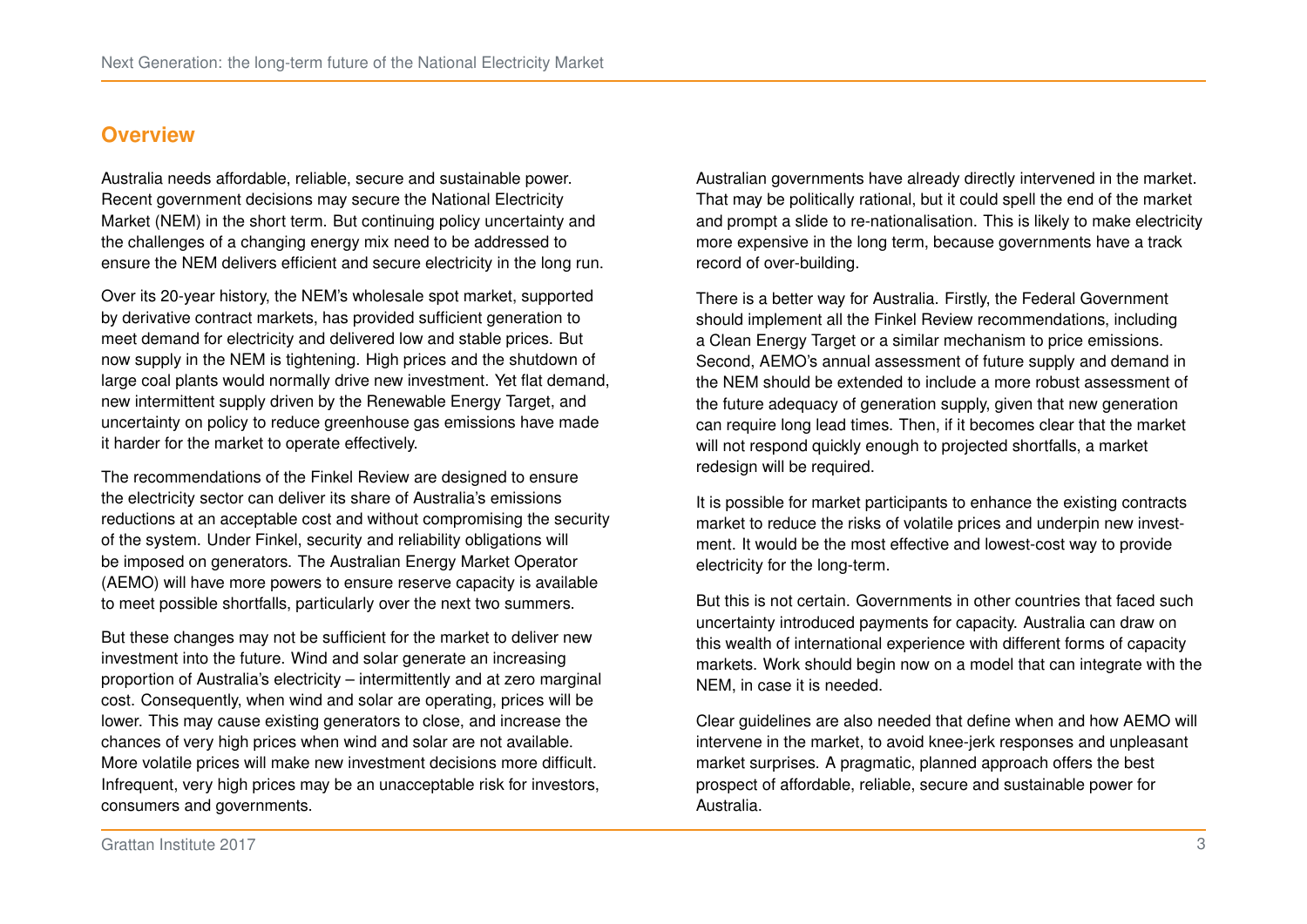## <span id="page-9-0"></span>**Overview**

Australia needs affordable, reliable, secure and sustainable power. Recent government decisions may secure the National Electricity Market (NEM) in the short term. But continuing policy uncertainty and the challenges of a changing energy mix need to be addressed to ensure the NEM delivers efficient and secure electricity in the long run.

Over its 20-year history, the NEM's wholesale spot market, supported by derivative contract markets, has provided sufficient generation to meet demand for electricity and delivered low and stable prices. But now supply in the NEM is tightening. High prices and the shutdown of large coal plants would normally drive new investment. Yet flat demand, new intermittent supply driven by the Renewable Energy Target, and uncertainty on policy to reduce greenhouse gas emissions have made it harder for the market to operate effectively.

The recommendations of the Finkel Review are designed to ensure the electricity sector can deliver its share of Australia's emissions reductions at an acceptable cost and without compromising the security of the system. Under Finkel, security and reliability obligations will be imposed on generators. The Australian Energy Market Operator (AEMO) will have more powers to ensure reserve capacity is available to meet possible shortfalls, particularly over the next two summers.

But these changes may not be sufficient for the market to deliver new investment into the future. Wind and solar generate an increasing proportion of Australia's electricity – intermittently and at zero marginal cost. Consequently, when wind and solar are operating, prices will be lower. This may cause existing generators to close, and increase the chances of very high prices when wind and solar are not available. More volatile prices will make new investment decisions more difficult. Infrequent, very high prices may be an unacceptable risk for investors, consumers and governments.

Australian governments have already directly intervened in the market. That may be politically rational, but it could spell the end of the market and prompt a slide to re-nationalisation. This is likely to make electricity more expensive in the long term, because governments have a track record of over-building.

There is a better way for Australia. Firstly, the Federal Government should implement all the Finkel Review recommendations, including a Clean Energy Target or a similar mechanism to price emissions. Second, AEMO's annual assessment of future supply and demand in the NEM should be extended to include a more robust assessment of the future adequacy of generation supply, given that new generation can require long lead times. Then, if it becomes clear that the market will not respond quickly enough to projected shortfalls, a market redesign will be required.

It is possible for market participants to enhance the existing contracts market to reduce the risks of volatile prices and underpin new investment. It would be the most effective and lowest-cost way to provide electricity for the long-term.

But this is not certain. Governments in other countries that faced such uncertainty introduced payments for capacity. Australia can draw on this wealth of international experience with different forms of capacity markets. Work should begin now on a model that can integrate with the NEM, in case it is needed.

Clear guidelines are also needed that define when and how AEMO will intervene in the market, to avoid knee-jerk responses and unpleasant market surprises. A pragmatic, planned approach offers the best prospect of affordable, reliable, secure and sustainable power for Australia.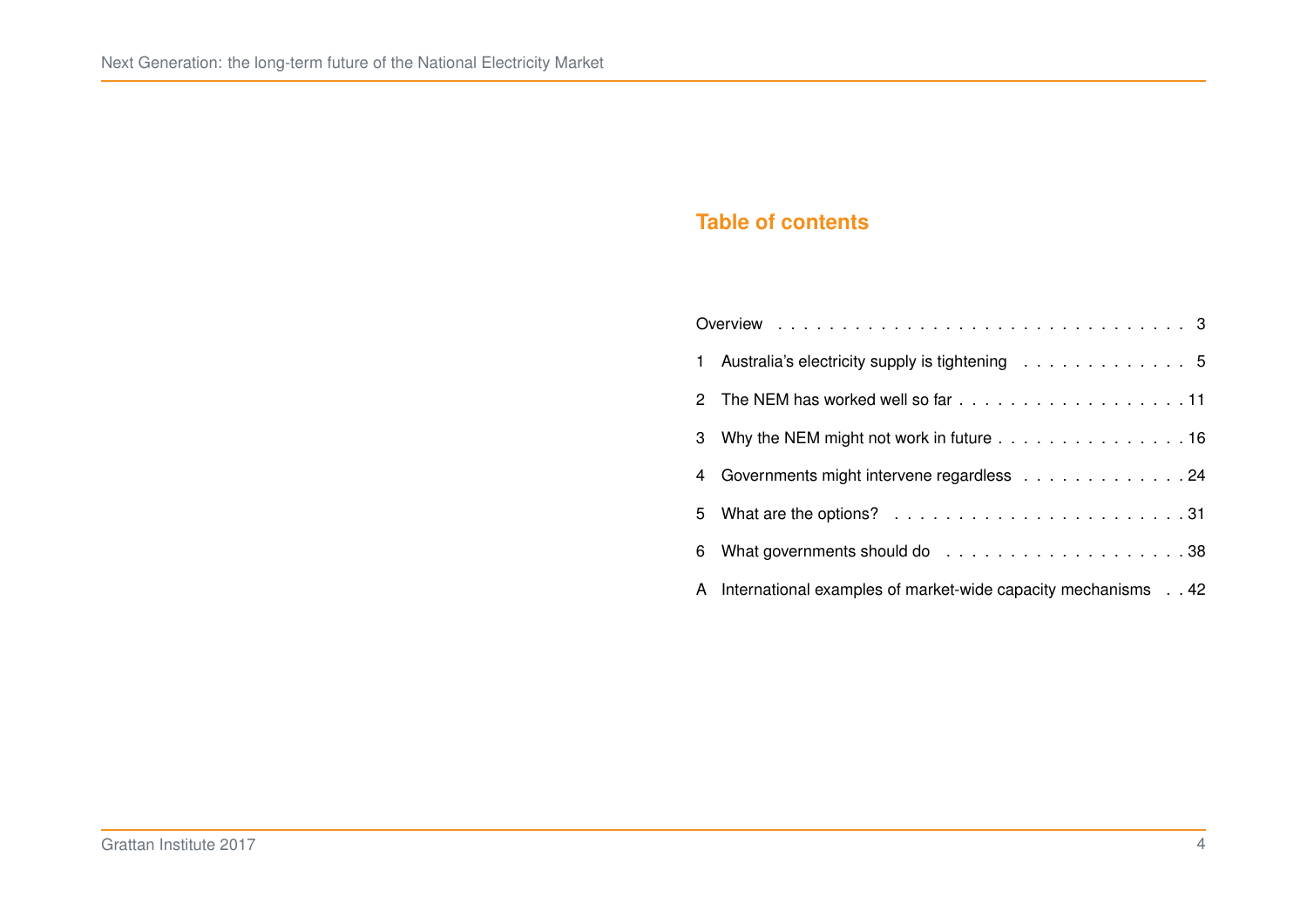## **Table of contents**

| 1 Australia's electricity supply is tightening 5                                     |
|--------------------------------------------------------------------------------------|
|                                                                                      |
| 3 Why the NEM might not work in future 16                                            |
| 4 Governments might intervene regardless 24                                          |
| 5 What are the options? $\ldots \ldots \ldots \ldots \ldots \ldots \ldots \ldots 31$ |
|                                                                                      |
| A International examples of market-wide capacity mechanisms 42                       |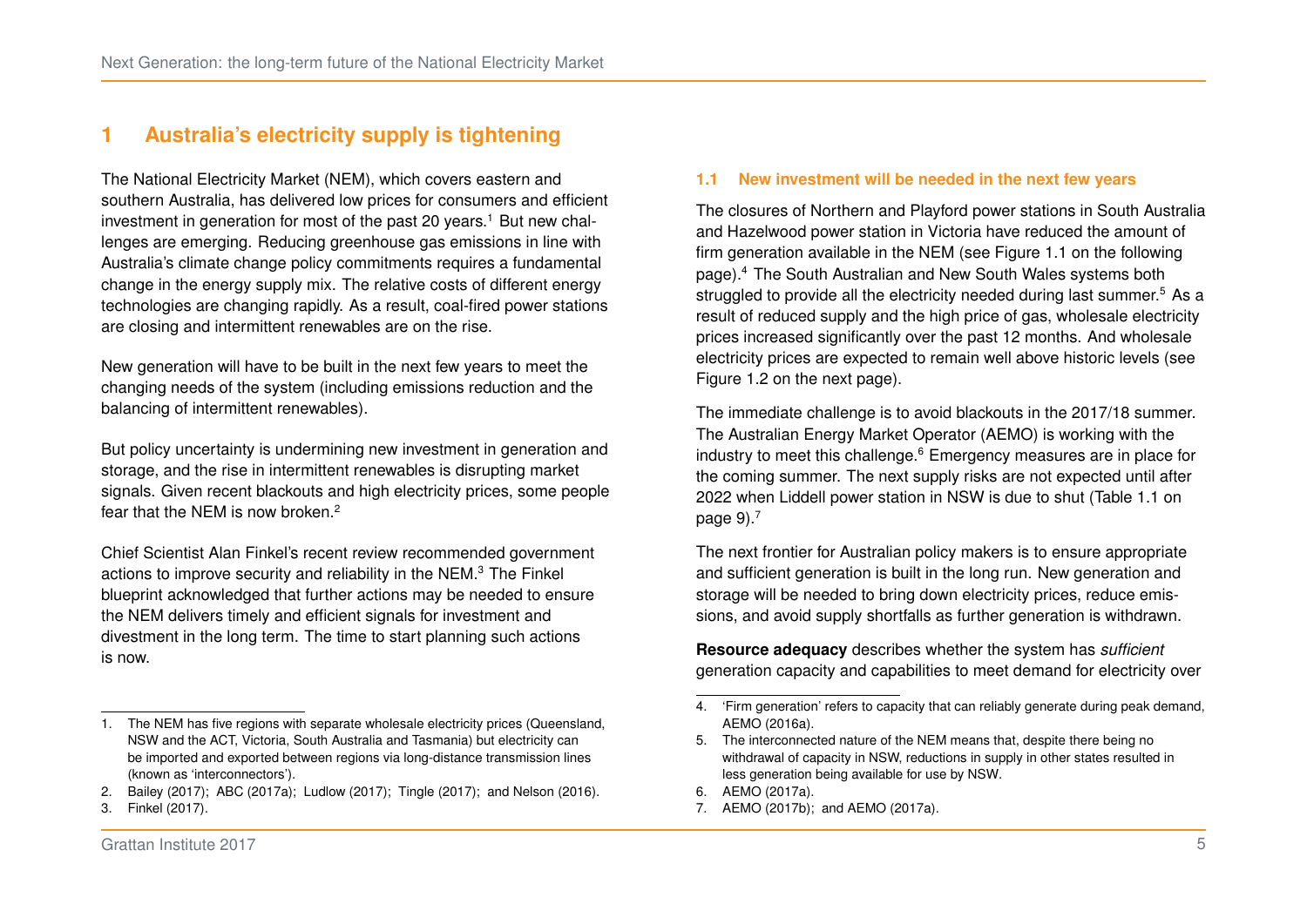## <span id="page-11-0"></span>**1 Australia's electricity supply is tightening**

The National Electricity Market (NEM), which covers eastern and southern Australia, has delivered low prices for consumers and efficient investment in generation for most of the past 20 years.<sup>[1](#page-11-1)</sup> But new challenges are emerging. Reducing greenhouse gas emissions in line with Australia's climate change policy commitments requires a fundamental change in the energy supply mix. The relative costs of different energy technologies are changing rapidly. As a result, coal-fired power stations are closing and intermittent renewables are on the rise.

New generation will have to be built in the next few years to meet the changing needs of the system (including emissions reduction and the balancing of intermittent renewables).

But policy uncertainty is undermining new investment in generation and storage, and the rise in intermittent renewables is disrupting market signals. Given recent blackouts and high electricity prices, some people fear that the NEM is now broken.[2](#page-11-2)

Chief Scientist Alan Finkel's recent review recommended government actions to improve security and reliability in the NEM.[3](#page-11-3) The Finkel blueprint acknowledged that further actions may be needed to ensure the NEM delivers timely and efficient signals for investment and divestment in the long term. The time to start planning such actions is now.

#### **1.1 New investment will be needed in the next few years**

The closures of Northern and Playford power stations in South Australia and Hazelwood power station in Victoria have reduced the amount of firm generation available in the NEM (see Figure [1.1](#page-12-0) on the following page).[4](#page-11-4) The South Australian and New South Wales systems both struggled to provide all the electricity needed during last summer.<sup>[5](#page-11-5)</sup> As a result of reduced supply and the high price of gas, wholesale electricity prices increased significantly over the past 12 months. And wholesale electricity prices are expected to remain well above historic levels (see Figure [1.2](#page-12-0) on the next page).

The immediate challenge is to avoid blackouts in the 2017/18 summer. The Australian Energy Market Operator (AEMO) is working with the industry to meet this challenge.<sup>[6](#page-11-6)</sup> Emergency measures are in place for the coming summer. The next supply risks are not expected until after 2022 when Liddell power station in NSW is due to shut (Table [1.1](#page-15-0) on page  $9$ ). $^7$  $^7$ 

The next frontier for Australian policy makers is to ensure appropriate and sufficient generation is built in the long run. New generation and storage will be needed to bring down electricity prices, reduce emissions, and avoid supply shortfalls as further generation is withdrawn.

**Resource adequacy** describes whether the system has *sufficient* generation capacity and capabilities to meet demand for electricity over

<span id="page-11-7"></span>7. [AEMO \(2017b\);](#page-52-2) and [AEMO \(2017a\).](#page-52-1)

<span id="page-11-1"></span><sup>1.</sup> The NEM has five regions with separate wholesale electricity prices (Queensland, NSW and the ACT, Victoria, South Australia and Tasmania) but electricity can be imported and exported between regions via long-distance transmission lines (known as 'interconnectors').

<span id="page-11-2"></span><sup>2.</sup> [Bailey \(2017\);](#page-53-0) [ABC \(2017a\);](#page-51-0) [Ludlow \(2017\);](#page-55-0) [Tingle \(2017\);](#page-57-0) and [Nelson \(2016\).](#page-55-1)

<span id="page-11-3"></span><sup>3.</sup> [Finkel \(2017\).](#page-54-0)

<span id="page-11-4"></span><sup>4. &#</sup>x27;Firm generation' refers to capacity that can reliably generate during peak demand, [AEMO \(2016a\).](#page-52-0)

<span id="page-11-5"></span><sup>5.</sup> The interconnected nature of the NEM means that, despite there being no withdrawal of capacity in NSW, reductions in supply in other states resulted in less generation being available for use by NSW.

<span id="page-11-6"></span><sup>6.</sup> [AEMO \(2017a\).](#page-52-1)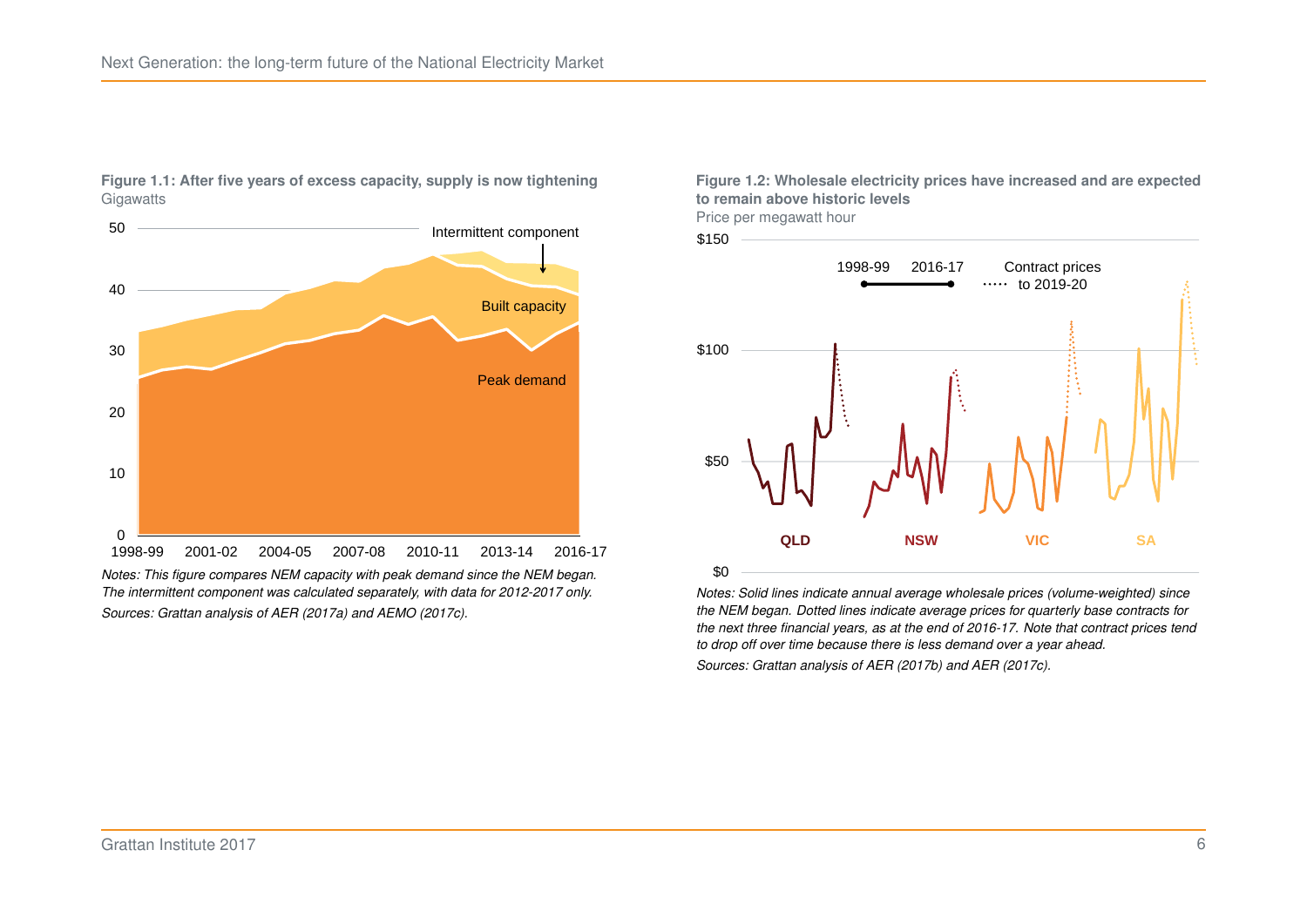

<span id="page-12-0"></span>**Figure 1.1: After five years of excess capacity, supply is now tightening Gigawatts** 

*Notes: This figure compares NEM capacity with peak demand since the NEM began. The intermittent component was calculated separately, with data for 2012-2017 only. Sources: Grattan analysis of [AER \(2017a\)](#page-52-3) and [AEMO \(2017c\).](#page-52-4)*

**Figure 1.2: Wholesale electricity prices have increased and are expected to remain above historic levels** Price per megawatt hour





*Notes: Solid lines indicate annual average wholesale prices (volume-weighted) since the NEM began. Dotted lines indicate average prices for quarterly base contracts for the next three financial years, as at the end of 2016-17. Note that contract prices tend to drop off over time because there is less demand over a year ahead. Sources: Grattan analysis of [AER \(2017b\)](#page-52-5) and [AER \(2017c\).](#page-52-6)*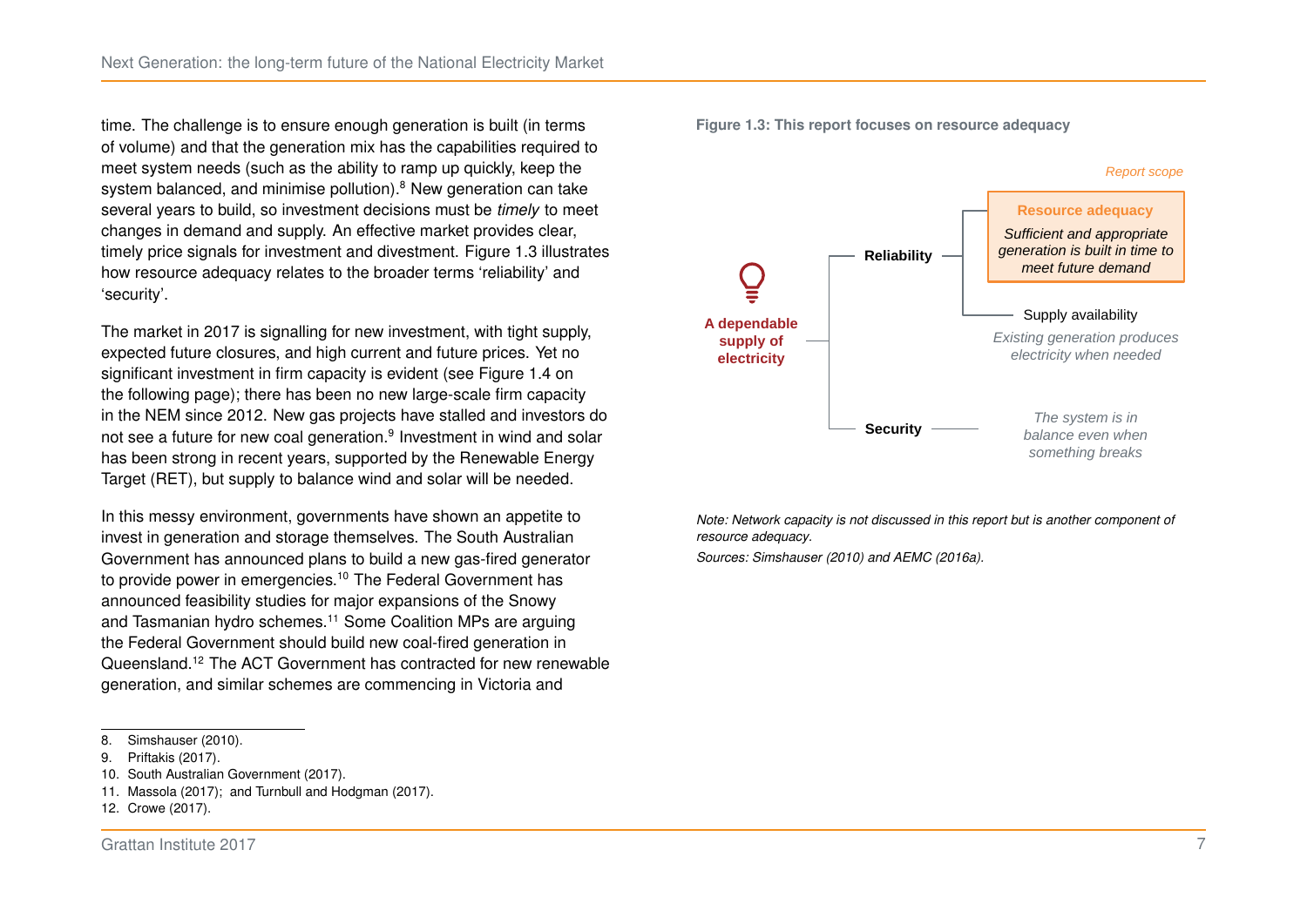time. The challenge is to ensure enough generation is built (in terms of volume) and that the generation mix has the capabilities required to meet system needs (such as the ability to ramp up quickly, keep the system balanced, and minimise pollution).<sup>[8](#page-13-0)</sup> New generation can take several years to build, so investment decisions must be *timely* to meet changes in demand and supply. An effective market provides clear, timely price signals for investment and divestment. Figure [1.3](#page-13-1) illustrates how resource adequacy relates to the broader terms 'reliability' and 'security'.

The market in 2017 is signalling for new investment, with tight supply, expected future closures, and high current and future prices. Yet no significant investment in firm capacity is evident (see Figure [1.4](#page-14-0) on the following page); there has been no new large-scale firm capacity in the NEM since 2012. New gas projects have stalled and investors do not see a future for new coal generation.<sup>[9](#page-13-2)</sup> Investment in wind and solar has been strong in recent years, supported by the Renewable Energy Target (RET), but supply to balance wind and solar will be needed.

In this messy environment, governments have shown an appetite to invest in generation and storage themselves. The South Australian Government has announced plans to build a new gas-fired generator to provide power in emergencies.<sup>[10](#page-13-3)</sup> The Federal Government has announced feasibility studies for major expansions of the Snowy and Tasmanian hydro schemes.<sup>[11](#page-13-4)</sup> Some Coalition MPs are arguing the Federal Government should build new coal-fired generation in Queensland.[12](#page-13-5) The ACT Government has contracted for new renewable generation, and similar schemes are commencing in Victoria and

<span id="page-13-1"></span>



*Note: Network capacity is not discussed in this report but is another component of resource adequacy.*

*Sources: [Simshauser \(2010\)](#page-57-1) and [AEMC \(2016a\).](#page-51-1)*

<span id="page-13-0"></span><sup>8.</sup> [Simshauser \(2010\).](#page-57-1)

<span id="page-13-2"></span><sup>9.</sup> [Priftakis \(2017\).](#page-56-0)

<span id="page-13-3"></span><sup>10.</sup> [South Australian Government \(2017\).](#page-57-2)

<span id="page-13-4"></span><sup>11.</sup> [Massola \(2017\);](#page-55-2) and [Turnbull and Hodgman \(2017\).](#page-57-3)

<span id="page-13-5"></span><sup>12.</sup> [Crowe \(2017\).](#page-53-1)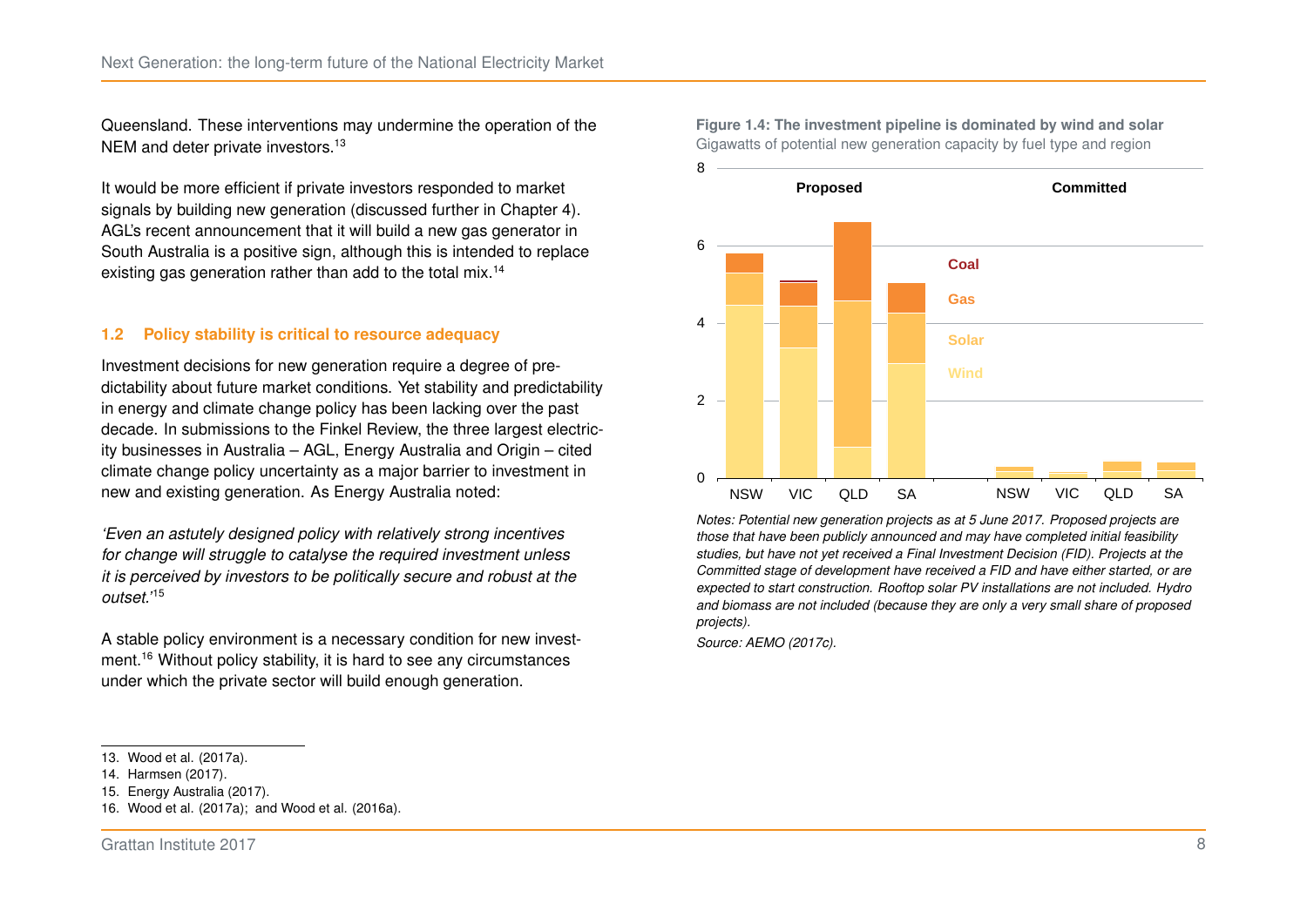Queensland. These interventions may undermine the operation of the NEM and deter private investors.<sup>[13](#page-14-1)</sup>

It would be more efficient if private investors responded to market signals by building new generation (discussed further in Chapter [4\)](#page-30-0). AGL's recent announcement that it will build a new gas generator in South Australia is a positive sign, although this is intended to replace existing gas generation rather than add to the total mix.<sup>[14](#page-14-2)</sup>

#### **1.2 Policy stability is critical to resource adequacy**

Investment decisions for new generation require a degree of predictability about future market conditions. Yet stability and predictability in energy and climate change policy has been lacking over the past decade. In submissions to the Finkel Review, the three largest electricity businesses in Australia – AGL, Energy Australia and Origin – cited climate change policy uncertainty as a major barrier to investment in new and existing generation. As Energy Australia noted:

*'Even an astutely designed policy with relatively strong incentives for change will struggle to catalyse the required investment unless it is perceived by investors to be politically secure and robust at the outset.'*[15](#page-14-3)

A stable policy environment is a necessary condition for new investment.[16](#page-14-4) Without policy stability, it is hard to see any circumstances under which the private sector will build enough generation.

- <span id="page-14-2"></span>14. [Harmsen \(2017\).](#page-54-1)
- <span id="page-14-3"></span>15. [Energy Australia \(2017\).](#page-54-2)
- <span id="page-14-4"></span>16. [Wood et al. \(2017a\);](#page-57-4) and [Wood et al. \(2016a\).](#page-57-5)

<span id="page-14-0"></span>**Figure 1.4: The investment pipeline is dominated by wind and solar** Gigawatts of potential new generation capacity by fuel type and region



*Notes: Potential new generation projects as at 5 June 2017. Proposed projects are those that have been publicly announced and may have completed initial feasibility studies, but have not yet received a Final Investment Decision (FID). Projects at the Committed stage of development have received a FID and have either started, or are expected to start construction. Rooftop solar PV installations are not included. Hydro and biomass are not included (because they are only a very small share of proposed projects).*

*Source: [AEMO \(2017c\).](#page-52-4)*

<span id="page-14-1"></span><sup>13.</sup> [Wood et al. \(2017a\).](#page-57-4)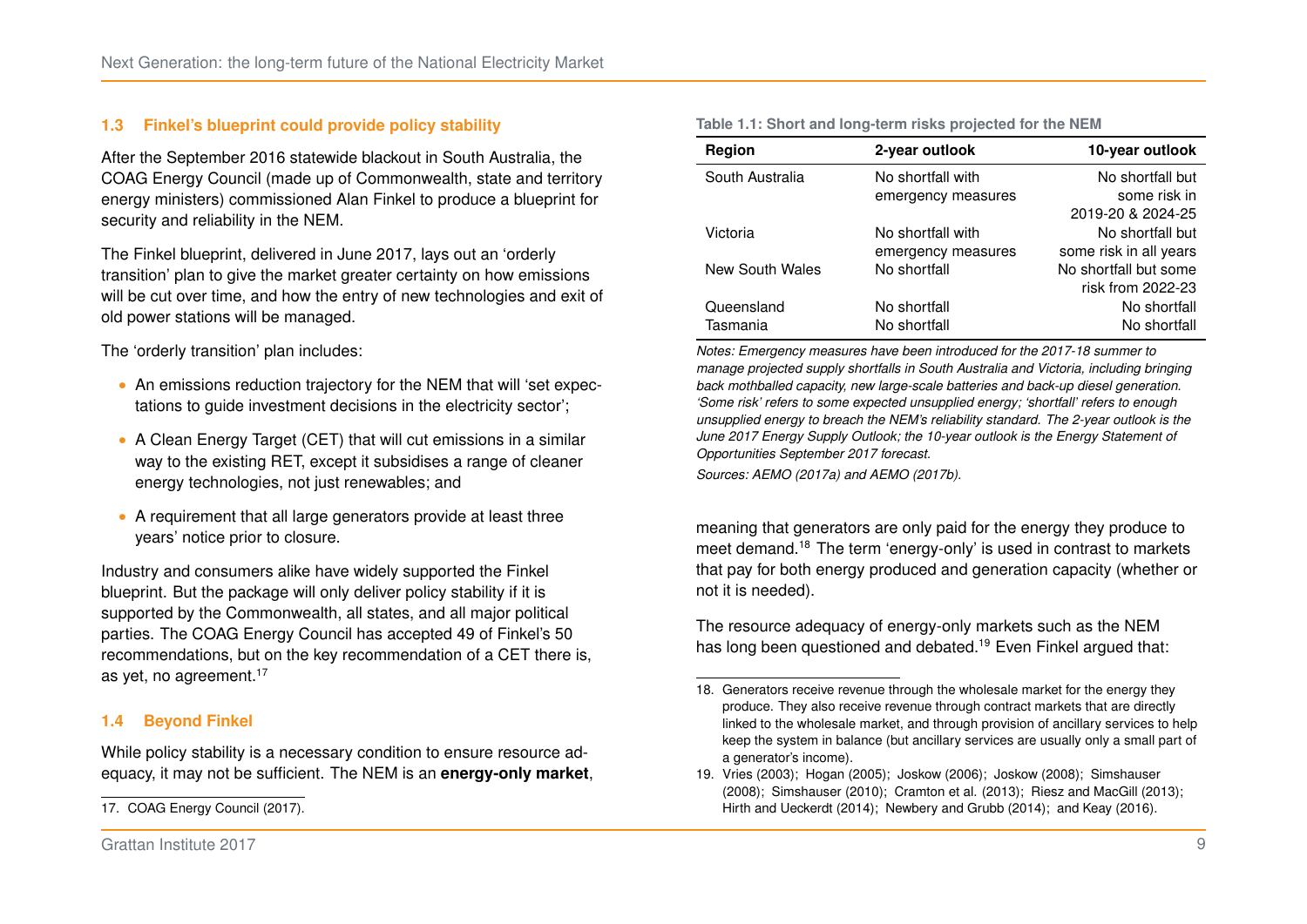#### **1.3 Finkel's blueprint could provide policy stability**

After the September 2016 statewide blackout in South Australia, the COAG Energy Council (made up of Commonwealth, state and territory energy ministers) commissioned Alan Finkel to produce a blueprint for security and reliability in the NEM.

The Finkel blueprint, delivered in June 2017, lays out an 'orderly transition' plan to give the market greater certainty on how emissions will be cut over time, and how the entry of new technologies and exit of old power stations will be managed.

The 'orderly transition' plan includes:

- ∙ An emissions reduction trajectory for the NEM that will 'set expectations to guide investment decisions in the electricity sector';
- ∙ A Clean Energy Target (CET) that will cut emissions in a similar way to the existing RET, except it subsidises a range of cleaner energy technologies, not just renewables; and
- ∙ A requirement that all large generators provide at least three years' notice prior to closure.

Industry and consumers alike have widely supported the Finkel blueprint. But the package will only deliver policy stability if it is supported by the Commonwealth, all states, and all major political parties. The COAG Energy Council has accepted 49 of Finkel's 50 recommendations, but on the key recommendation of a CET there is, as yet, no agreement.<sup>[17](#page-15-1)</sup>

#### **1.4 Beyond Finkel**

While policy stability is a necessary condition to ensure resource adequacy, it may not be sufficient. The NEM is an **energy-only market**,

| Region          | 2-year outlook                        | 10-year outlook        |  |
|-----------------|---------------------------------------|------------------------|--|
| South Australia | No shortfall with                     | No shortfall but       |  |
|                 | emergency measures                    | some risk in           |  |
|                 |                                       | 2019-20 & 2024-25      |  |
| Victoria        | No shortfall with                     | No shortfall but       |  |
|                 | emergency measures                    | some risk in all years |  |
| New South Wales | No shortfall but some<br>No shortfall |                        |  |
|                 |                                       | risk from 2022-23      |  |
| Queensland      | No shortfall                          | No shortfall           |  |
| Tasmania        | No shortfall                          | No shortfall           |  |

*Notes: Emergency measures have been introduced for the 2017-18 summer to manage projected supply shortfalls in South Australia and Victoria, including bringing back mothballed capacity, new large-scale batteries and back-up diesel generation. 'Some risk' refers to some expected unsupplied energy; 'shortfall' refers to enough unsupplied energy to breach the NEM's reliability standard. The 2-year outlook is the June 2017 Energy Supply Outlook; the 10-year outlook is the Energy Statement of Opportunities September 2017 forecast.*

*Sources: [AEMO \(2017a\)](#page-52-1) and [AEMO \(2017b\).](#page-52-2)*

meaning that generators are only paid for the energy they produce to meet demand.[18](#page-15-2) The term 'energy-only' is used in contrast to markets that pay for both energy produced and generation capacity (whether or not it is needed).

The resource adequacy of energy-only markets such as the NEM has long been questioned and debated.<sup>[19](#page-15-3)</sup> Even Finkel argued that:

#### <span id="page-15-0"></span>**Table 1.1: Short and long-term risks projected for the NEM**

<span id="page-15-1"></span><sup>17.</sup> [COAG Energy Council \(2017\).](#page-53-2)

<span id="page-15-2"></span><sup>18.</sup> Generators receive revenue through the wholesale market for the energy they produce. They also receive revenue through contract markets that are directly linked to the wholesale market, and through provision of ancillary services to help keep the system in balance (but ancillary services are usually only a small part of a generator's income).

<span id="page-15-3"></span><sup>19.</sup> [Vries \(2003\);](#page-57-6) [Hogan \(2005\);](#page-54-3) [Joskow \(2006\);](#page-54-4) [Joskow \(2008\);](#page-54-5) [Simshauser](#page-56-1) [\(2008\);](#page-56-1) [Simshauser \(2010\);](#page-57-1) [Cramton et al. \(2013\);](#page-53-3) [Riesz and MacGill \(2013\);](#page-56-2) [Hirth and Ueckerdt \(2014\);](#page-54-6) [Newbery and Grubb \(2014\);](#page-55-3) and [Keay \(2016\).](#page-55-4)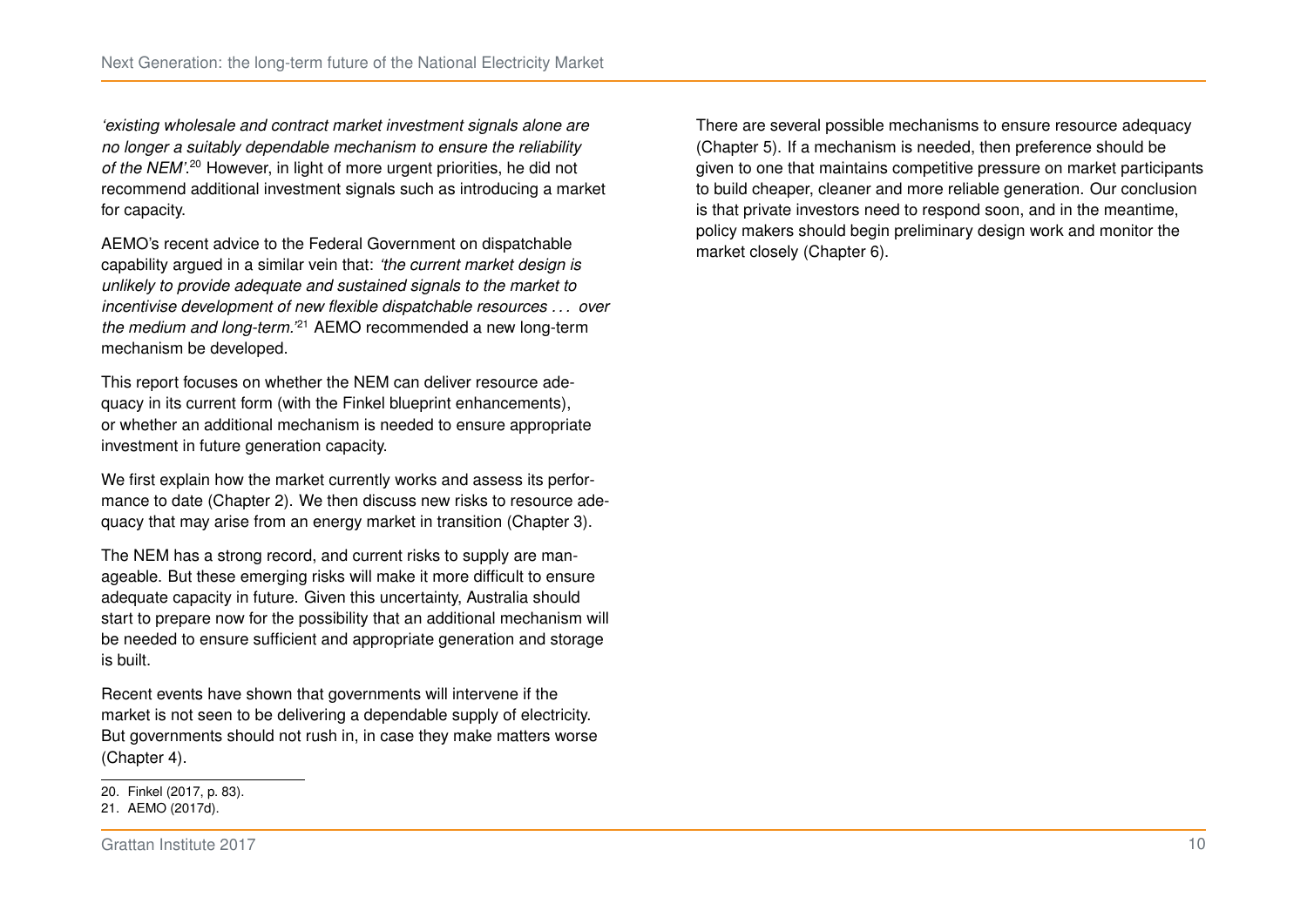*'existing wholesale and contract market investment signals alone are no longer a suitably dependable mechanism to ensure the reliability* of the NEM'.<sup>[20](#page-16-0)</sup> However, in light of more urgent priorities, he did not recommend additional investment signals such as introducing a market for capacity.

AEMO's recent advice to the Federal Government on dispatchable capability argued in a similar vein that: *'the current market design is unlikely to provide adequate and sustained signals to the market to incentivise development of new flexible dispatchable resources . . . over the medium and long-term.'*[21](#page-16-1) AEMO recommended a new long-term mechanism be developed.

This report focuses on whether the NEM can deliver resource adequacy in its current form (with the Finkel blueprint enhancements), or whether an additional mechanism is needed to ensure appropriate investment in future generation capacity.

We first explain how the market currently works and assess its performance to date (Chapter [2\)](#page-17-0). We then discuss new risks to resource adequacy that may arise from an energy market in transition (Chapter [3\)](#page-22-0).

The NEM has a strong record, and current risks to supply are manageable. But these emerging risks will make it more difficult to ensure adequate capacity in future. Given this uncertainty, Australia should start to prepare now for the possibility that an additional mechanism will be needed to ensure sufficient and appropriate generation and storage is built.

Recent events have shown that governments will intervene if the market is not seen to be delivering a dependable supply of electricity. But governments should not rush in, in case they make matters worse (Chapter [4\)](#page-30-0).

Grattan Institute 2017 **10** 

There are several possible mechanisms to ensure resource adequacy (Chapter [5\)](#page-37-0). If a mechanism is needed, then preference should be given to one that maintains competitive pressure on market participants to build cheaper, cleaner and more reliable generation. Our conclusion is that private investors need to respond soon, and in the meantime, policy makers should begin preliminary design work and monitor the market closely (Chapter [6\)](#page-44-0).

<span id="page-16-0"></span><sup>20.</sup> Finkel [\(2017,](#page-54-0) p. 83).

<span id="page-16-1"></span><sup>21.</sup> [AEMO \(2017d\).](#page-52-7)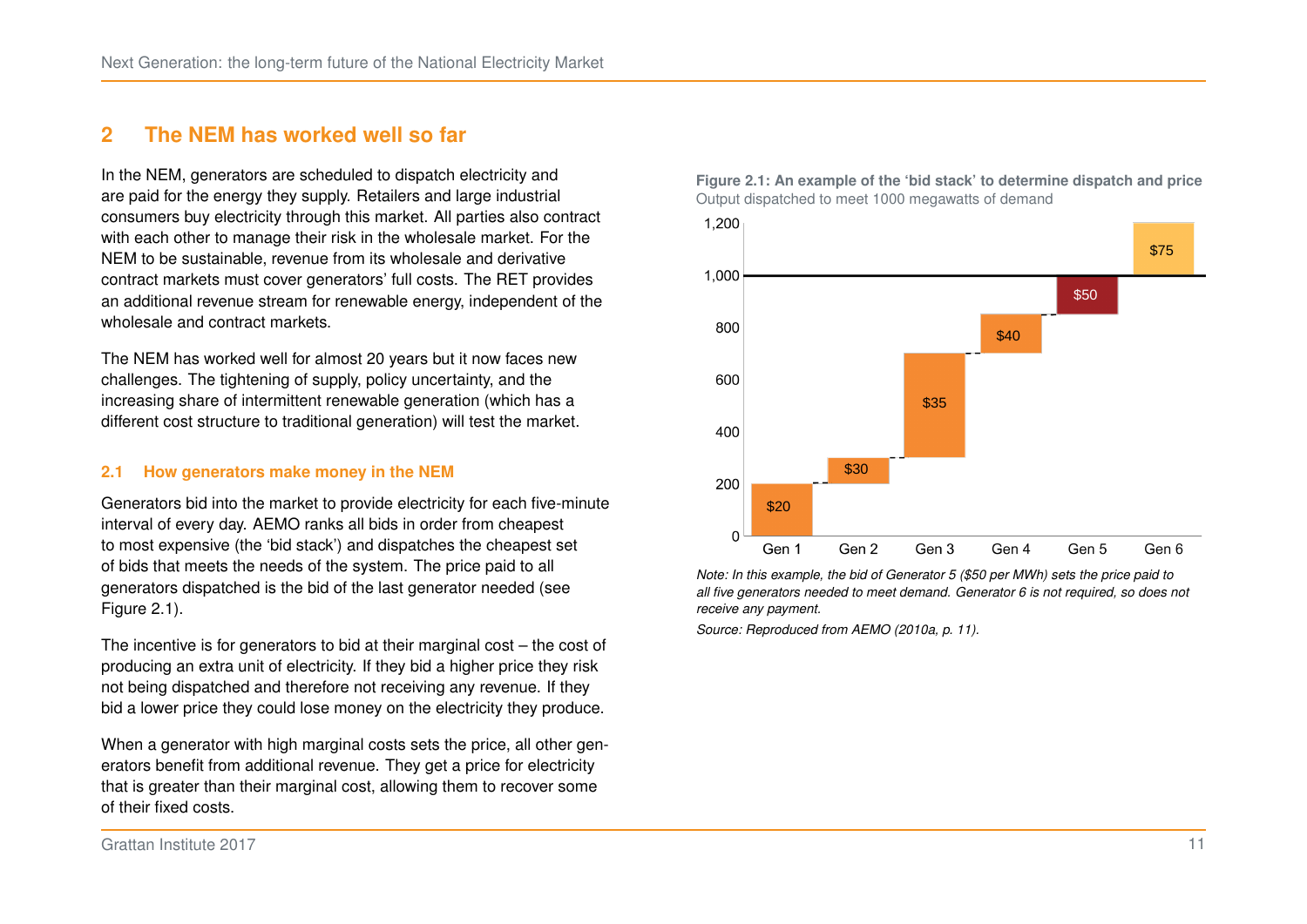## <span id="page-17-0"></span>**2 The NEM has worked well so far**

In the NEM, generators are scheduled to dispatch electricity and are paid for the energy they supply. Retailers and large industrial consumers buy electricity through this market. All parties also contract with each other to manage their risk in the wholesale market. For the NEM to be sustainable, revenue from its wholesale and derivative contract markets must cover generators' full costs. The RET provides an additional revenue stream for renewable energy, independent of the wholesale and contract markets.

The NEM has worked well for almost 20 years but it now faces new challenges. The tightening of supply, policy uncertainty, and the increasing share of intermittent renewable generation (which has a different cost structure to traditional generation) will test the market.

#### **2.1 How generators make money in the NEM**

Generators bid into the market to provide electricity for each five-minute interval of every day. AEMO ranks all bids in order from cheapest to most expensive (the 'bid stack') and dispatches the cheapest set of bids that meets the needs of the system. The price paid to all generators dispatched is the bid of the last generator needed (see Figure [2.1\)](#page-17-1).

The incentive is for generators to bid at their marginal cost – the cost of producing an extra unit of electricity. If they bid a higher price they risk not being dispatched and therefore not receiving any revenue. If they bid a lower price they could lose money on the electricity they produce.

When a generator with high marginal costs sets the price, all other generators benefit from additional revenue. They get a price for electricity that is greater than their marginal cost, allowing them to recover some of their fixed costs.



<span id="page-17-1"></span>**Figure 2.1: An example of the 'bid stack' to determine dispatch and price** Output dispatched to meet 1000 megawatts of demand

*Note: In this example, the bid of Generator 5 (\$50 per MWh) sets the price paid to all five generators needed to meet demand. Generator 6 is not required, so does not receive any payment.*

*Source: Reproduced from AEMO [\(2010a,](#page-51-2) p. 11).*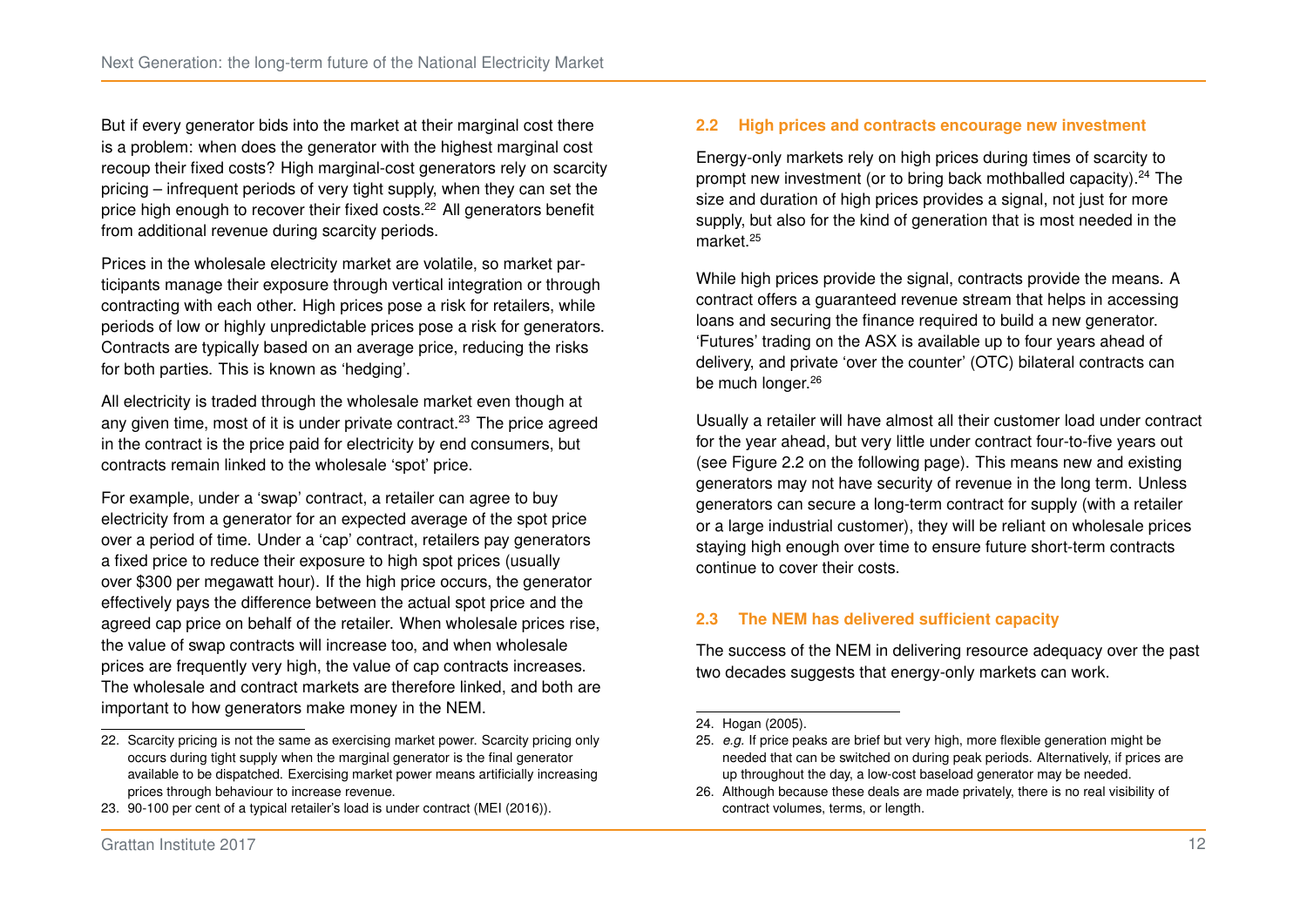But if every generator bids into the market at their marginal cost there is a problem: when does the generator with the highest marginal cost recoup their fixed costs? High marginal-cost generators rely on scarcity pricing – infrequent periods of very tight supply, when they can set the price high enough to recover their fixed costs.[22](#page-18-0) All generators benefit from additional revenue during scarcity periods.

Prices in the wholesale electricity market are volatile, so market participants manage their exposure through vertical integration or through contracting with each other. High prices pose a risk for retailers, while periods of low or highly unpredictable prices pose a risk for generators. Contracts are typically based on an average price, reducing the risks for both parties. This is known as 'hedging'.

All electricity is traded through the wholesale market even though at any given time, most of it is under private contract.<sup>[23](#page-18-1)</sup> The price agreed in the contract is the price paid for electricity by end consumers, but contracts remain linked to the wholesale 'spot' price.

For example, under a 'swap' contract, a retailer can agree to buy electricity from a generator for an expected average of the spot price over a period of time. Under a 'cap' contract, retailers pay generators a fixed price to reduce their exposure to high spot prices (usually over \$300 per megawatt hour). If the high price occurs, the generator effectively pays the difference between the actual spot price and the agreed cap price on behalf of the retailer. When wholesale prices rise, the value of swap contracts will increase too, and when wholesale prices are frequently very high, the value of cap contracts increases. The wholesale and contract markets are therefore linked, and both are important to how generators make money in the NEM.

#### **2.2 High prices and contracts encourage new investment**

Energy-only markets rely on high prices during times of scarcity to prompt new investment (or to bring back mothballed capacity).[24](#page-18-2) The size and duration of high prices provides a signal, not just for more supply, but also for the kind of generation that is most needed in the market<sup>[25](#page-18-3)</sup>

While high prices provide the signal, contracts provide the means. A contract offers a guaranteed revenue stream that helps in accessing loans and securing the finance required to build a new generator. 'Futures' trading on the ASX is available up to four years ahead of delivery, and private 'over the counter' (OTC) bilateral contracts can be much longer.<sup>[26](#page-18-4)</sup>

Usually a retailer will have almost all their customer load under contract for the year ahead, but very little under contract four-to-five years out (see Figure [2.2](#page-19-0) on the following page). This means new and existing generators may not have security of revenue in the long term. Unless generators can secure a long-term contract for supply (with a retailer or a large industrial customer), they will be reliant on wholesale prices staying high enough over time to ensure future short-term contracts continue to cover their costs.

#### **2.3 The NEM has delivered sufficient capacity**

The success of the NEM in delivering resource adequacy over the past two decades suggests that energy-only markets can work.

<span id="page-18-0"></span><sup>22.</sup> Scarcity pricing is not the same as exercising market power. Scarcity pricing only occurs during tight supply when the marginal generator is the final generator available to be dispatched. Exercising market power means artificially increasing prices through behaviour to increase revenue.

<span id="page-18-1"></span><sup>23. 90-100</sup> per cent of a typical retailer's load is under contract [\(MEI \(2016\)\)](#page-55-5).

<span id="page-18-2"></span><sup>24.</sup> [Hogan \(2005\).](#page-54-3)

<span id="page-18-3"></span><sup>25.</sup> *e.g.* If price peaks are brief but very high, more flexible generation might be needed that can be switched on during peak periods. Alternatively, if prices are up throughout the day, a low-cost baseload generator may be needed.

<span id="page-18-4"></span><sup>26.</sup> Although because these deals are made privately, there is no real visibility of contract volumes, terms, or length.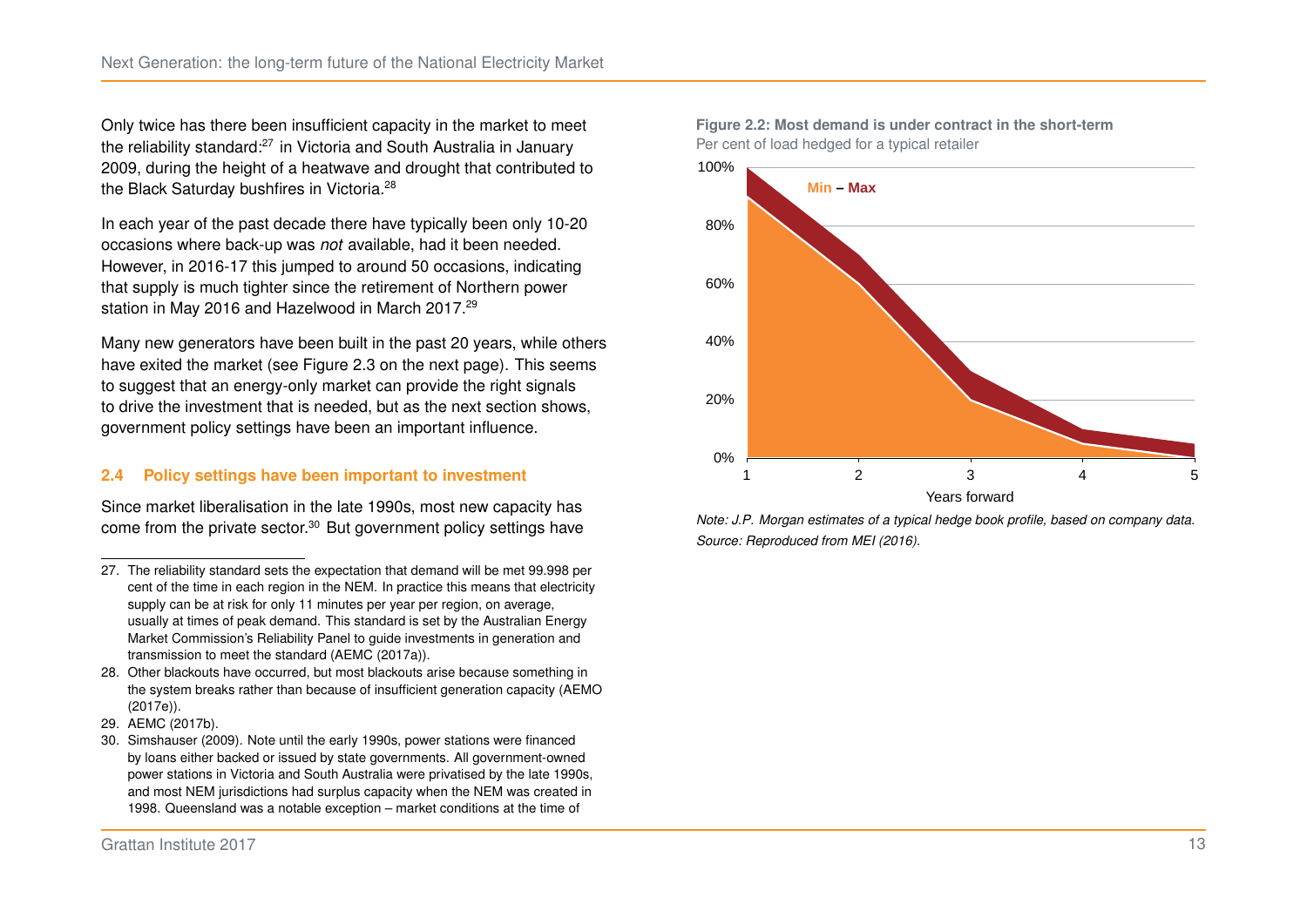Only twice has there been insufficient capacity in the market to meet the reliability standard:[27](#page-19-1) in Victoria and South Australia in January 2009, during the height of a heatwave and drought that contributed to the Black Saturday bushfires in Victoria.<sup>[28](#page-19-2)</sup>

In each year of the past decade there have typically been only 10-20 occasions where back-up was *not* available, had it been needed. However, in 2016-17 this jumped to around 50 occasions, indicating that supply is much tighter since the retirement of Northern power station in May 2016 and Hazelwood in March 2017.<sup>[29](#page-19-3)</sup>

Many new generators have been built in the past 20 years, while others have exited the market (see Figure [2.3](#page-20-0) on the next page). This seems to suggest that an energy-only market can provide the right signals to drive the investment that is needed, but as the next section shows, government policy settings have been an important influence.

#### **2.4 Policy settings have been important to investment**

Since market liberalisation in the late 1990s, most new capacity has come from the private sector.[30](#page-19-4) But government policy settings have



0%

20%

<span id="page-19-0"></span>**Figure 2.2: Most demand is under contract in the short-term** Per cent of load hedged for a typical retailer

*Note: J.P. Morgan estimates of a typical hedge book profile, based on company data. Source: Reproduced from [MEI \(2016\).](#page-55-5)*

1 2 3 4 5 Years forward

<span id="page-19-1"></span><sup>27.</sup> The reliability standard sets the expectation that demand will be met 99.998 per cent of the time in each region in the NEM. In practice this means that electricity supply can be at risk for only 11 minutes per year per region, on average, usually at times of peak demand. This standard is set by the Australian Energy Market Commission's Reliability Panel to guide investments in generation and transmission to meet the standard [\(AEMC \(2017a\)\)](#page-51-3).

<span id="page-19-2"></span><sup>28.</sup> Other blackouts have occurred, but most blackouts arise because something in the system breaks rather than because of insufficient generation capacity [\(AEMO](#page-52-8) [\(2017e\)\)](#page-52-8).

<span id="page-19-3"></span><sup>29.</sup> [AEMC \(2017b\).](#page-51-4)

<span id="page-19-4"></span><sup>30.</sup> [Simshauser \(2009\).](#page-56-3) Note until the early 1990s, power stations were financed by loans either backed or issued by state governments. All government-owned power stations in Victoria and South Australia were privatised by the late 1990s, and most NEM jurisdictions had surplus capacity when the NEM was created in 1998. Queensland was a notable exception – market conditions at the time of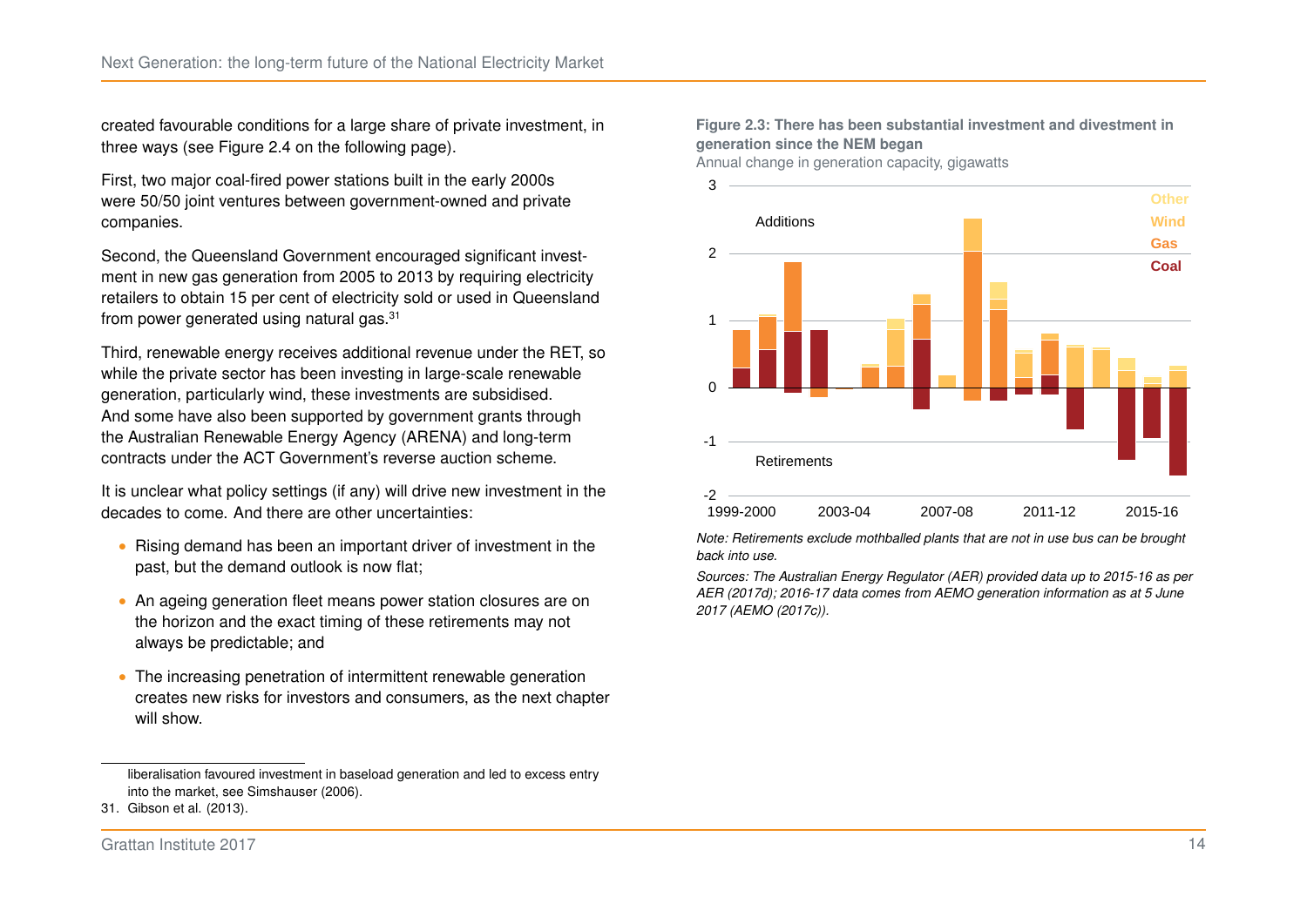created favourable conditions for a large share of private investment, in three ways (see Figure [2.4](#page-21-0) on the following page).

First, two major coal-fired power stations built in the early 2000s were 50/50 joint ventures between government-owned and private companies.

Second, the Queensland Government encouraged significant investment in new gas generation from 2005 to 2013 by requiring electricity retailers to obtain 15 per cent of electricity sold or used in Queensland from power generated using natural gas.[31](#page-20-1)

Third, renewable energy receives additional revenue under the RET, so while the private sector has been investing in large-scale renewable generation, particularly wind, these investments are subsidised. And some have also been supported by government grants through the Australian Renewable Energy Agency (ARENA) and long-term contracts under the ACT Government's reverse auction scheme.

It is unclear what policy settings (if any) will drive new investment in the decades to come. And there are other uncertainties:

- ∙ Rising demand has been an important driver of investment in the past, but the demand outlook is now flat;
- ∙ An ageing generation fleet means power station closures are on the horizon and the exact timing of these retirements may not always be predictable; and
- ∙ The increasing penetration of intermittent renewable generation creates new risks for investors and consumers, as the next chapter will show.

#### Grattan Institute 2017 **14**

#### <span id="page-20-0"></span>**Figure 2.3: There has been substantial investment and divestment in generation since the NEM began**

Annual change in generation capacity, gigawatts



*Note: Retirements exclude mothballed plants that are not in use bus can be brought back into use.*

*Sources: The Australian Energy Regulator (AER) provided data up to 2015-16 as per [AER \(2017d\);](#page-52-9) 2016-17 data comes from AEMO generation information as at 5 June 2017 [\(AEMO \(2017c\)\)](#page-52-4).*

<span id="page-20-1"></span>liberalisation favoured investment in baseload generation and led to excess entry into the market, see [Simshauser \(2006\).](#page-56-4)

<sup>31.</sup> [Gibson et al. \(2013\).](#page-54-7)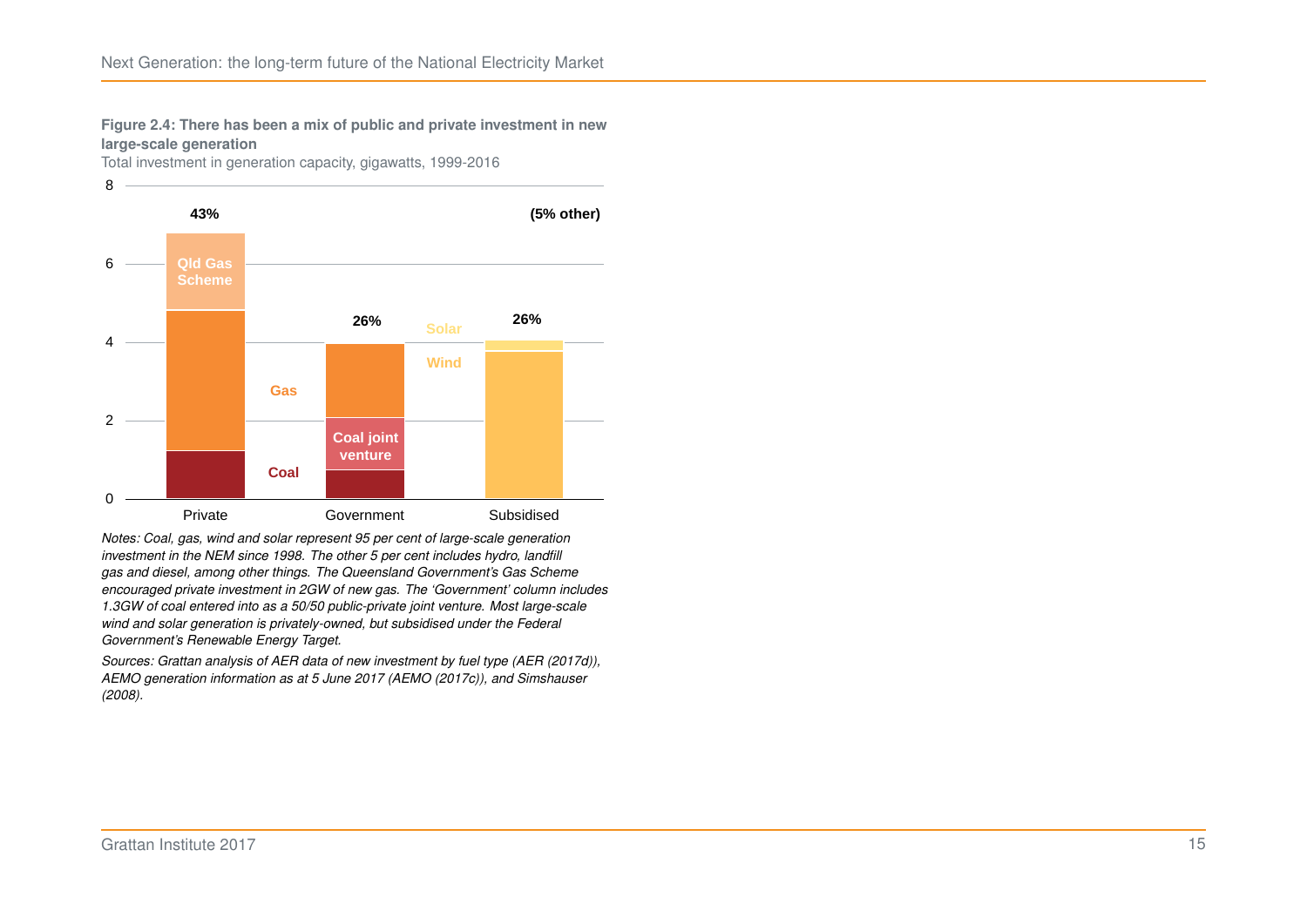<span id="page-21-0"></span>**Figure 2.4: There has been a mix of public and private investment in new large-scale generation**

Total investment in generation capacity, gigawatts, 1999-2016



*Notes: Coal, gas, wind and solar represent 95 per cent of large-scale generation investment in the NEM since 1998. The other 5 per cent includes hydro, landfill gas and diesel, among other things. The Queensland Government's Gas Scheme encouraged private investment in 2GW of new gas. The 'Government' column includes 1.3GW of coal entered into as a 50/50 public-private joint venture. Most large-scale wind and solar generation is privately-owned, but subsidised under the Federal Government's Renewable Energy Target.*

*Sources: Grattan analysis of AER data of new investment by fuel type [\(AER \(2017d\)\)](#page-52-9), AEMO generation information as at 5 June 2017 [\(AEMO \(2017c\)\)](#page-52-4), and [Simshauser](#page-56-1) [\(2008\).](#page-56-1)*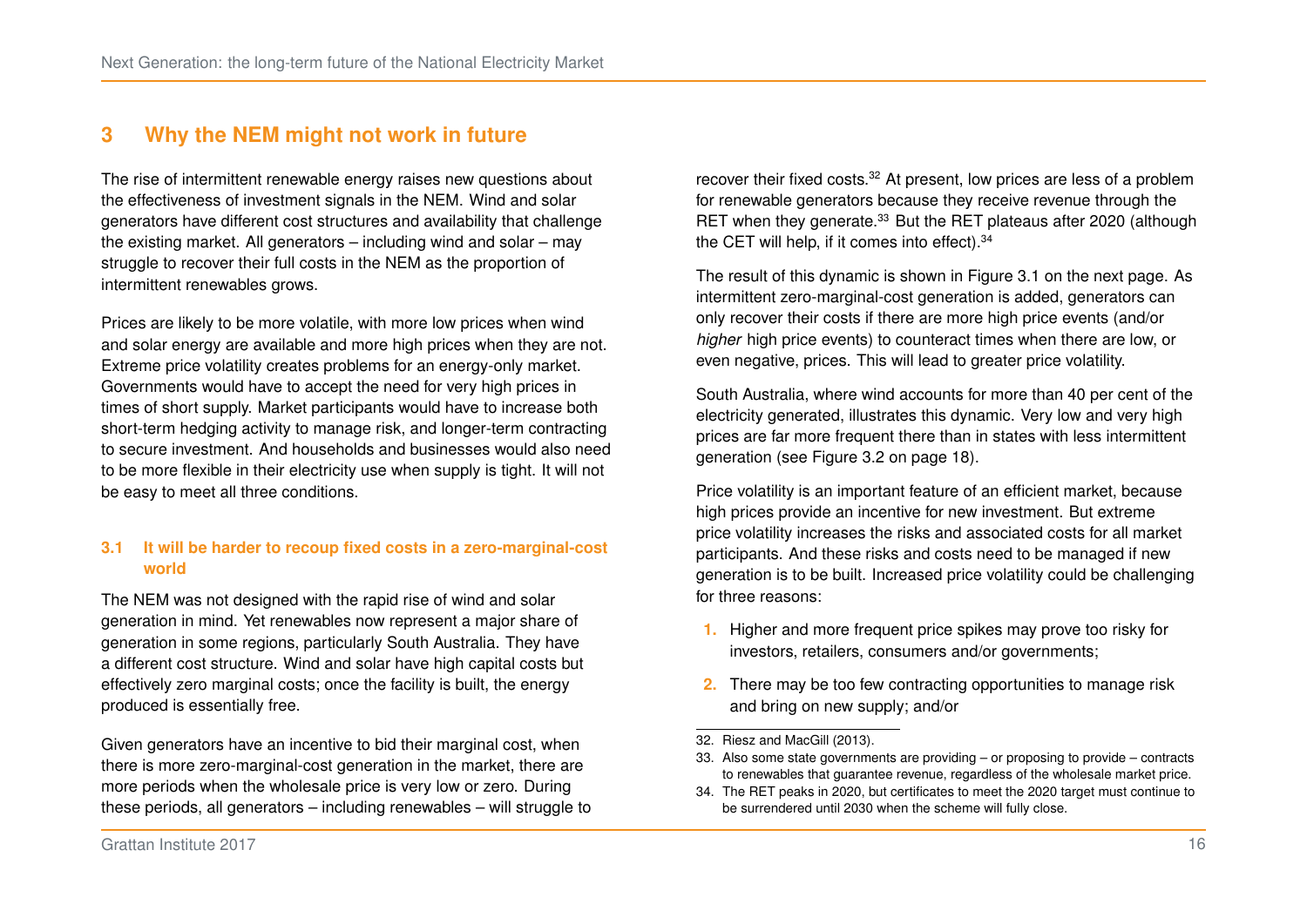## <span id="page-22-0"></span>**3 Why the NEM might not work in future**

The rise of intermittent renewable energy raises new questions about the effectiveness of investment signals in the NEM. Wind and solar generators have different cost structures and availability that challenge the existing market. All generators – including wind and solar – may struggle to recover their full costs in the NEM as the proportion of intermittent renewables grows.

Prices are likely to be more volatile, with more low prices when wind and solar energy are available and more high prices when they are not. Extreme price volatility creates problems for an energy-only market. Governments would have to accept the need for very high prices in times of short supply. Market participants would have to increase both short-term hedging activity to manage risk, and longer-term contracting to secure investment. And households and businesses would also need to be more flexible in their electricity use when supply is tight. It will not be easy to meet all three conditions.

#### **3.1 It will be harder to recoup fixed costs in a zero-marginal-cost world**

The NEM was not designed with the rapid rise of wind and solar generation in mind. Yet renewables now represent a major share of generation in some regions, particularly South Australia. They have a different cost structure. Wind and solar have high capital costs but effectively zero marginal costs; once the facility is built, the energy produced is essentially free.

Given generators have an incentive to bid their marginal cost, when there is more zero-marginal-cost generation in the market, there are more periods when the wholesale price is very low or zero. During these periods, all generators – including renewables – will struggle to recover their fixed costs.[32](#page-22-1) At present, low prices are less of a problem for renewable generators because they receive revenue through the RET when they generate.<sup>[33](#page-22-2)</sup> But the RET plateaus after 2020 (although the CET will help, if it comes into effect).<sup>[34](#page-22-3)</sup>

The result of this dynamic is shown in Figure [3.1](#page-23-0) on the next page. As intermittent zero-marginal-cost generation is added, generators can only recover their costs if there are more high price events (and/or *higher* high price events) to counteract times when there are low, or even negative, prices. This will lead to greater price volatility.

South Australia, where wind accounts for more than 40 per cent of the electricity generated, illustrates this dynamic. Very low and very high prices are far more frequent there than in states with less intermittent generation (see Figure [3.2](#page-24-0) on page [18\)](#page-24-0).

Price volatility is an important feature of an efficient market, because high prices provide an incentive for new investment. But extreme price volatility increases the risks and associated costs for all market participants. And these risks and costs need to be managed if new generation is to be built. Increased price volatility could be challenging for three reasons:

- **1.** Higher and more frequent price spikes may prove too risky for investors, retailers, consumers and/or governments;
- **2.** There may be too few contracting opportunities to manage risk and bring on new supply; and/or
- <span id="page-22-1"></span>32. [Riesz and MacGill \(2013\).](#page-56-2)
- <span id="page-22-2"></span>33. Also some state governments are providing – or proposing to provide – contracts to renewables that guarantee revenue, regardless of the wholesale market price.

<span id="page-22-3"></span><sup>34.</sup> The RET peaks in 2020, but certificates to meet the 2020 target must continue to be surrendered until 2030 when the scheme will fully close.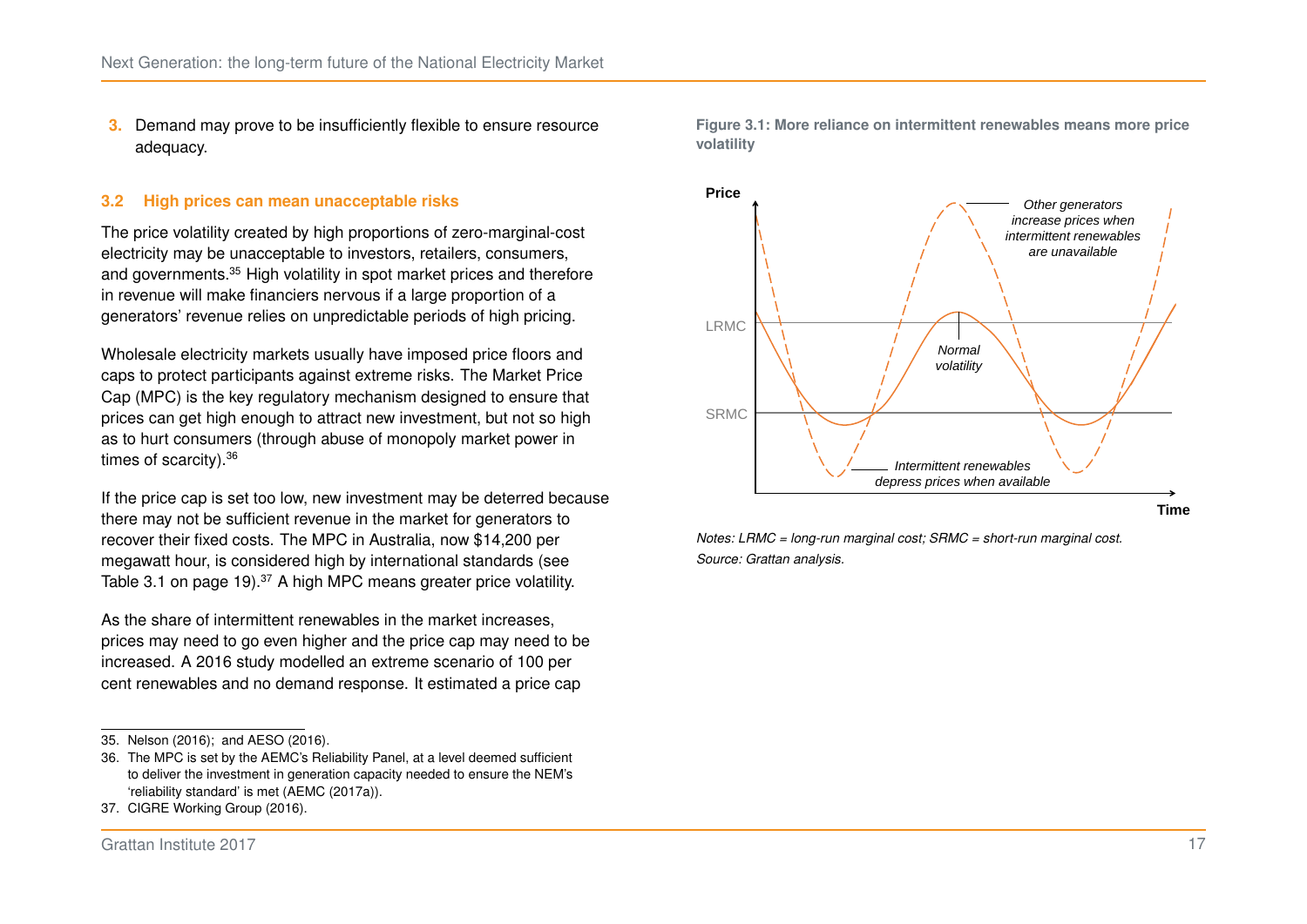**3.** Demand may prove to be insufficiently flexible to ensure resource adequacy.

#### **3.2 High prices can mean unacceptable risks**

The price volatility created by high proportions of zero-marginal-cost electricity may be unacceptable to investors, retailers, consumers, and governments.<sup>[35](#page-23-1)</sup> High volatility in spot market prices and therefore in revenue will make financiers nervous if a large proportion of a generators' revenue relies on unpredictable periods of high pricing.

Wholesale electricity markets usually have imposed price floors and caps to protect participants against extreme risks. The Market Price Cap (MPC) is the key regulatory mechanism designed to ensure that prices can get high enough to attract new investment, but not so high as to hurt consumers (through abuse of monopoly market power in times of scarcity).[36](#page-23-2)

If the price cap is set too low, new investment may be deterred because there may not be sufficient revenue in the market for generators to recover their fixed costs. The MPC in Australia, now \$14,200 per megawatt hour, is considered high by international standards (see Table [3.1](#page-25-0) on page [19\)](#page-25-0).<sup>[37](#page-23-3)</sup> A high MPC means greater price volatility.

As the share of intermittent renewables in the market increases, prices may need to go even higher and the price cap may need to be increased. A 2016 study modelled an extreme scenario of 100 per cent renewables and no demand response. It estimated a price cap

<span id="page-23-0"></span>



*Notes: LRMC = long-run marginal cost; SRMC = short-run marginal cost. Source: Grattan analysis.*

<span id="page-23-1"></span><sup>35.</sup> [Nelson \(2016\);](#page-55-1) and [AESO \(2016\).](#page-53-4)

<span id="page-23-2"></span><sup>36.</sup> The MPC is set by the AEMC's Reliability Panel, at a level deemed sufficient to deliver the investment in generation capacity needed to ensure the NEM's 'reliability standard' is met [\(AEMC \(2017a\)\)](#page-51-3).

<span id="page-23-3"></span><sup>37.</sup> [CIGRE Working Group \(2016\).](#page-53-5)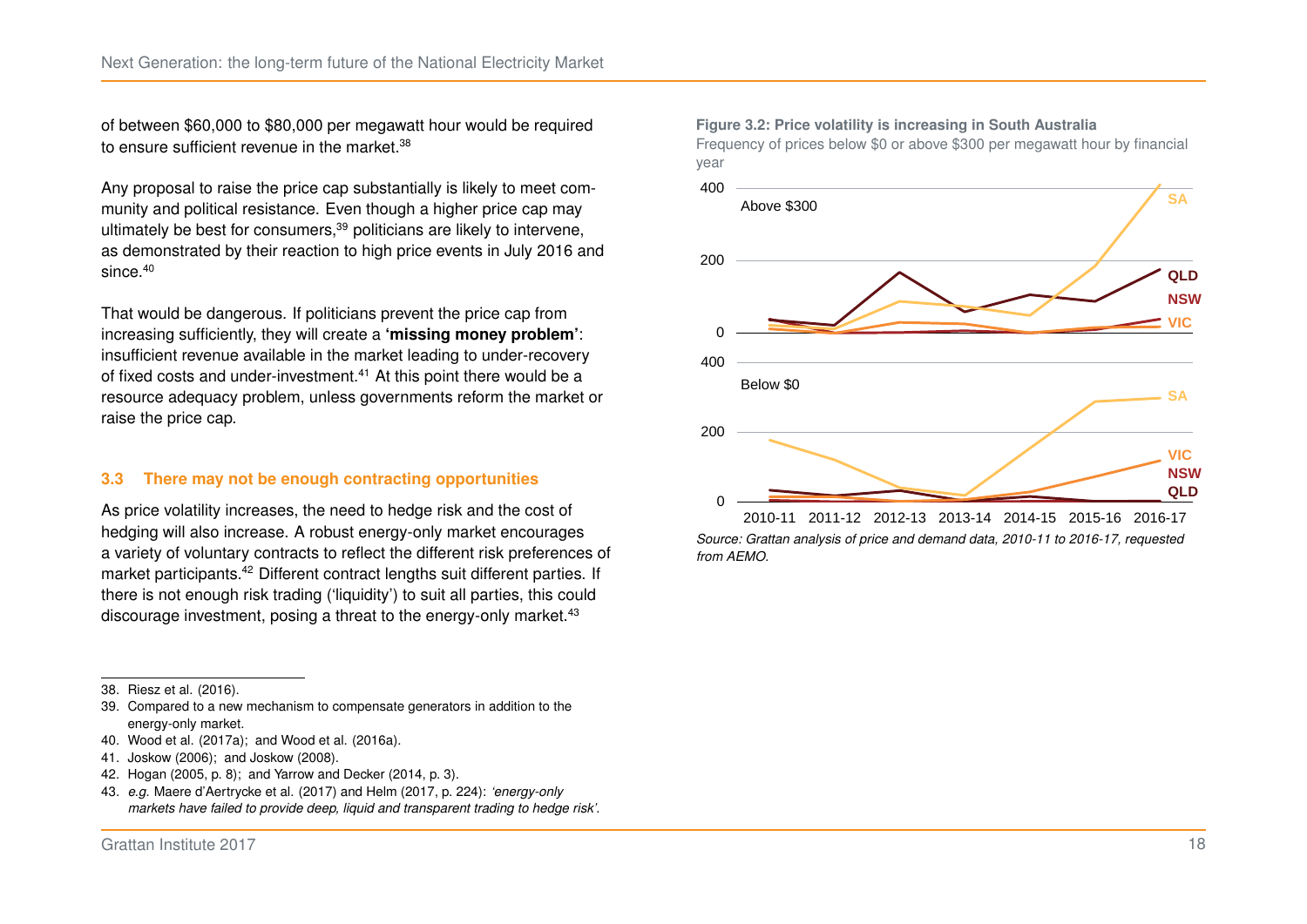of between \$60,000 to \$80,000 per megawatt hour would be required to ensure sufficient revenue in the market.<sup>[38](#page-24-1)</sup>

Any proposal to raise the price cap substantially is likely to meet community and political resistance. Even though a higher price cap may ultimately be best for consumers,<sup>[39](#page-24-2)</sup> politicians are likely to intervene, as demonstrated by their reaction to high price events in July 2016 and since.<sup>[40](#page-24-3)</sup>

That would be dangerous. If politicians prevent the price cap from increasing sufficiently, they will create a **'missing money problem'**: insufficient revenue available in the market leading to under-recovery of fixed costs and under-investment.<sup>[41](#page-24-4)</sup> At this point there would be a resource adequacy problem, unless governments reform the market or raise the price cap.

#### **3.3 There may not be enough contracting opportunities**

As price volatility increases, the need to hedge risk and the cost of hedging will also increase. A robust energy-only market encourages a variety of voluntary contracts to reflect the different risk preferences of market participants.[42](#page-24-5) Different contract lengths suit different parties. If there is not enough risk trading ('liquidity') to suit all parties, this could discourage investment, posing a threat to the energy-only market.<sup>[43](#page-24-6)</sup>

- <span id="page-24-2"></span>39. Compared to a new mechanism to compensate generators in addition to the energy-only market.
- <span id="page-24-3"></span>40. [Wood et al. \(2017a\);](#page-57-4) and [Wood et al. \(2016a\).](#page-57-5)
- <span id="page-24-4"></span>41. [Joskow \(2006\);](#page-54-4) and [Joskow \(2008\).](#page-54-5)
- <span id="page-24-5"></span>42. Hogan [\(2005,](#page-54-3) p. 8); and Yarrow and Decker [\(2014,](#page-57-7) p. 3).
- <span id="page-24-6"></span>43. *e.g.* [Maere d'Aertrycke et al. \(2017\)](#page-55-6) and Helm [\(2017,](#page-54-8) p. 224): *'energy-only markets have failed to provide deep, liquid and transparent trading to hedge risk'*.

#### <span id="page-24-0"></span>**Figure 3.2: Price volatility is increasing in South Australia**

Frequency of prices below \$0 or above \$300 per megawatt hour by financial year



*Source: Grattan analysis of price and demand data, 2010-11 to 2016-17, requested from AEMO.*

<span id="page-24-1"></span><sup>38.</sup> [Riesz et al. \(2016\).](#page-56-5)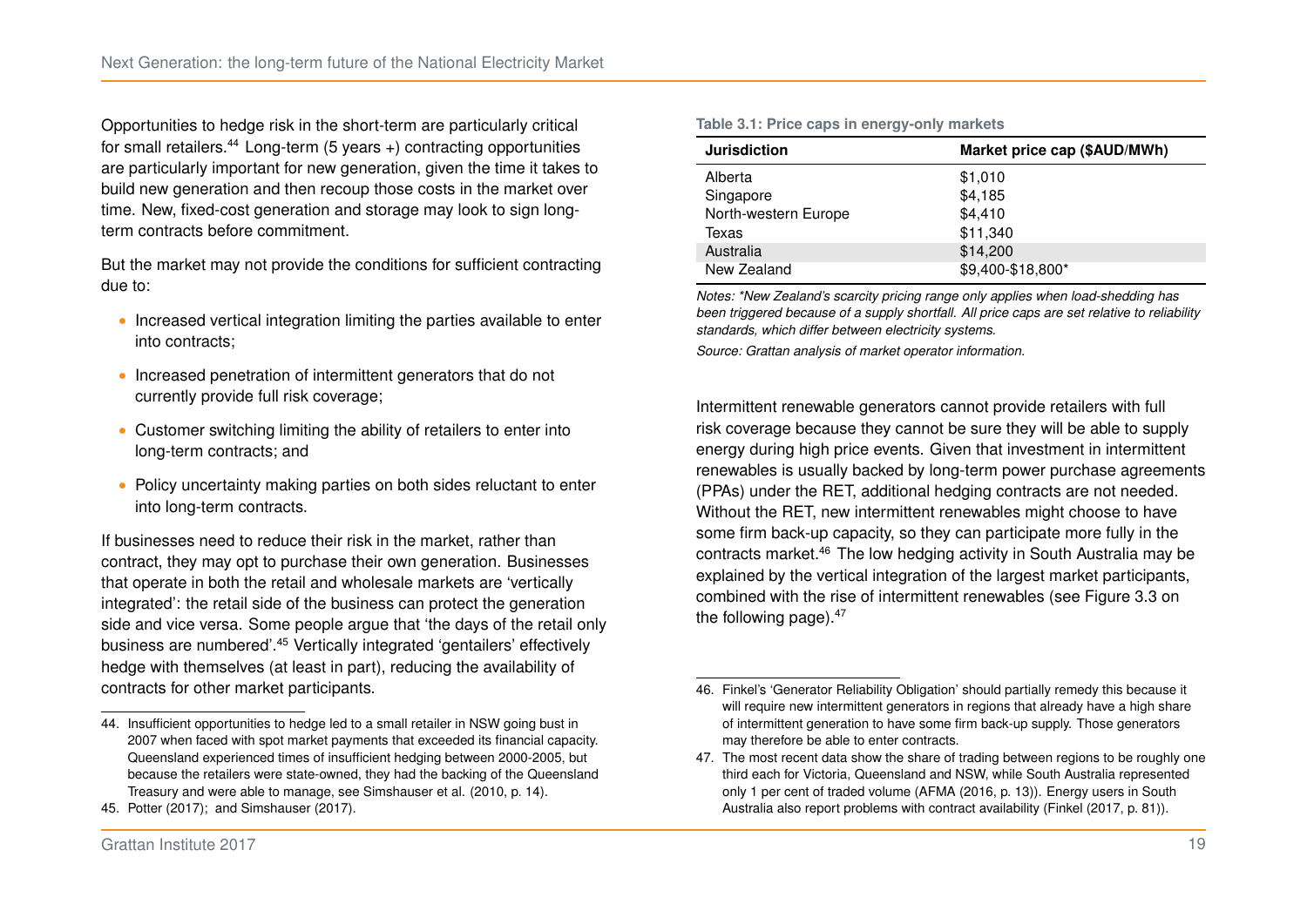Opportunities to hedge risk in the short-term are particularly critical for small retailers. $44$  Long-term (5 years +) contracting opportunities are particularly important for new generation, given the time it takes to build new generation and then recoup those costs in the market over time. New, fixed-cost generation and storage may look to sign longterm contracts before commitment.

But the market may not provide the conditions for sufficient contracting due to:

- ∙ Increased vertical integration limiting the parties available to enter into contracts;
- ∙ Increased penetration of intermittent generators that do not currently provide full risk coverage;
- ∙ Customer switching limiting the ability of retailers to enter into long-term contracts; and
- ∙ Policy uncertainty making parties on both sides reluctant to enter into long-term contracts.

If businesses need to reduce their risk in the market, rather than contract, they may opt to purchase their own generation. Businesses that operate in both the retail and wholesale markets are 'vertically integrated': the retail side of the business can protect the generation side and vice versa. Some people argue that 'the days of the retail only business are numbered'.[45](#page-25-2) Vertically integrated 'gentailers' effectively hedge with themselves (at least in part), reducing the availability of contracts for other market participants.

| <b>Jurisdiction</b>  | Market price cap (\$AUD/MWh) |  |  |
|----------------------|------------------------------|--|--|
| Alberta              | \$1,010                      |  |  |
| Singapore            | \$4,185                      |  |  |
| North-western Europe | \$4,410                      |  |  |
| Texas                | \$11,340                     |  |  |
| Australia            | \$14,200                     |  |  |
| New Zealand          | \$9,400-\$18,800*            |  |  |

*Notes: \*New Zealand's scarcity pricing range only applies when load-shedding has been triggered because of a supply shortfall. All price caps are set relative to reliability standards, which differ between electricity systems.*

*Source: Grattan analysis of market operator information.*

Intermittent renewable generators cannot provide retailers with full risk coverage because they cannot be sure they will be able to supply energy during high price events. Given that investment in intermittent renewables is usually backed by long-term power purchase agreements (PPAs) under the RET, additional hedging contracts are not needed. Without the RET, new intermittent renewables might choose to have some firm back-up capacity, so they can participate more fully in the contracts market.[46](#page-25-3) The low hedging activity in South Australia may be explained by the vertical integration of the largest market participants, combined with the rise of intermittent renewables (see Figure [3.3](#page-26-0) on the following page). $47$ 

#### <span id="page-25-0"></span>**Table 3.1: Price caps in energy-only markets**

<span id="page-25-1"></span><sup>44.</sup> Insufficient opportunities to hedge led to a small retailer in NSW going bust in 2007 when faced with spot market payments that exceeded its financial capacity. Queensland experienced times of insufficient hedging between 2000-2005, but because the retailers were state-owned, they had the backing of the Queensland Treasury and were able to manage, see Simshauser et al. [\(2010,](#page-57-8) p. 14).

<span id="page-25-2"></span><sup>45.</sup> [Potter \(2017\);](#page-56-6) and [Simshauser \(2017\).](#page-57-9)

<span id="page-25-3"></span><sup>46.</sup> Finkel's 'Generator Reliability Obligation' should partially remedy this because it will require new intermittent generators in regions that already have a high share of intermittent generation to have some firm back-up supply. Those generators may therefore be able to enter contracts.

<span id="page-25-4"></span><sup>47.</sup> The most recent data show the share of trading between regions to be roughly one third each for Victoria, Queensland and NSW, while South Australia represented only 1 per cent of traded volume (AFMA [\(2016,](#page-53-6) p. 13)). Energy users in South Australia also report problems with contract availability (Finkel [\(2017,](#page-54-0) p. 81)).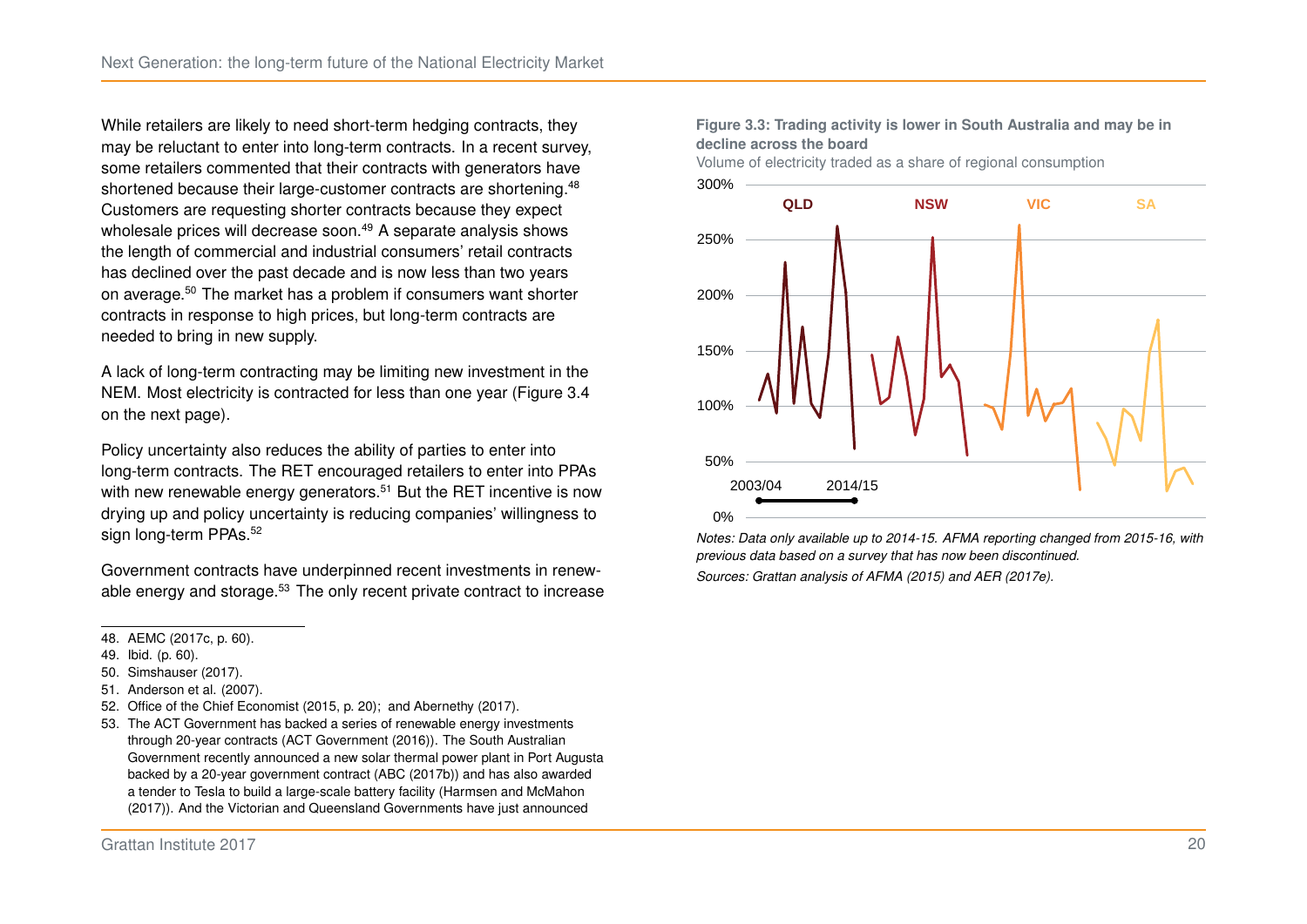While retailers are likely to need short-term hedging contracts, they may be reluctant to enter into long-term contracts. In a recent survey, some retailers commented that their contracts with generators have shortened because their large-customer contracts are shortening.<sup>[48](#page-26-1)</sup> Customers are requesting shorter contracts because they expect wholesale prices will decrease soon.<sup>[49](#page-26-2)</sup> A separate analysis shows the length of commercial and industrial consumers' retail contracts has declined over the past decade and is now less than two years on average.[50](#page-26-3) The market has a problem if consumers want shorter contracts in response to high prices, but long-term contracts are needed to bring in new supply.

A lack of long-term contracting may be limiting new investment in the NEM. Most electricity is contracted for less than one year (Figure [3.4](#page-27-0) on the next page).

Policy uncertainty also reduces the ability of parties to enter into long-term contracts. The RET encouraged retailers to enter into PPAs with new renewable energy generators.<sup>[51](#page-26-4)</sup> But the RET incentive is now drying up and policy uncertainty is reducing companies' willingness to sign long-term PPAs.<sup>[52](#page-26-5)</sup>

Government contracts have underpinned recent investments in renew-able energy and storage.<sup>[53](#page-26-6)</sup> The only recent private contract to increase

- <span id="page-26-2"></span>49. Ibid. (p. 60).
- <span id="page-26-3"></span>50. [Simshauser \(2017\).](#page-57-9)
- <span id="page-26-4"></span>51. [Anderson et al. \(2007\).](#page-53-7)
- <span id="page-26-5"></span>52. Office of the Chief Economist [\(2015,](#page-55-7) p. 20); and [Abernethy \(2017\).](#page-51-6)
- <span id="page-26-6"></span>53. The ACT Government has backed a series of renewable energy investments through 20-year contracts [\(ACT Government \(2016\)\)](#page-51-7). The South Australian Government recently announced a new solar thermal power plant in Port Augusta backed by a 20-year government contract [\(ABC \(2017b\)\)](#page-51-8) and has also awarded a tender to Tesla to build a large-scale battery facility [\(Harmsen and McMahon](#page-54-9) [\(2017\)\)](#page-54-9). And the Victorian and Queensland Governments have just announced

<span id="page-26-0"></span>**Figure 3.3: Trading activity is lower in South Australia and may be in decline across the board**

Volume of electricity traded as a share of regional consumption



*Notes: Data only available up to 2014-15. AFMA reporting changed from 2015-16, with previous data based on a survey that has now been discontinued. Sources: Grattan analysis of [AFMA \(2015\)](#page-53-8) and [AER \(2017e\).](#page-52-10)*

<span id="page-26-1"></span><sup>48.</sup> AEMC [\(2017c,](#page-51-5) p. 60).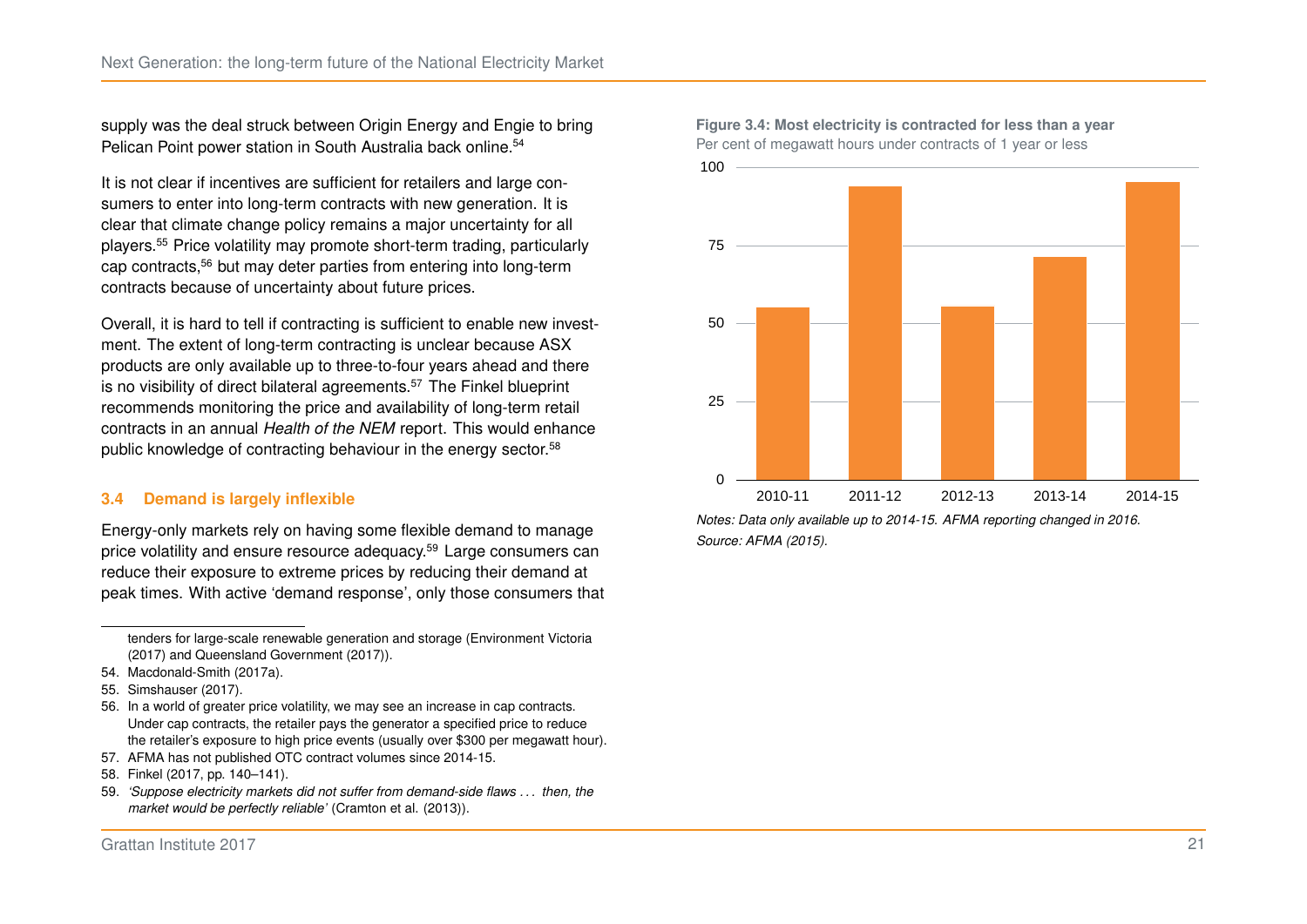supply was the deal struck between Origin Energy and Engie to bring Pelican Point power station in South Australia back online.<sup>[54](#page-27-1)</sup>

It is not clear if incentives are sufficient for retailers and large consumers to enter into long-term contracts with new generation. It is clear that climate change policy remains a major uncertainty for all players.[55](#page-27-2) Price volatility may promote short-term trading, particularly cap contracts,[56](#page-27-3) but may deter parties from entering into long-term contracts because of uncertainty about future prices.

Overall, it is hard to tell if contracting is sufficient to enable new investment. The extent of long-term contracting is unclear because ASX products are only available up to three-to-four years ahead and there is no visibility of direct bilateral agreements.<sup>[57](#page-27-4)</sup> The Finkel blueprint recommends monitoring the price and availability of long-term retail contracts in an annual *Health of the NEM* report. This would enhance public knowledge of contracting behaviour in the energy sector.<sup>[58](#page-27-5)</sup>

#### **3.4 Demand is largely inflexible**

Energy-only markets rely on having some flexible demand to manage price volatility and ensure resource adequacy.[59](#page-27-6) Large consumers can reduce their exposure to extreme prices by reducing their demand at peak times. With active 'demand response', only those consumers that

- <span id="page-27-4"></span>57. AFMA has not published OTC contract volumes since 2014-15.
- <span id="page-27-5"></span>58. Finkel [\(2017,](#page-54-0) pp. 140–141).
- <span id="page-27-6"></span>59. *'Suppose electricity markets did not suffer from demand-side flaws . . . then, the market would be perfectly reliable'* [\(Cramton et al. \(2013\)\)](#page-53-3).



<span id="page-27-0"></span>**Figure 3.4: Most electricity is contracted for less than a year** Per cent of megawatt hours under contracts of 1 year or less

tenders for large-scale renewable generation and storage [\(Environment Victoria](#page-54-10) [\(2017\)](#page-54-10) and [Queensland Government \(2017\)\)](#page-56-7).

<span id="page-27-1"></span><sup>54.</sup> [Macdonald-Smith \(2017a\).](#page-55-8)

<span id="page-27-2"></span><sup>55.</sup> [Simshauser \(2017\).](#page-57-9)

<span id="page-27-3"></span><sup>56.</sup> In a world of greater price volatility, we may see an increase in cap contracts. Under cap contracts, the retailer pays the generator a specified price to reduce the retailer's exposure to high price events (usually over \$300 per megawatt hour).

*Notes: Data only available up to 2014-15. AFMA reporting changed in 2016. Source: [AFMA \(2015\).](#page-53-8)*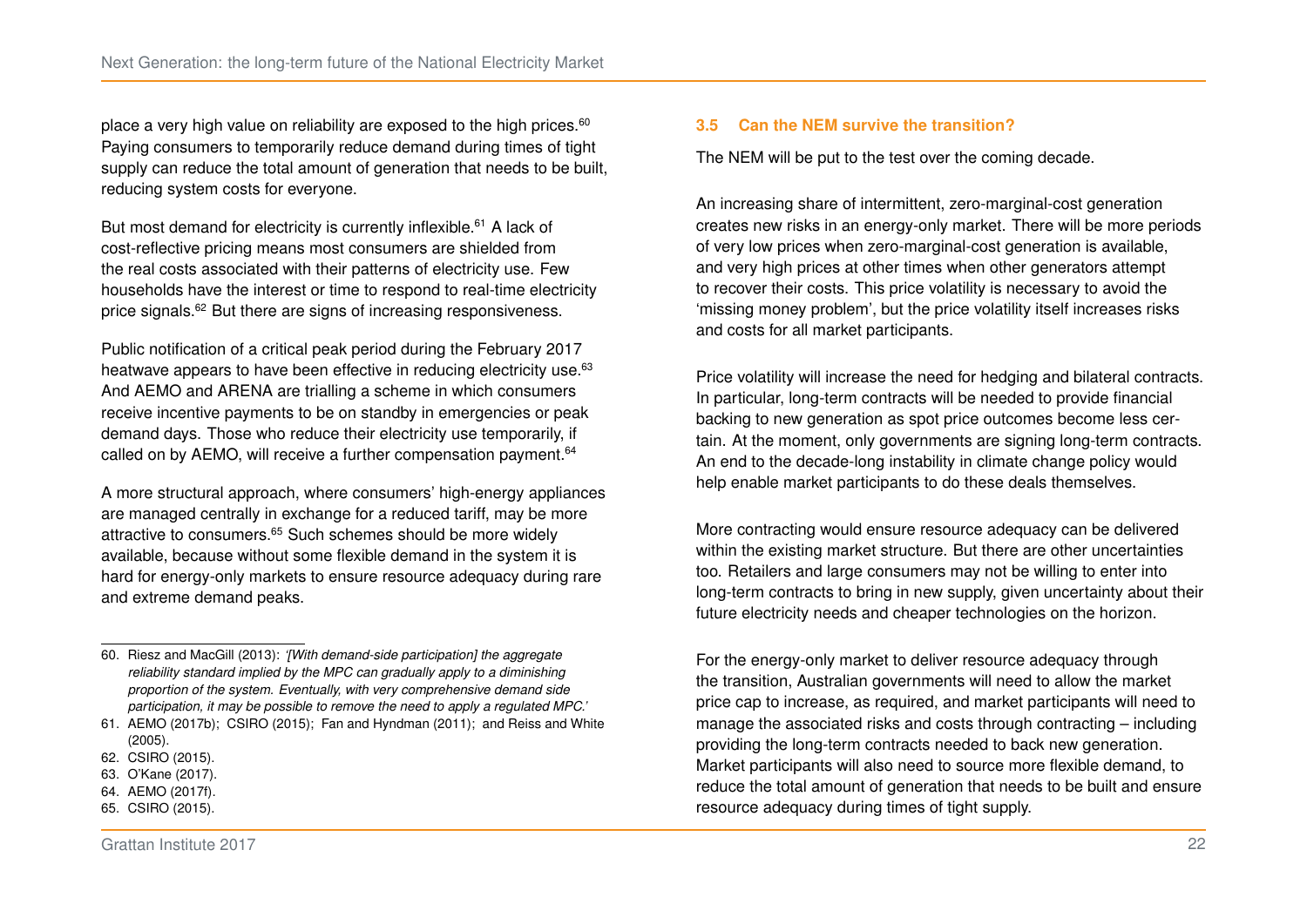place a very high value on reliability are exposed to the high prices.<sup>[60](#page-28-0)</sup> Paying consumers to temporarily reduce demand during times of tight supply can reduce the total amount of generation that needs to be built, reducing system costs for everyone.

But most demand for electricity is currently inflexible.<sup>[61](#page-28-1)</sup> A lack of cost-reflective pricing means most consumers are shielded from the real costs associated with their patterns of electricity use. Few households have the interest or time to respond to real-time electricity price signals.[62](#page-28-2) But there are signs of increasing responsiveness.

Public notification of a critical peak period during the February 2017 heatwave appears to have been effective in reducing electricity use.<sup>[63](#page-28-3)</sup> And AEMO and ARENA are trialling a scheme in which consumers receive incentive payments to be on standby in emergencies or peak demand days. Those who reduce their electricity use temporarily, if called on by AEMO, will receive a further compensation payment.<sup>[64](#page-28-4)</sup>

A more structural approach, where consumers' high-energy appliances are managed centrally in exchange for a reduced tariff, may be more attractive to consumers.<sup>[65](#page-28-5)</sup> Such schemes should be more widely available, because without some flexible demand in the system it is hard for energy-only markets to ensure resource adequacy during rare and extreme demand peaks.

- <span id="page-28-3"></span>63. [O'Kane \(2017\).](#page-56-9)
- <span id="page-28-5"></span><span id="page-28-4"></span>64. [AEMO \(2017f\).](#page-52-11) 65. [CSIRO \(2015\).](#page-53-9)

#### **3.5 Can the NEM survive the transition?**

The NEM will be put to the test over the coming decade.

An increasing share of intermittent, zero-marginal-cost generation creates new risks in an energy-only market. There will be more periods of very low prices when zero-marginal-cost generation is available, and very high prices at other times when other generators attempt to recover their costs. This price volatility is necessary to avoid the 'missing money problem', but the price volatility itself increases risks and costs for all market participants.

Price volatility will increase the need for hedging and bilateral contracts. In particular, long-term contracts will be needed to provide financial backing to new generation as spot price outcomes become less certain. At the moment, only governments are signing long-term contracts. An end to the decade-long instability in climate change policy would help enable market participants to do these deals themselves.

More contracting would ensure resource adequacy can be delivered within the existing market structure. But there are other uncertainties too. Retailers and large consumers may not be willing to enter into long-term contracts to bring in new supply, given uncertainty about their future electricity needs and cheaper technologies on the horizon.

For the energy-only market to deliver resource adequacy through the transition, Australian governments will need to allow the market price cap to increase, as required, and market participants will need to manage the associated risks and costs through contracting – including providing the long-term contracts needed to back new generation. Market participants will also need to source more flexible demand, to reduce the total amount of generation that needs to be built and ensure resource adequacy during times of tight supply.

<span id="page-28-0"></span><sup>60.</sup> [Riesz and MacGill \(2013\):](#page-56-2) *'[With demand-side participation] the aggregate reliability standard implied by the MPC can gradually apply to a diminishing proportion of the system. Eventually, with very comprehensive demand side participation, it may be possible to remove the need to apply a regulated MPC.'*

<span id="page-28-1"></span><sup>61.</sup> [AEMO \(2017b\);](#page-52-2) [CSIRO \(2015\);](#page-53-9) [Fan and Hyndman \(2011\);](#page-54-11) and [Reiss and White](#page-56-8) [\(2005\).](#page-56-8)

<span id="page-28-2"></span><sup>62.</sup> [CSIRO \(2015\).](#page-53-9)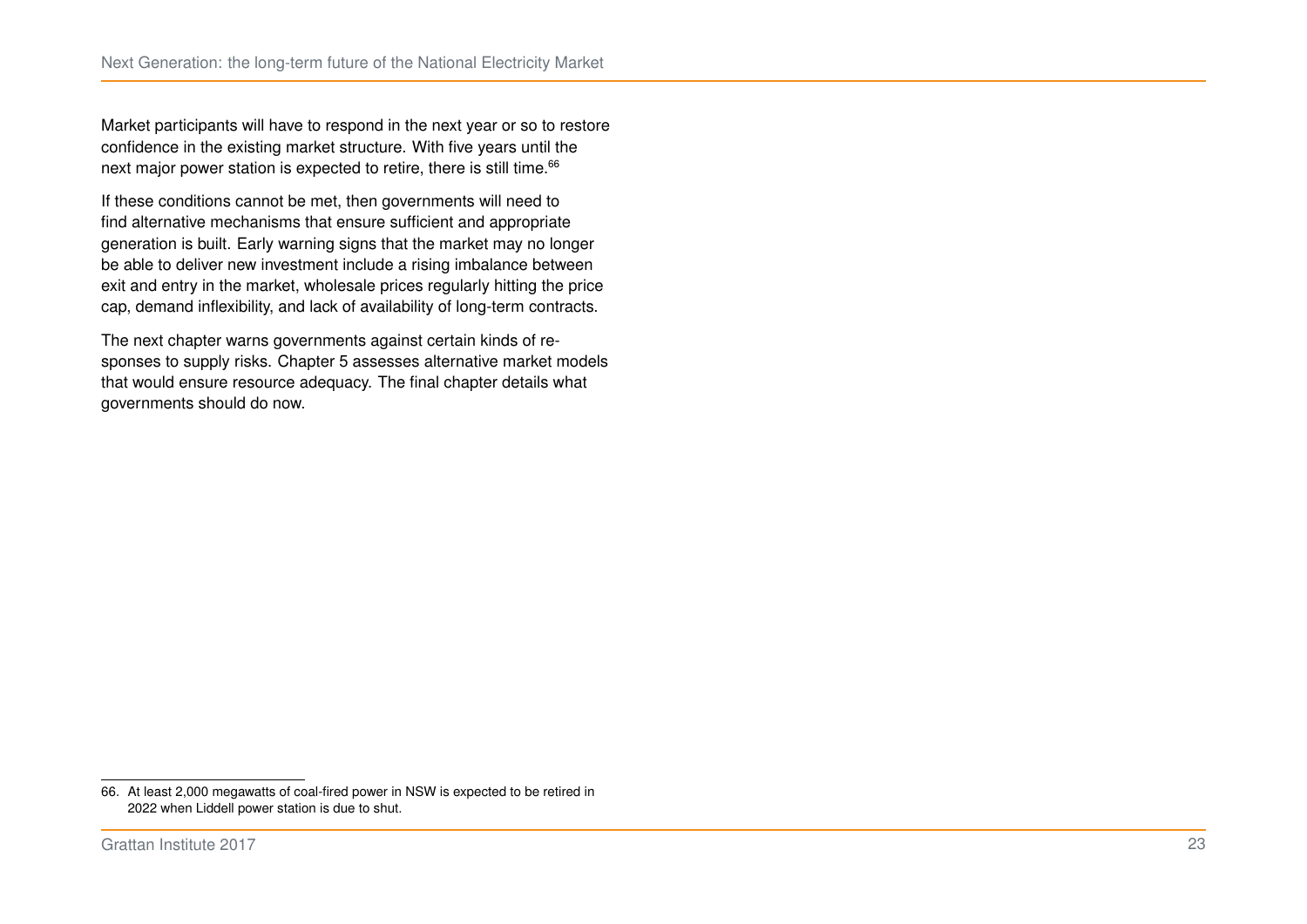Market participants will have to respond in the next year or so to restore confidence in the existing market structure. With five years until the next major power station is expected to retire, there is still time.<sup>[66](#page-29-0)</sup>

If these conditions cannot be met, then governments will need to find alternative mechanisms that ensure sufficient and appropriate generation is built. Early warning signs that the market may no longer be able to deliver new investment include a rising imbalance between exit and entry in the market, wholesale prices regularly hitting the price cap, demand inflexibility, and lack of availability of long-term contracts.

The next chapter warns governments against certain kinds of re-sponses to supply risks. Chapter [5](#page-37-0) assesses alternative market models that would ensure resource adequacy. The final chapter details what governments should do now.

<span id="page-29-0"></span><sup>66.</sup> At least 2,000 megawatts of coal-fired power in NSW is expected to be retired in 2022 when Liddell power station is due to shut.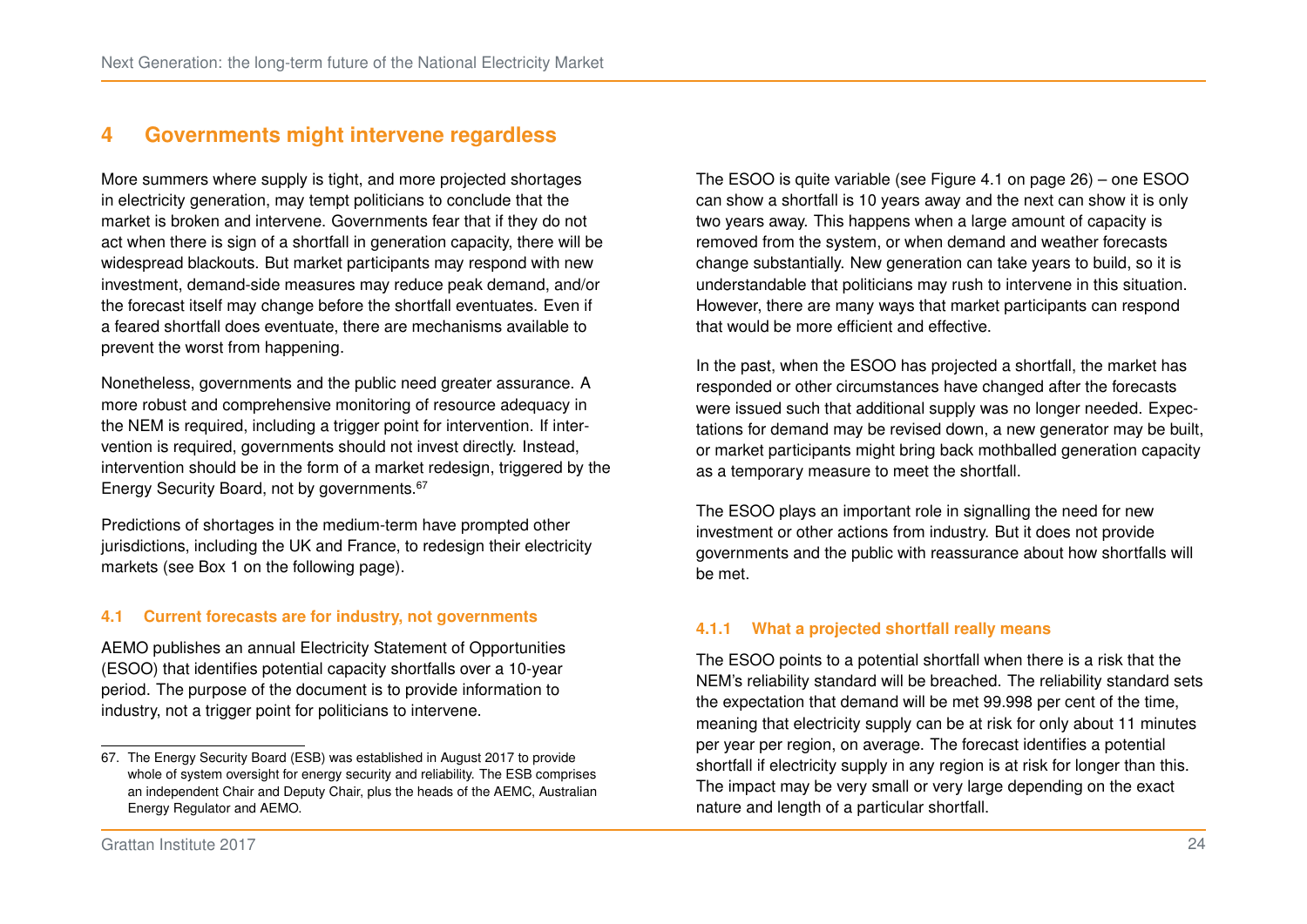## <span id="page-30-0"></span>**4 Governments might intervene regardless**

More summers where supply is tight, and more projected shortages in electricity generation, may tempt politicians to conclude that the market is broken and intervene. Governments fear that if they do not act when there is sign of a shortfall in generation capacity, there will be widespread blackouts. But market participants may respond with new investment, demand-side measures may reduce peak demand, and/or the forecast itself may change before the shortfall eventuates. Even if a feared shortfall does eventuate, there are mechanisms available to prevent the worst from happening.

Nonetheless, governments and the public need greater assurance. A more robust and comprehensive monitoring of resource adequacy in the NEM is required, including a trigger point for intervention. If intervention is required, governments should not invest directly. Instead, intervention should be in the form of a market redesign, triggered by the Energy Security Board, not by governments.[67](#page-30-1)

Predictions of shortages in the medium-term have prompted other jurisdictions, including the UK and France, to redesign their electricity markets (see Box [1](#page-31-0) on the following page).

#### **4.1 Current forecasts are for industry, not governments**

AEMO publishes an annual Electricity Statement of Opportunities (ESOO) that identifies potential capacity shortfalls over a 10-year period. The purpose of the document is to provide information to industry, not a trigger point for politicians to intervene.

The ESOO is quite variable (see Figure [4.1](#page-32-0) on page [26\)](#page-32-0) – one ESOO can show a shortfall is 10 years away and the next can show it is only two years away. This happens when a large amount of capacity is removed from the system, or when demand and weather forecasts change substantially. New generation can take years to build, so it is understandable that politicians may rush to intervene in this situation. However, there are many ways that market participants can respond that would be more efficient and effective.

In the past, when the ESOO has projected a shortfall, the market has responded or other circumstances have changed after the forecasts were issued such that additional supply was no longer needed. Expectations for demand may be revised down, a new generator may be built, or market participants might bring back mothballed generation capacity as a temporary measure to meet the shortfall.

The ESOO plays an important role in signalling the need for new investment or other actions from industry. But it does not provide governments and the public with reassurance about how shortfalls will be met.

#### **4.1.1 What a projected shortfall really means**

The ESOO points to a potential shortfall when there is a risk that the NEM's reliability standard will be breached. The reliability standard sets the expectation that demand will be met 99.998 per cent of the time, meaning that electricity supply can be at risk for only about 11 minutes per year per region, on average. The forecast identifies a potential shortfall if electricity supply in any region is at risk for longer than this. The impact may be very small or very large depending on the exact nature and length of a particular shortfall.

<span id="page-30-1"></span><sup>67.</sup> The Energy Security Board (ESB) was established in August 2017 to provide whole of system oversight for energy security and reliability. The ESB comprises an independent Chair and Deputy Chair, plus the heads of the AEMC, Australian Energy Regulator and AEMO.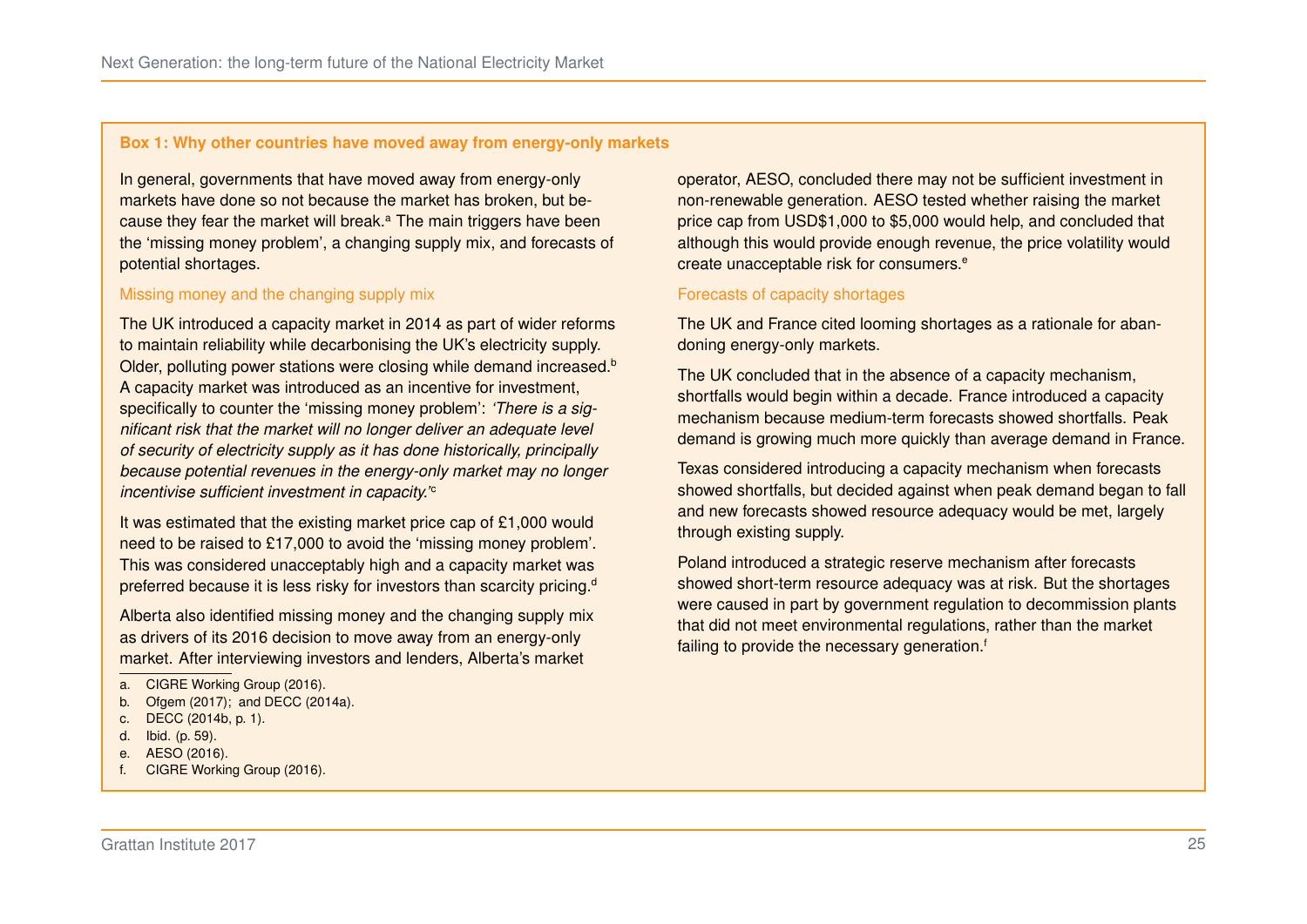#### <span id="page-31-0"></span>**Box 1: Why other countries have moved away from energy-only markets**

In general, governments that have moved away from energy-only markets have done so not because the market has broken, but bec[a](#page-31-1)use they fear the market will break.<sup>a</sup> The main triggers have been the 'missing money problem', a changing supply mix, and forecasts of potential shortages.

#### Missing money and the changing supply mix

The UK introduced a capacity market in 2014 as part of wider reforms to maintain reliability while decarbonising the UK's electricity supply. Older, polluting power stations were closing while demand increased.<sup>[b](#page-31-2)</sup> A capacity market was introduced as an incentive for investment, specifically to counter the 'missing money problem': *'There is a significant risk that the market will no longer deliver an adequate level of security of electricity supply as it has done historically, principally because potential revenues in the energy-only market may no longer in[c](#page-31-3)entivise sufficient investment in capacity.*<sup>'</sup>

It was estimated that the existing market price cap of £1,000 would need to be raised to £17,000 to avoid the 'missing money problem'. This was considered unacceptably high and a capacity market was preferre[d](#page-31-4) because it is less risky for investors than scarcity pricing.<sup>d</sup>

Alberta also identified missing money and the changing supply mix as drivers of its 2016 decision to move away from an energy-only market. After interviewing investors and lenders, Alberta's market

- <span id="page-31-2"></span>b. [Ofgem \(2017\);](#page-55-9) and [DECC \(2014a\).](#page-53-10)
- <span id="page-31-3"></span>c. DECC [\(2014b,](#page-53-11) p. 1).
- <span id="page-31-4"></span>d. Ibid. (p. 59).
- <span id="page-31-5"></span>e. [AESO \(2016\).](#page-53-4)
- <span id="page-31-6"></span>f. [CIGRE Working Group \(2016\).](#page-53-5)

operator, AESO, concluded there may not be sufficient investment in non-renewable generation. AESO tested whether raising the market price cap from USD\$1,000 to \$5,000 would help, and concluded that although this would provide enough revenue, the price volatility would cr[e](#page-31-5)ate unacceptable risk for consumers.<sup>e</sup>

#### Forecasts of capacity shortages

The UK and France cited looming shortages as a rationale for abandoning energy-only markets.

The UK concluded that in the absence of a capacity mechanism, shortfalls would begin within a decade. France introduced a capacity mechanism because medium-term forecasts showed shortfalls. Peak demand is growing much more quickly than average demand in France.

Texas considered introducing a capacity mechanism when forecasts showed shortfalls, but decided against when peak demand began to fall and new forecasts showed resource adequacy would be met, largely through existing supply.

Poland introduced a strategic reserve mechanism after forecasts showed short-term resource adequacy was at risk. But the shortages were caused in part by government regulation to decommission plants that did not meet environmental regulations, rather than the market [f](#page-31-6)ailing to provide the necessary generation.<sup>f</sup>

<span id="page-31-1"></span>a. [CIGRE Working Group \(2016\).](#page-53-5)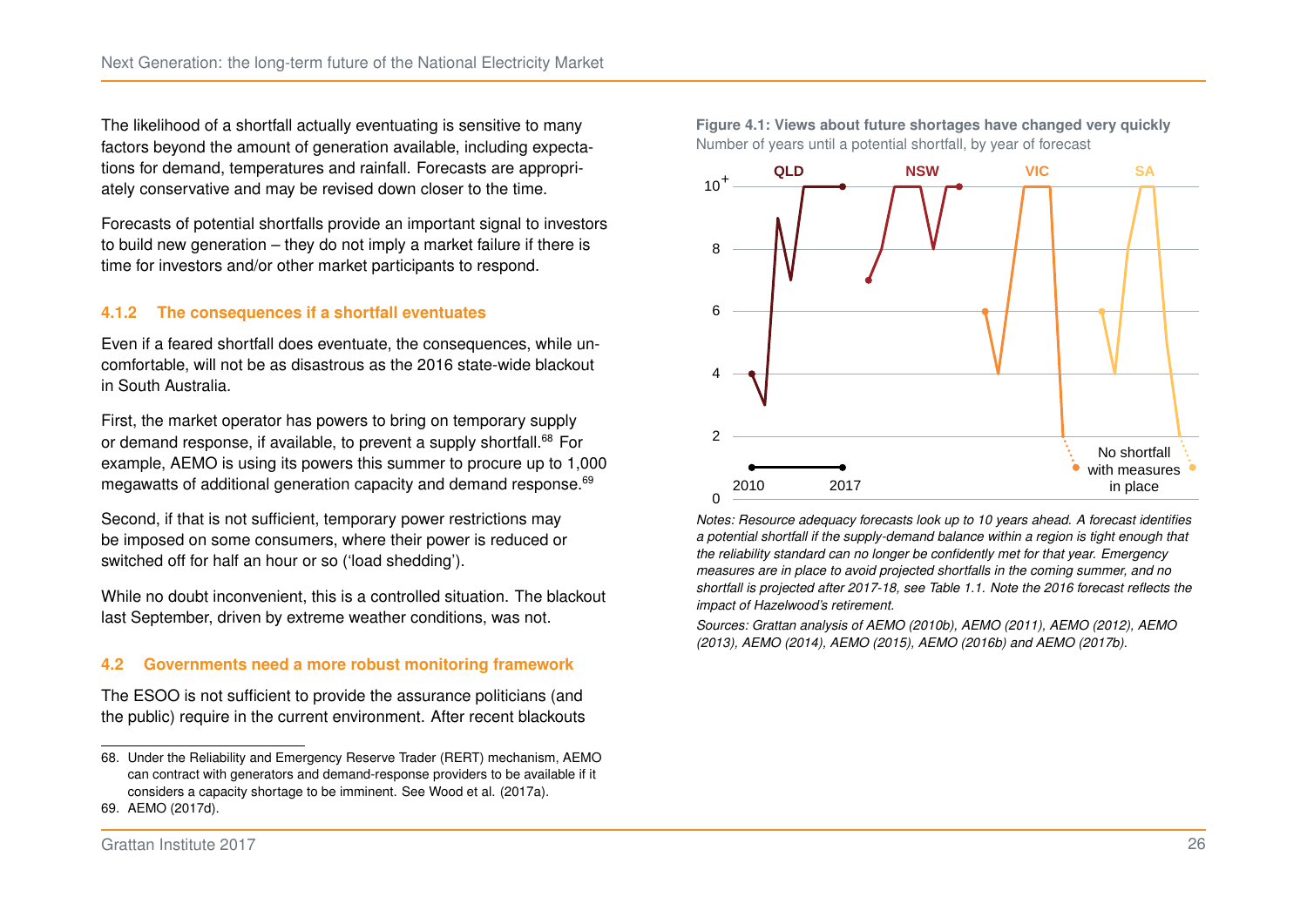The likelihood of a shortfall actually eventuating is sensitive to many factors beyond the amount of generation available, including expectations for demand, temperatures and rainfall. Forecasts are appropriately conservative and may be revised down closer to the time.

Forecasts of potential shortfalls provide an important signal to investors to build new generation – they do not imply a market failure if there is time for investors and/or other market participants to respond.

#### **4.1.2 The consequences if a shortfall eventuates**

Even if a feared shortfall does eventuate, the consequences, while uncomfortable, will not be as disastrous as the 2016 state-wide blackout in South Australia.

First, the market operator has powers to bring on temporary supply or demand response, if available, to prevent a supply shortfall.<sup>[68](#page-32-1)</sup> For example, AEMO is using its powers this summer to procure up to 1,000 megawatts of additional generation capacity and demand response.<sup>[69](#page-32-2)</sup>

Second, if that is not sufficient, temporary power restrictions may be imposed on some consumers, where their power is reduced or switched off for half an hour or so ('load shedding').

While no doubt inconvenient, this is a controlled situation. The blackout last September, driven by extreme weather conditions, was not.

#### **4.2 Governments need a more robust monitoring framework**

The ESOO is not sufficient to provide the assurance politicians (and the public) require in the current environment. After recent blackouts

<span id="page-32-0"></span>



*Notes: Resource adequacy forecasts look up to 10 years ahead. A forecast identifies a potential shortfall if the supply-demand balance within a region is tight enough that the reliability standard can no longer be confidently met for that year. Emergency measures are in place to avoid projected shortfalls in the coming summer, and no shortfall is projected after 2017-18, see Table [1.1.](#page-15-0) Note the 2016 forecast reflects the impact of Hazelwood's retirement.*

*Sources: Grattan analysis of [AEMO \(2010b\),](#page-51-9) [AEMO \(2011\),](#page-51-10) [AEMO \(2012\),](#page-51-11) [AEMO](#page-51-12) [\(2013\),](#page-51-12) [AEMO \(2014\),](#page-51-13) [AEMO \(2015\),](#page-52-12) [AEMO \(2016b\)](#page-52-13) and [AEMO \(2017b\).](#page-52-2)*

<span id="page-32-1"></span><sup>68.</sup> Under the Reliability and Emergency Reserve Trader (RERT) mechanism, AEMO can contract with generators and demand-response providers to be available if it considers a capacity shortage to be imminent. See [Wood et al. \(2017a\).](#page-57-4)

<span id="page-32-2"></span><sup>69.</sup> [AEMO \(2017d\).](#page-52-7)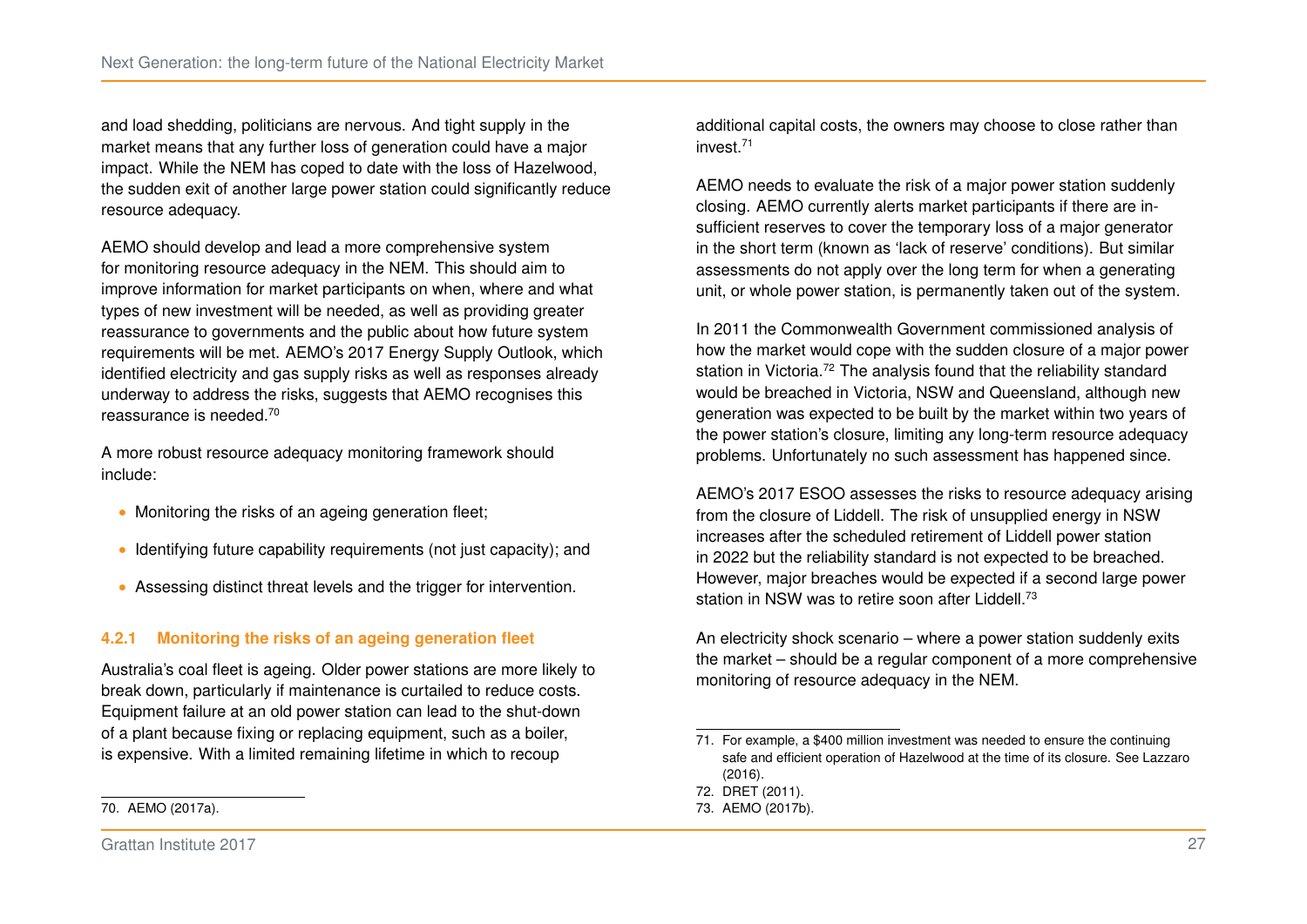and load shedding, politicians are nervous. And tight supply in the market means that any further loss of generation could have a major impact. While the NEM has coped to date with the loss of Hazelwood, the sudden exit of another large power station could significantly reduce resource adequacy.

AEMO should develop and lead a more comprehensive system for monitoring resource adequacy in the NEM. This should aim to improve information for market participants on when, where and what types of new investment will be needed, as well as providing greater reassurance to governments and the public about how future system requirements will be met. AEMO's 2017 Energy Supply Outlook, which identified electricity and gas supply risks as well as responses already underway to address the risks, suggests that AEMO recognises this reassurance is needed.[70](#page-33-0)

A more robust resource adequacy monitoring framework should include:

- ∙ Monitoring the risks of an ageing generation fleet;
- ∙ Identifying future capability requirements (not just capacity); and
- ∙ Assessing distinct threat levels and the trigger for intervention.

#### **4.2.1 Monitoring the risks of an ageing generation fleet**

Australia's coal fleet is ageing. Older power stations are more likely to break down, particularly if maintenance is curtailed to reduce costs. Equipment failure at an old power station can lead to the shut-down of a plant because fixing or replacing equipment, such as a boiler, is expensive. With a limited remaining lifetime in which to recoup

additional capital costs, the owners may choose to close rather than invest.[71](#page-33-1)

AEMO needs to evaluate the risk of a major power station suddenly closing. AEMO currently alerts market participants if there are insufficient reserves to cover the temporary loss of a major generator in the short term (known as 'lack of reserve' conditions). But similar assessments do not apply over the long term for when a generating unit, or whole power station, is permanently taken out of the system.

In 2011 the Commonwealth Government commissioned analysis of how the market would cope with the sudden closure of a major power station in Victoria.<sup>[72](#page-33-2)</sup> The analysis found that the reliability standard would be breached in Victoria, NSW and Queensland, although new generation was expected to be built by the market within two years of the power station's closure, limiting any long-term resource adequacy problems. Unfortunately no such assessment has happened since.

AEMO's 2017 ESOO assesses the risks to resource adequacy arising from the closure of Liddell. The risk of unsupplied energy in NSW increases after the scheduled retirement of Liddell power station in 2022 but the reliability standard is not expected to be breached. However, major breaches would be expected if a second large power station in NSW was to retire soon after Liddell.<sup>[73](#page-33-3)</sup>

An electricity shock scenario – where a power station suddenly exits the market – should be a regular component of a more comprehensive monitoring of resource adequacy in the NEM.

<span id="page-33-0"></span>70. [AEMO \(2017a\).](#page-52-1)

<span id="page-33-1"></span><sup>71.</sup> For example, a \$400 million investment was needed to ensure the continuing safe and efficient operation of Hazelwood at the time of its closure. See [Lazzaro](#page-55-10) [\(2016\).](#page-55-10)

<span id="page-33-2"></span><sup>72.</sup> [DRET \(2011\).](#page-54-12)

<span id="page-33-3"></span><sup>73.</sup> [AEMO \(2017b\).](#page-52-2)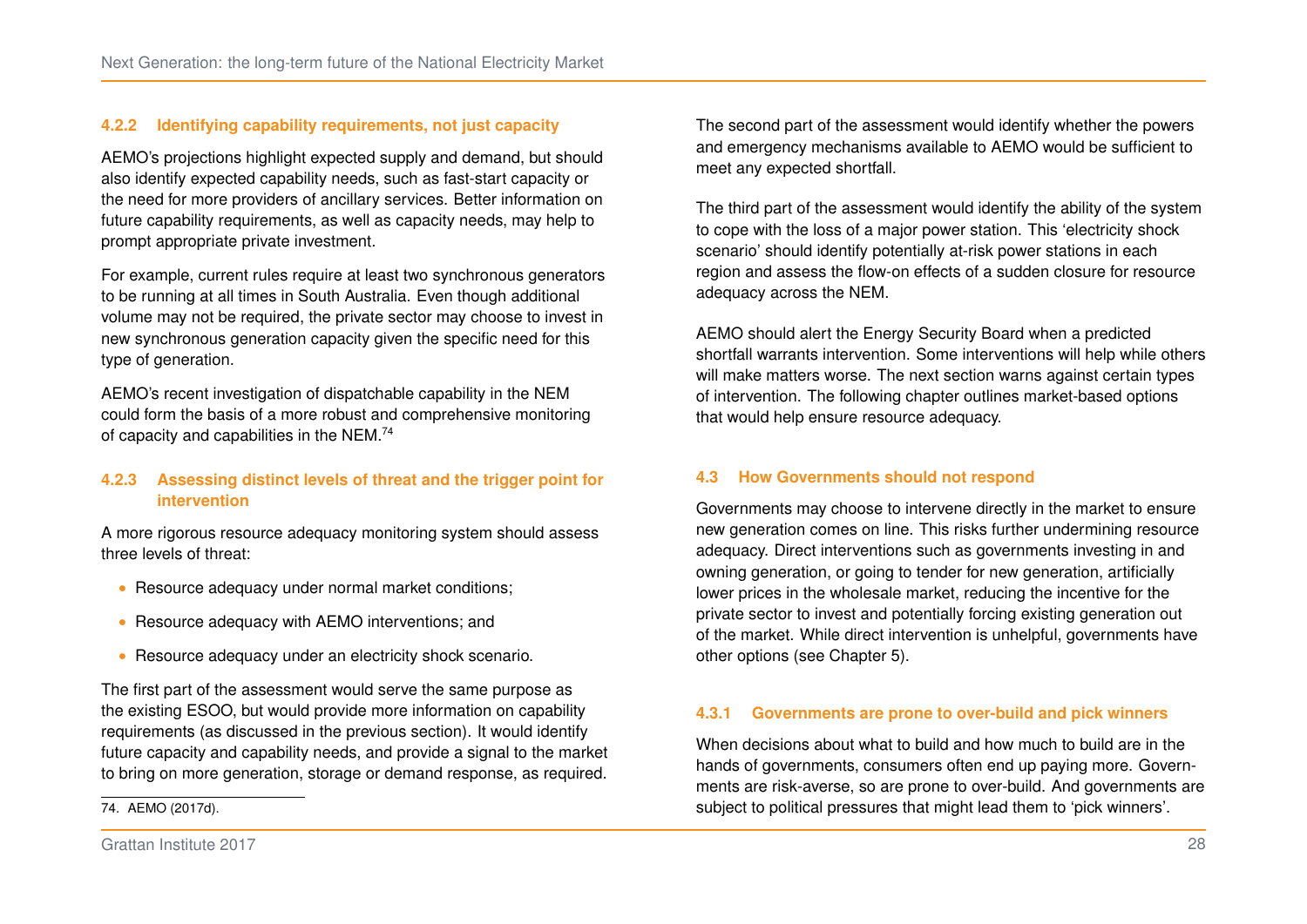#### **4.2.2 Identifying capability requirements, not just capacity**

AEMO's projections highlight expected supply and demand, but should also identify expected capability needs, such as fast-start capacity or the need for more providers of ancillary services. Better information on future capability requirements, as well as capacity needs, may help to prompt appropriate private investment.

For example, current rules require at least two synchronous generators to be running at all times in South Australia. Even though additional volume may not be required, the private sector may choose to invest in new synchronous generation capacity given the specific need for this type of generation.

AEMO's recent investigation of dispatchable capability in the NEM could form the basis of a more robust and comprehensive monitoring of capacity and capabilities in the NEM.[74](#page-34-0)

#### **4.2.3 Assessing distinct levels of threat and the trigger point for intervention**

A more rigorous resource adequacy monitoring system should assess three levels of threat:

- ∙ Resource adequacy under normal market conditions;
- ∙ Resource adequacy with AEMO interventions; and
- ∙ Resource adequacy under an electricity shock scenario.

The first part of the assessment would serve the same purpose as the existing ESOO, but would provide more information on capability requirements (as discussed in the previous section). It would identify future capacity and capability needs, and provide a signal to the market to bring on more generation, storage or demand response, as required.

The second part of the assessment would identify whether the powers and emergency mechanisms available to AEMO would be sufficient to meet any expected shortfall.

The third part of the assessment would identify the ability of the system to cope with the loss of a major power station. This 'electricity shock scenario' should identify potentially at-risk power stations in each region and assess the flow-on effects of a sudden closure for resource adequacy across the NEM.

AEMO should alert the Energy Security Board when a predicted shortfall warrants intervention. Some interventions will help while others will make matters worse. The next section warns against certain types of intervention. The following chapter outlines market-based options that would help ensure resource adequacy.

#### **4.3 How Governments should not respond**

Governments may choose to intervene directly in the market to ensure new generation comes on line. This risks further undermining resource adequacy. Direct interventions such as governments investing in and owning generation, or going to tender for new generation, artificially lower prices in the wholesale market, reducing the incentive for the private sector to invest and potentially forcing existing generation out of the market. While direct intervention is unhelpful, governments have other options (see Chapter [5\)](#page-37-0).

#### **4.3.1 Governments are prone to over-build and pick winners**

When decisions about what to build and how much to build are in the hands of governments, consumers often end up paying more. Governments are risk-averse, so are prone to over-build. And governments are subject to political pressures that might lead them to 'pick winners'.

<span id="page-34-0"></span><sup>74.</sup> [AEMO \(2017d\).](#page-52-7)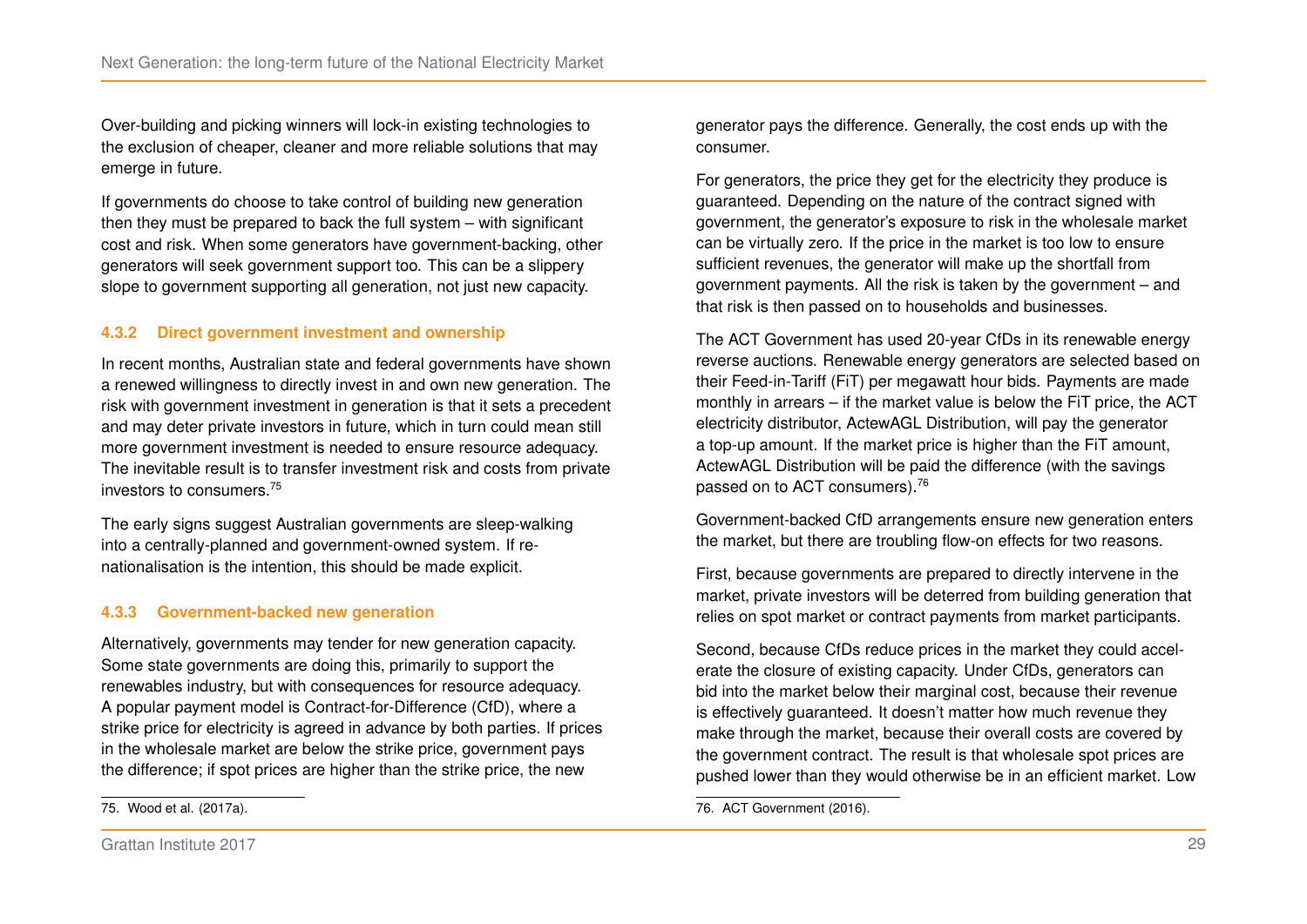Over-building and picking winners will lock-in existing technologies to the exclusion of cheaper, cleaner and more reliable solutions that may emerge in future.

If governments do choose to take control of building new generation then they must be prepared to back the full system – with significant cost and risk. When some generators have government-backing, other generators will seek government support too. This can be a slippery slope to government supporting all generation, not just new capacity.

#### **4.3.2 Direct government investment and ownership**

In recent months, Australian state and federal governments have shown a renewed willingness to directly invest in and own new generation. The risk with government investment in generation is that it sets a precedent and may deter private investors in future, which in turn could mean still more government investment is needed to ensure resource adequacy. The inevitable result is to transfer investment risk and costs from private investors to consumers.[75](#page-35-0)

The early signs suggest Australian governments are sleep-walking into a centrally-planned and government-owned system. If renationalisation is the intention, this should be made explicit.

#### **4.3.3 Government-backed new generation**

<span id="page-35-0"></span>Alternatively, governments may tender for new generation capacity. Some state governments are doing this, primarily to support the renewables industry, but with consequences for resource adequacy. A popular payment model is Contract-for-Difference (CfD), where a strike price for electricity is agreed in advance by both parties. If prices in the wholesale market are below the strike price, government pays the difference; if spot prices are higher than the strike price, the new

generator pays the difference. Generally, the cost ends up with the consumer.

For generators, the price they get for the electricity they produce is guaranteed. Depending on the nature of the contract signed with government, the generator's exposure to risk in the wholesale market can be virtually zero. If the price in the market is too low to ensure sufficient revenues, the generator will make up the shortfall from government payments. All the risk is taken by the government – and that risk is then passed on to households and businesses.

The ACT Government has used 20-year CfDs in its renewable energy reverse auctions. Renewable energy generators are selected based on their Feed-in-Tariff (FiT) per megawatt hour bids. Payments are made monthly in arrears – if the market value is below the FiT price, the ACT electricity distributor, ActewAGL Distribution, will pay the generator a top-up amount. If the market price is higher than the FiT amount, ActewAGL Distribution will be paid the difference (with the savings passed on to ACT consumers).[76](#page-35-1)

Government-backed CfD arrangements ensure new generation enters the market, but there are troubling flow-on effects for two reasons.

First, because governments are prepared to directly intervene in the market, private investors will be deterred from building generation that relies on spot market or contract payments from market participants.

Second, because CfDs reduce prices in the market they could accelerate the closure of existing capacity. Under CfDs, generators can bid into the market below their marginal cost, because their revenue is effectively guaranteed. It doesn't matter how much revenue they make through the market, because their overall costs are covered by the government contract. The result is that wholesale spot prices are pushed lower than they would otherwise be in an efficient market. Low

<span id="page-35-1"></span><sup>76.</sup> [ACT Government \(2016\).](#page-51-7)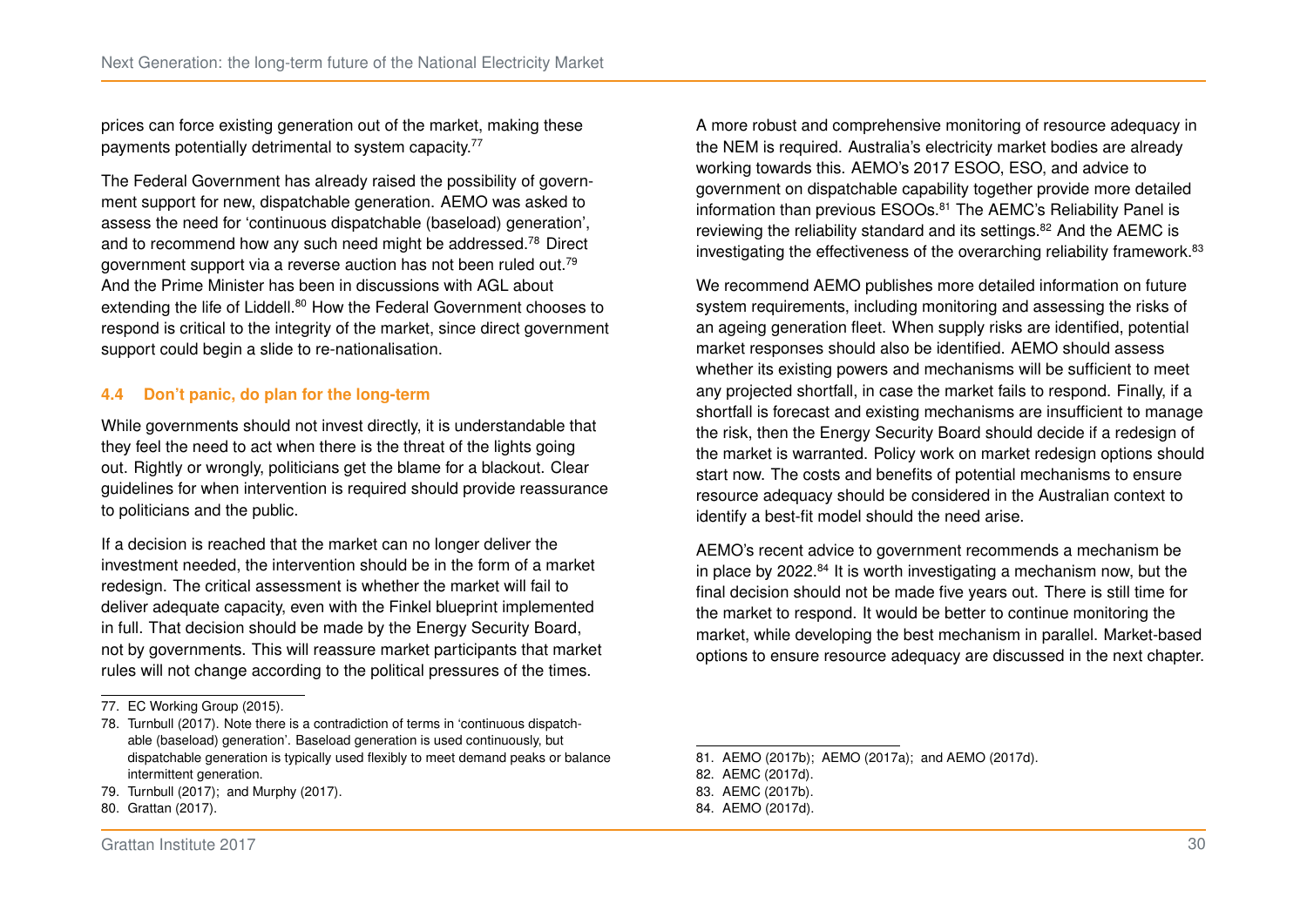prices can force existing generation out of the market, making these payments potentially detrimental to system capacity.<sup>[77](#page-36-0)</sup>

The Federal Government has already raised the possibility of government support for new, dispatchable generation. AEMO was asked to assess the need for 'continuous dispatchable (baseload) generation', and to recommend how any such need might be addressed.[78](#page-36-1) Direct government support via a reverse auction has not been ruled out.[79](#page-36-2) And the Prime Minister has been in discussions with AGL about extending the life of Liddell.<sup>[80](#page-36-3)</sup> How the Federal Government chooses to respond is critical to the integrity of the market, since direct government support could begin a slide to re-nationalisation.

#### **4.4 Don't panic, do plan for the long-term**

While governments should not invest directly, it is understandable that they feel the need to act when there is the threat of the lights going out. Rightly or wrongly, politicians get the blame for a blackout. Clear guidelines for when intervention is required should provide reassurance to politicians and the public.

If a decision is reached that the market can no longer deliver the investment needed, the intervention should be in the form of a market redesign. The critical assessment is whether the market will fail to deliver adequate capacity, even with the Finkel blueprint implemented in full. That decision should be made by the Energy Security Board, not by governments. This will reassure market participants that market rules will not change according to the political pressures of the times.

- <span id="page-36-2"></span>79. [Turnbull \(2017\);](#page-57-10) and [Murphy \(2017\).](#page-55-11)
- <span id="page-36-3"></span>80. [Grattan \(2017\).](#page-54-14)

A more robust and comprehensive monitoring of resource adequacy in the NEM is required. Australia's electricity market bodies are already working towards this. AEMO's 2017 ESOO, ESO, and advice to government on dispatchable capability together provide more detailed information than previous ESOOs.<sup>[81](#page-36-4)</sup> The AEMC's Reliability Panel is reviewing the reliability standard and its settings.<sup>[82](#page-36-5)</sup> And the AEMC is investigating the effectiveness of the overarching reliability framework.<sup>[83](#page-36-6)</sup>

We recommend AEMO publishes more detailed information on future system requirements, including monitoring and assessing the risks of an ageing generation fleet. When supply risks are identified, potential market responses should also be identified. AEMO should assess whether its existing powers and mechanisms will be sufficient to meet any projected shortfall, in case the market fails to respond. Finally, if a shortfall is forecast and existing mechanisms are insufficient to manage the risk, then the Energy Security Board should decide if a redesign of the market is warranted. Policy work on market redesign options should start now. The costs and benefits of potential mechanisms to ensure resource adequacy should be considered in the Australian context to identify a best-fit model should the need arise.

AEMO's recent advice to government recommends a mechanism be in place by 2022.[84](#page-36-7) It is worth investigating a mechanism now, but the final decision should not be made five years out. There is still time for the market to respond. It would be better to continue monitoring the market, while developing the best mechanism in parallel. Market-based options to ensure resource adequacy are discussed in the next chapter.

<span id="page-36-0"></span><sup>77.</sup> [EC Working Group \(2015\).](#page-54-13)

<span id="page-36-1"></span><sup>78.</sup> [Turnbull \(2017\).](#page-57-10) Note there is a contradiction of terms in 'continuous dispatchable (baseload) generation'. Baseload generation is used continuously, but dispatchable generation is typically used flexibly to meet demand peaks or balance intermittent generation.

<span id="page-36-4"></span><sup>81.</sup> [AEMO \(2017b\);](#page-52-2) [AEMO \(2017a\);](#page-52-1) and [AEMO \(2017d\).](#page-52-7)

<span id="page-36-6"></span><span id="page-36-5"></span><sup>82.</sup> [AEMC \(2017d\).](#page-51-14)

<sup>83.</sup> [AEMC \(2017b\).](#page-51-4)

<span id="page-36-7"></span><sup>84.</sup> [AEMO \(2017d\).](#page-52-7)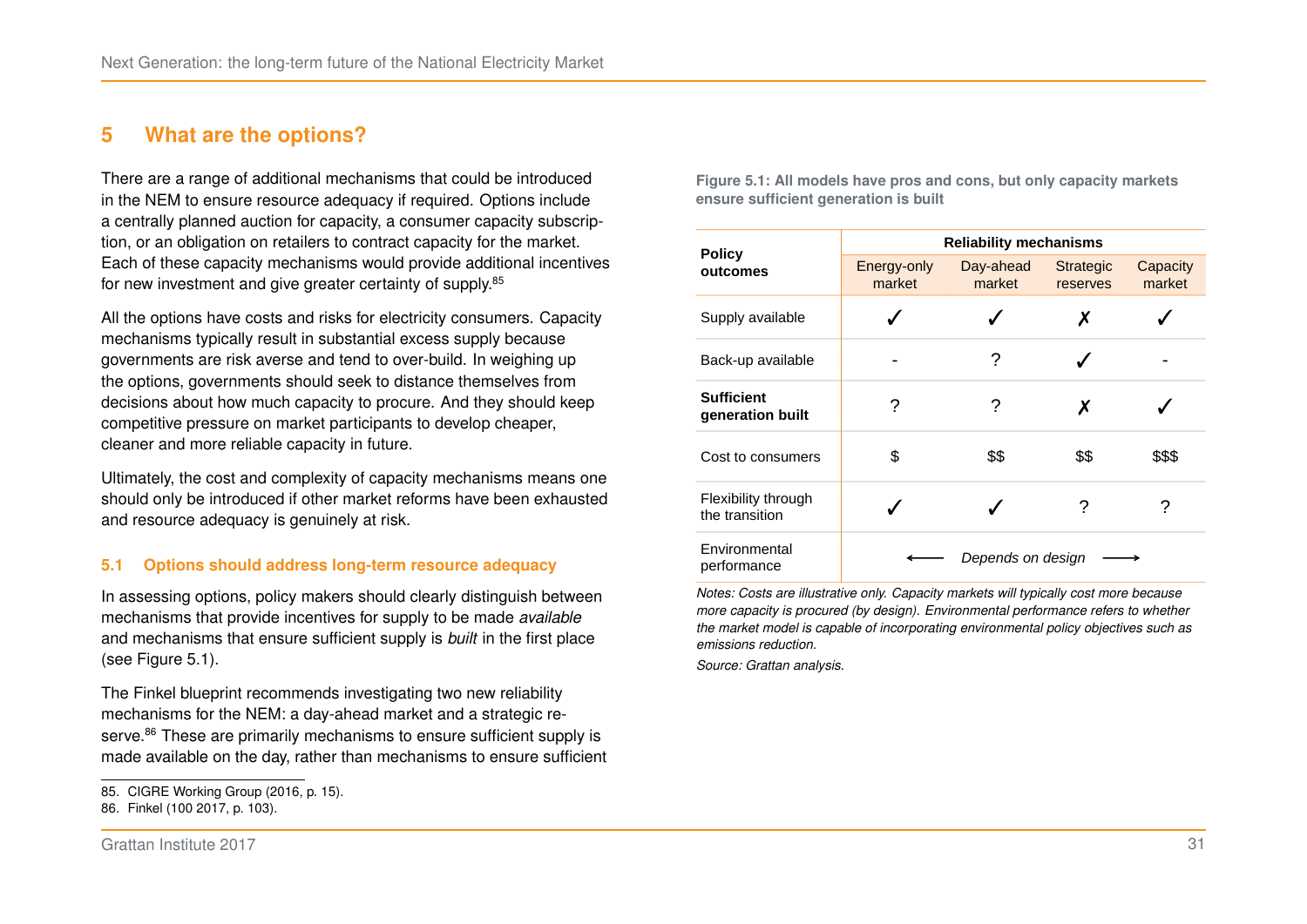## <span id="page-37-0"></span>**5 What are the options?**

There are a range of additional mechanisms that could be introduced in the NEM to ensure resource adequacy if required. Options include a centrally planned auction for capacity, a consumer capacity subscription, or an obligation on retailers to contract capacity for the market. Each of these capacity mechanisms would provide additional incentives for new investment and give greater certainty of supply.<sup>[85](#page-37-1)</sup>

All the options have costs and risks for electricity consumers. Capacity mechanisms typically result in substantial excess supply because governments are risk averse and tend to over-build. In weighing up the options, governments should seek to distance themselves from decisions about how much capacity to procure. And they should keep competitive pressure on market participants to develop cheaper, cleaner and more reliable capacity in future.

Ultimately, the cost and complexity of capacity mechanisms means one should only be introduced if other market reforms have been exhausted and resource adequacy is genuinely at risk.

#### **5.1 Options should address long-term resource adequacy**

In assessing options, policy makers should clearly distinguish between mechanisms that provide incentives for supply to be made *available* and mechanisms that ensure sufficient supply is *built* in the first place (see Figure [5.1\)](#page-37-2).

The Finkel blueprint recommends investigating two new reliability mechanisms for the NEM: a day-ahead market and a strategic re-serve.<sup>[86](#page-37-3)</sup> These are primarily mechanisms to ensure sufficient supply is made available on the day, rather than mechanisms to ensure sufficient <span id="page-37-2"></span>**Figure 5.1: All models have pros and cons, but only capacity markets ensure sufficient generation is built**

|                                       | <b>Reliability mechanisms</b> |                     |                              |                    |  |
|---------------------------------------|-------------------------------|---------------------|------------------------------|--------------------|--|
| <b>Policy</b><br>outcomes             | Energy-only<br>market         | Day-ahead<br>market | <b>Strategic</b><br>reserves | Capacity<br>market |  |
| Supply available                      |                               |                     | X                            |                    |  |
| Back-up available                     |                               | ?                   |                              |                    |  |
| <b>Sufficient</b><br>generation built | ?                             | ?                   | X                            |                    |  |
| Cost to consumers                     | \$                            | \$\$                | \$\$                         | \$\$\$             |  |
| Flexibility through<br>the transition |                               |                     | 7                            | ?                  |  |
| Environmental<br>performance          | Depends on design             |                     |                              |                    |  |

*Notes: Costs are illustrative only. Capacity markets will typically cost more because more capacity is procured (by design). Environmental performance refers to whether the market model is capable of incorporating environmental policy objectives such as emissions reduction.*

*Source: Grattan analysis.*

<span id="page-37-1"></span><sup>85.</sup> CIGRE Working Group [\(2016,](#page-53-5) p. 15).

<span id="page-37-3"></span><sup>86.</sup> Finkel (100 [2017,](#page-54-0) p. 103).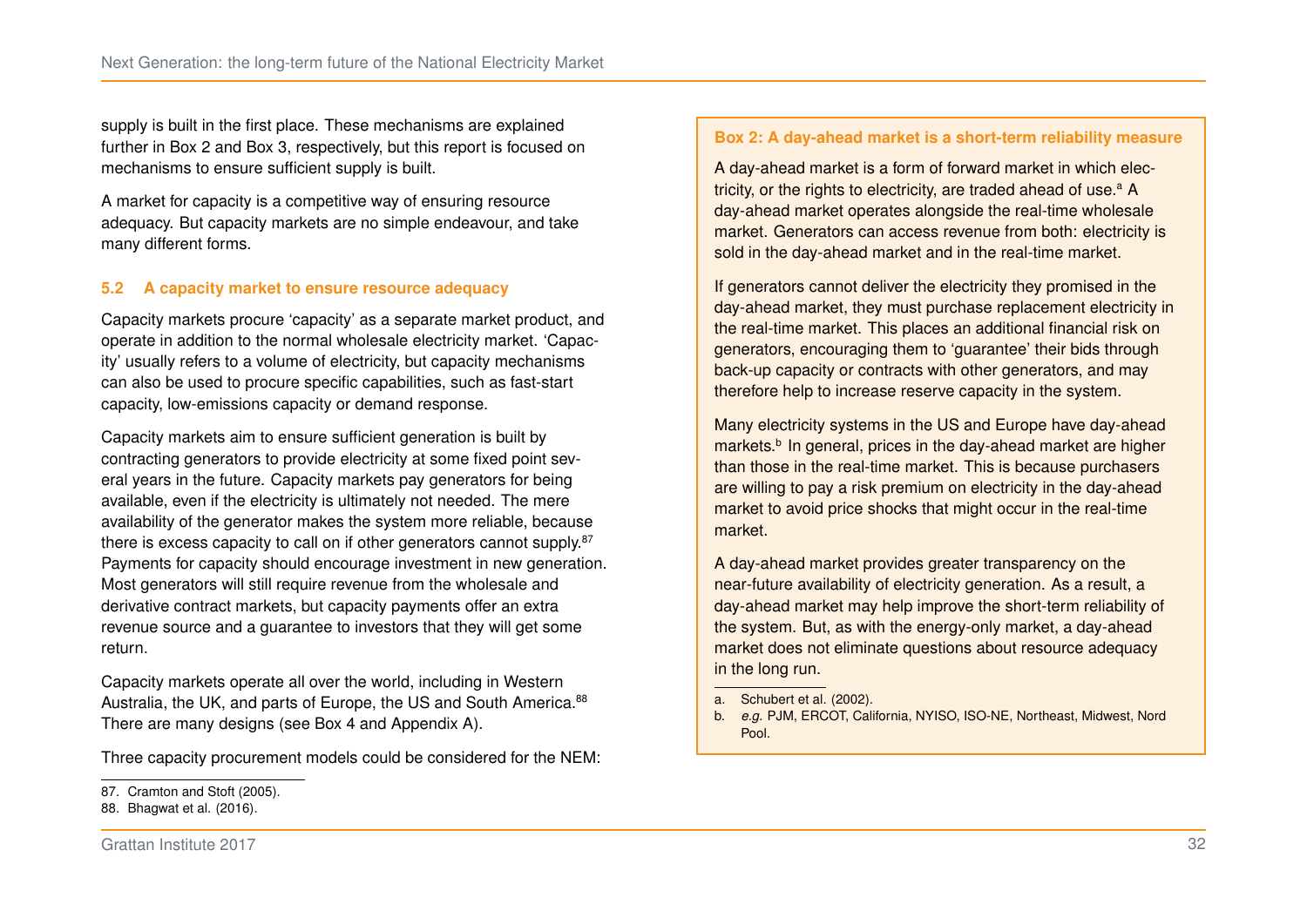supply is built in the first place. These mechanisms are explained further in Box [2](#page-38-0) and Box [3,](#page-39-0) respectively, but this report is focused on mechanisms to ensure sufficient supply is built.

A market for capacity is a competitive way of ensuring resource adequacy. But capacity markets are no simple endeavour, and take many different forms.

#### **5.2 A capacity market to ensure resource adequacy**

Capacity markets procure 'capacity' as a separate market product, and operate in addition to the normal wholesale electricity market. 'Capacity' usually refers to a volume of electricity, but capacity mechanisms can also be used to procure specific capabilities, such as fast-start capacity, low-emissions capacity or demand response.

Capacity markets aim to ensure sufficient generation is built by contracting generators to provide electricity at some fixed point several years in the future. Capacity markets pay generators for being available, even if the electricity is ultimately not needed. The mere availability of the generator makes the system more reliable, because there is excess capacity to call on if other generators cannot supply.<sup>[87](#page-38-1)</sup> Payments for capacity should encourage investment in new generation. Most generators will still require revenue from the wholesale and derivative contract markets, but capacity payments offer an extra revenue source and a guarantee to investors that they will get some return.

Capacity markets operate all over the world, including in Western Australia, the UK, and parts of Europe, the US and South America.<sup>[88](#page-38-2)</sup> There are many designs (see Box [4](#page-40-0) and Appendix [A\)](#page-48-0).

Three capacity procurement models could be considered for the NEM:

#### <span id="page-38-0"></span>**Box 2: A day-ahead market is a short-term reliability measure**

A day-ahead market is a form of forward market in which electricity, or the rights to electricity, [a](#page-38-3)re traded ahead of use. $a \, A$ day-ahead market operates alongside the real-time wholesale market. Generators can access revenue from both: electricity is sold in the day-ahead market and in the real-time market.

If generators cannot deliver the electricity they promised in the day-ahead market, they must purchase replacement electricity in the real-time market. This places an additional financial risk on generators, encouraging them to 'guarantee' their bids through back-up capacity or contracts with other generators, and may therefore help to increase reserve capacity in the system.

Many electricity systems in the US and Europe have day-ahead markets.<sup>[b](#page-38-4)</sup> In general, prices in the day-ahead market are higher than those in the real-time market. This is because purchasers are willing to pay a risk premium on electricity in the day-ahead market to avoid price shocks that might occur in the real-time market.

A day-ahead market provides greater transparency on the near-future availability of electricity generation. As a result, a day-ahead market may help improve the short-term reliability of the system. But, as with the energy-only market, a day-ahead market does not eliminate questions about resource adequacy in the long run.

<span id="page-38-1"></span><sup>87.</sup> [Cramton and Stoft \(2005\).](#page-53-12)

<span id="page-38-2"></span><sup>88.</sup> [Bhagwat et al. \(2016\).](#page-53-13)

<span id="page-38-3"></span>a. [Schubert et al. \(2002\).](#page-56-10)

<span id="page-38-4"></span>b. *e.g.* PJM, ERCOT, California, NYISO, ISO-NE, Northeast, Midwest, Nord Pool.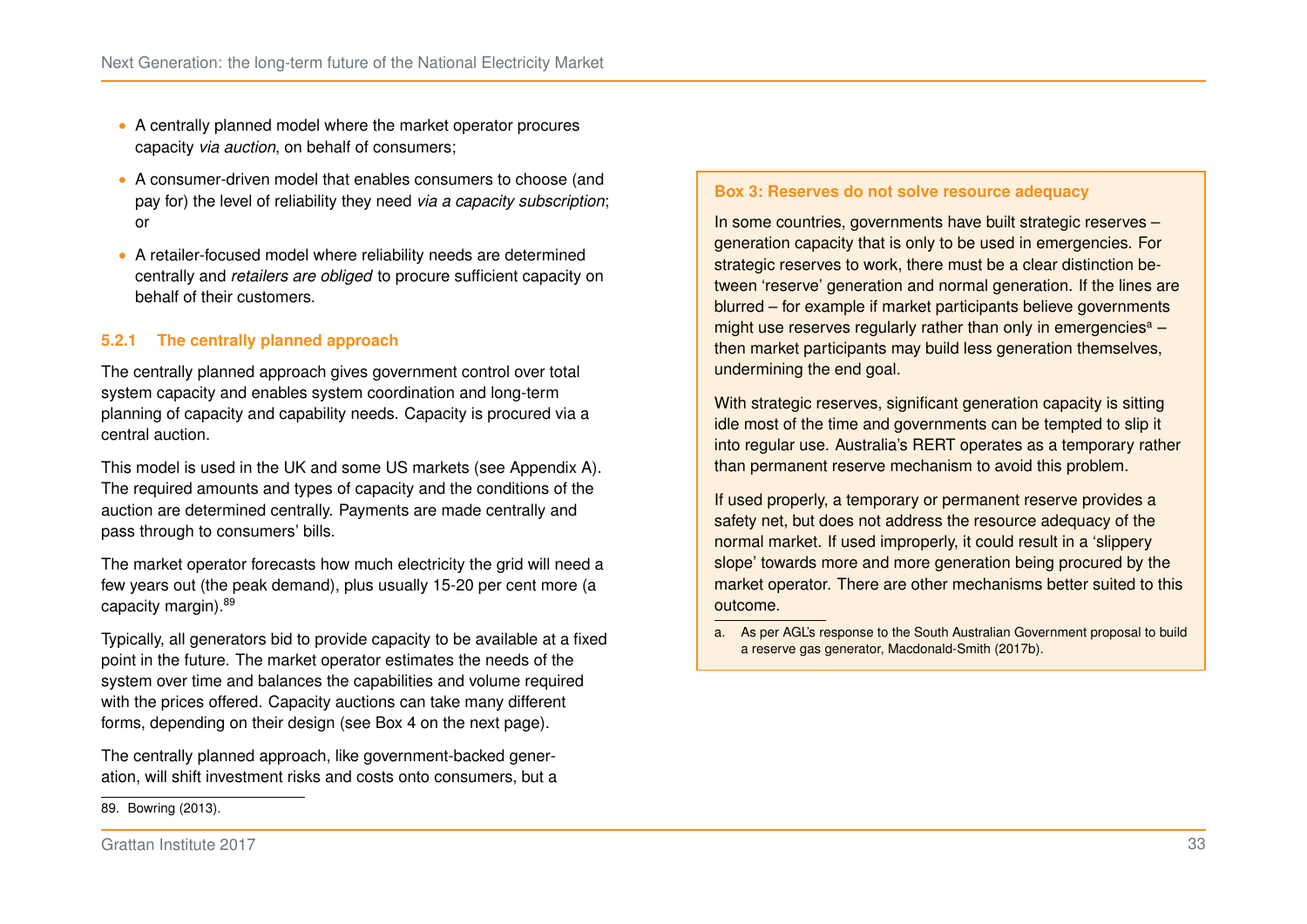- ∙ A centrally planned model where the market operator procures capacity *via auction*, on behalf of consumers;
- ∙ A consumer-driven model that enables consumers to choose (and pay for) the level of reliability they need *via a capacity subscription*; or
- ∙ A retailer-focused model where reliability needs are determined centrally and *retailers are obliged* to procure sufficient capacity on behalf of their customers.

#### **5.2.1 The centrally planned approach**

The centrally planned approach gives government control over total system capacity and enables system coordination and long-term planning of capacity and capability needs. Capacity is procured via a central auction.

This model is used in the UK and some US markets (see Appendix [A\)](#page-48-0). The required amounts and types of capacity and the conditions of the auction are determined centrally. Payments are made centrally and pass through to consumers' bills.

The market operator forecasts how much electricity the grid will need a few years out (the peak demand), plus usually 15-20 per cent more (a capacity margin). [89](#page-39-1)

Typically, all generators bid to provide capacity to be available at a fixed point in the future. The market operator estimates the needs of the system over time and balances the capabilities and volume required with the prices offered. Capacity auctions can take many different forms, depending on their design (see Box [4](#page-40-0) on the next page).

The centrally planned approach, like government-backed generation, will shift investment risks and costs onto consumers, but a

#### <span id="page-39-0"></span>**Box 3: Reserves do not solve resource adequacy**

In some countries, governments have built strategic reserves – generation capacity that is only to be used in emergencies. For strategic reserves to work, there must be a clear distinction between 'reserve' generation and normal generation. If the lines are blurred – for example if market participants believe governments might use reserves regul[a](#page-39-2)rly rather than only in emergencies<sup>a</sup>  $$ then market participants may build less generation themselves, undermining the end goal.

With strategic reserves, significant generation capacity is sitting idle most of the time and governments can be tempted to slip it into regular use. Australia's RERT operates as a temporary rather than permanent reserve mechanism to avoid this problem.

If used properly, a temporary or permanent reserve provides a safety net, but does not address the resource adequacy of the normal market. If used improperly, it could result in a 'slippery slope' towards more and more generation being procured by the market operator. There are other mechanisms better suited to this outcome.

<span id="page-39-1"></span><sup>89.</sup> [Bowring \(2013\).](#page-53-14)

<span id="page-39-2"></span>a. As per AGL's response to the South Australian Government proposal to build a reserve gas generator, [Macdonald-Smith \(2017b\).](#page-55-12)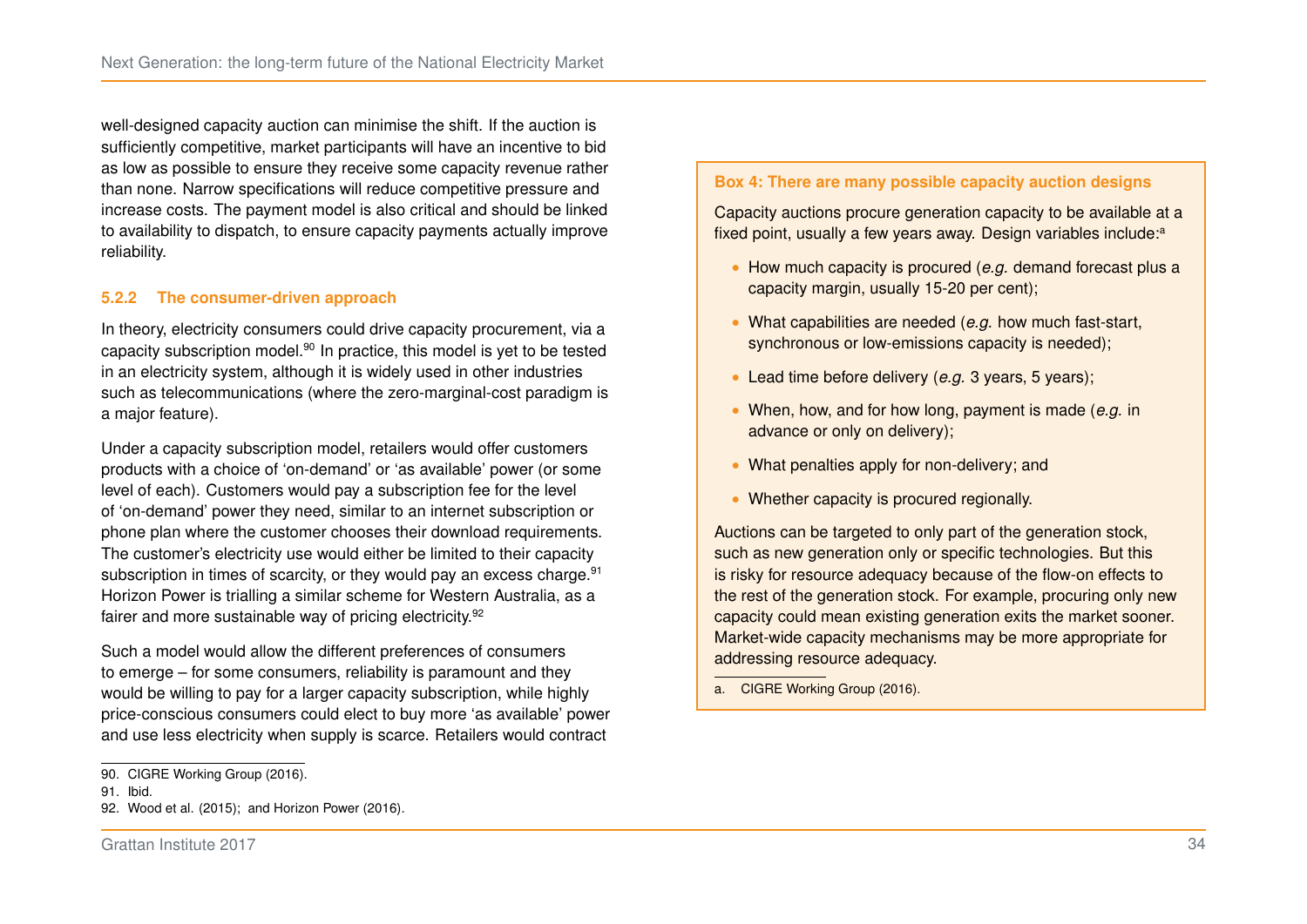well-designed capacity auction can minimise the shift. If the auction is sufficiently competitive, market participants will have an incentive to bid as low as possible to ensure they receive some capacity revenue rather than none. Narrow specifications will reduce competitive pressure and increase costs. The payment model is also critical and should be linked to availability to dispatch, to ensure capacity payments actually improve reliability.

#### **5.2.2 The consumer-driven approach**

In theory, electricity consumers could drive capacity procurement, via a capacity subscription model.[90](#page-40-1) In practice, this model is yet to be tested in an electricity system, although it is widely used in other industries such as telecommunications (where the zero-marginal-cost paradigm is a major feature).

Under a capacity subscription model, retailers would offer customers products with a choice of 'on-demand' or 'as available' power (or some level of each). Customers would pay a subscription fee for the level of 'on-demand' power they need, similar to an internet subscription or phone plan where the customer chooses their download requirements. The customer's electricity use would either be limited to their capacity subscription in times of scarcity, or they would pay an excess charge.<sup>[91](#page-40-2)</sup> Horizon Power is trialling a similar scheme for Western Australia, as a fairer and more sustainable way of pricing electricity.<sup>[92](#page-40-3)</sup>

Such a model would allow the different preferences of consumers to emerge – for some consumers, reliability is paramount and they would be willing to pay for a larger capacity subscription, while highly price-conscious consumers could elect to buy more 'as available' power and use less electricity when supply is scarce. Retailers would contract

#### <span id="page-40-0"></span>**Box 4: There are many possible capacity auction designs**

Capacity auctions procure generation capacity to be available at a fixed point, usu[a](#page-40-4)lly a few years away. Design variables include:<sup>a</sup>

- ∙ How much capacity is procured (*e.g.* demand forecast plus a capacity margin, usually 15-20 per cent);
- ∙ What capabilities are needed (*e.g.* how much fast-start, synchronous or low-emissions capacity is needed);
- ∙ Lead time before delivery (*e.g.* 3 years, 5 years);
- ∙ When, how, and for how long, payment is made (*e.g.* in advance or only on delivery);
- ∙ What penalties apply for non-delivery; and
- ∙ Whether capacity is procured regionally.

Auctions can be targeted to only part of the generation stock. such as new generation only or specific technologies. But this is risky for resource adequacy because of the flow-on effects to the rest of the generation stock. For example, procuring only new capacity could mean existing generation exits the market sooner. Market-wide capacity mechanisms may be more appropriate for addressing resource adequacy.

<span id="page-40-4"></span>a. [CIGRE Working Group \(2016\).](#page-53-5)

<span id="page-40-1"></span><sup>90.</sup> [CIGRE Working Group \(2016\).](#page-53-5)

<span id="page-40-2"></span><sup>91.</sup> Ibid.

<span id="page-40-3"></span><sup>92.</sup> [Wood et al. \(2015\);](#page-57-11) and [Horizon Power \(2016\).](#page-54-15)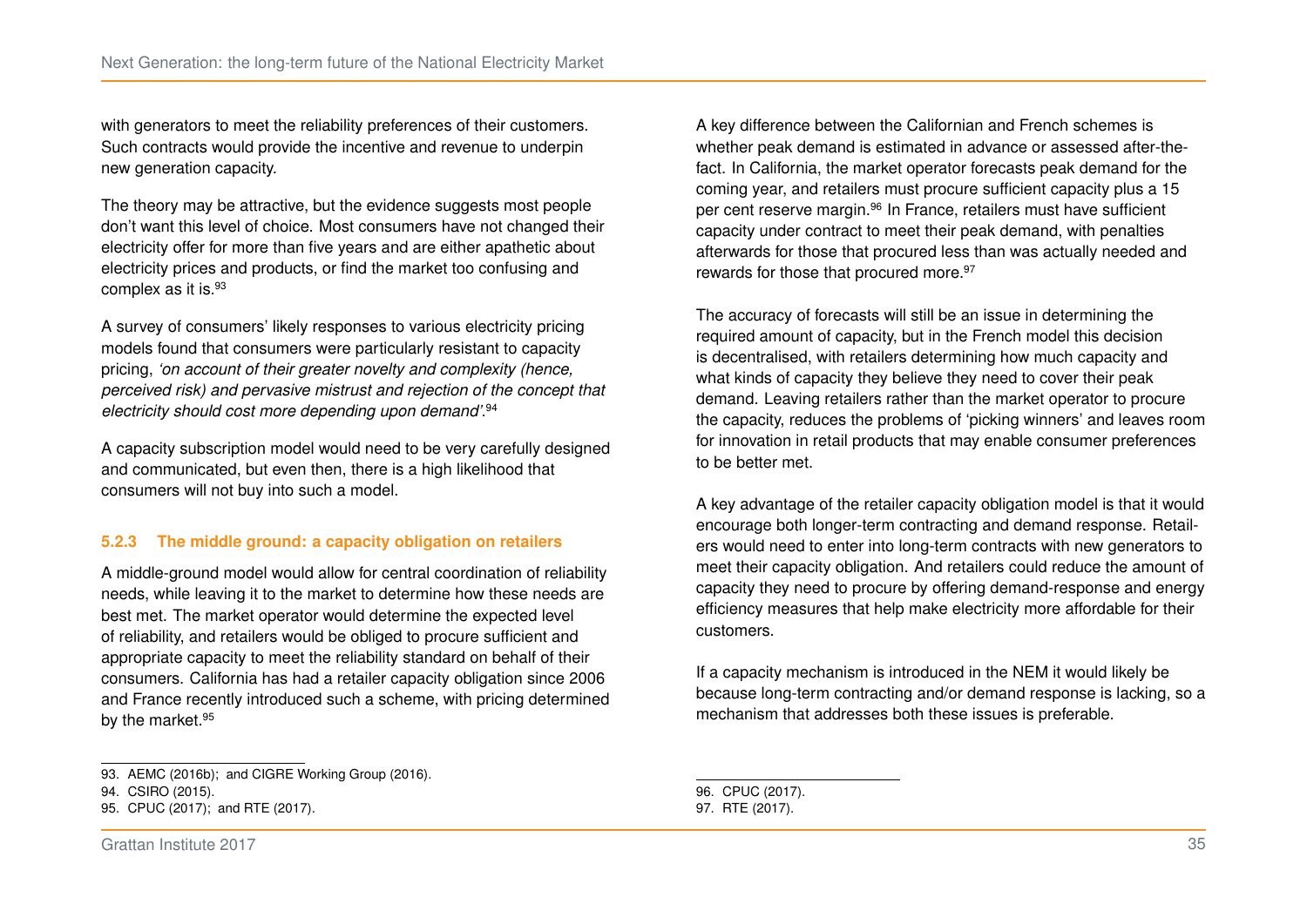with generators to meet the reliability preferences of their customers. Such contracts would provide the incentive and revenue to underpin new generation capacity.

The theory may be attractive, but the evidence suggests most people don't want this level of choice. Most consumers have not changed their electricity offer for more than five years and are either apathetic about electricity prices and products, or find the market too confusing and complex as it is.<sup>[93](#page-41-0)</sup>

A survey of consumers' likely responses to various electricity pricing models found that consumers were particularly resistant to capacity pricing, *'on account of their greater novelty and complexity (hence, perceived risk) and pervasive mistrust and rejection of the concept that electricity should cost more depending upon demand'*. [94](#page-41-1)

A capacity subscription model would need to be very carefully designed and communicated, but even then, there is a high likelihood that consumers will not buy into such a model.

#### **5.2.3 The middle ground: a capacity obligation on retailers**

A middle-ground model would allow for central coordination of reliability needs, while leaving it to the market to determine how these needs are best met. The market operator would determine the expected level of reliability, and retailers would be obliged to procure sufficient and appropriate capacity to meet the reliability standard on behalf of their consumers. California has had a retailer capacity obligation since 2006 and France recently introduced such a scheme, with pricing determined by the market.<sup>[95](#page-41-2)</sup>

<span id="page-41-1"></span>94. [CSIRO \(2015\).](#page-53-9)

A key difference between the Californian and French schemes is whether peak demand is estimated in advance or assessed after-thefact. In California, the market operator forecasts peak demand for the coming year, and retailers must procure sufficient capacity plus a 15 per cent reserve margin.[96](#page-41-3) In France, retailers must have sufficient capacity under contract to meet their peak demand, with penalties afterwards for those that procured less than was actually needed and rewards for those that procured more.<sup>[97](#page-41-4)</sup>

The accuracy of forecasts will still be an issue in determining the required amount of capacity, but in the French model this decision is decentralised, with retailers determining how much capacity and what kinds of capacity they believe they need to cover their peak demand. Leaving retailers rather than the market operator to procure the capacity, reduces the problems of 'picking winners' and leaves room for innovation in retail products that may enable consumer preferences to be better met.

A key advantage of the retailer capacity obligation model is that it would encourage both longer-term contracting and demand response. Retailers would need to enter into long-term contracts with new generators to meet their capacity obligation. And retailers could reduce the amount of capacity they need to procure by offering demand-response and energy efficiency measures that help make electricity more affordable for their customers.

If a capacity mechanism is introduced in the NEM it would likely be because long-term contracting and/or demand response is lacking, so a mechanism that addresses both these issues is preferable.

<span id="page-41-0"></span><sup>93.</sup> [AEMC \(2016b\);](#page-51-15) and [CIGRE Working Group \(2016\).](#page-53-5)

<span id="page-41-2"></span><sup>95.</sup> [CPUC \(2017\);](#page-53-15) and [RTE \(2017\).](#page-56-11)

<span id="page-41-4"></span><span id="page-41-3"></span><sup>96.</sup> [CPUC \(2017\).](#page-53-15) 97. [RTE \(2017\).](#page-56-11)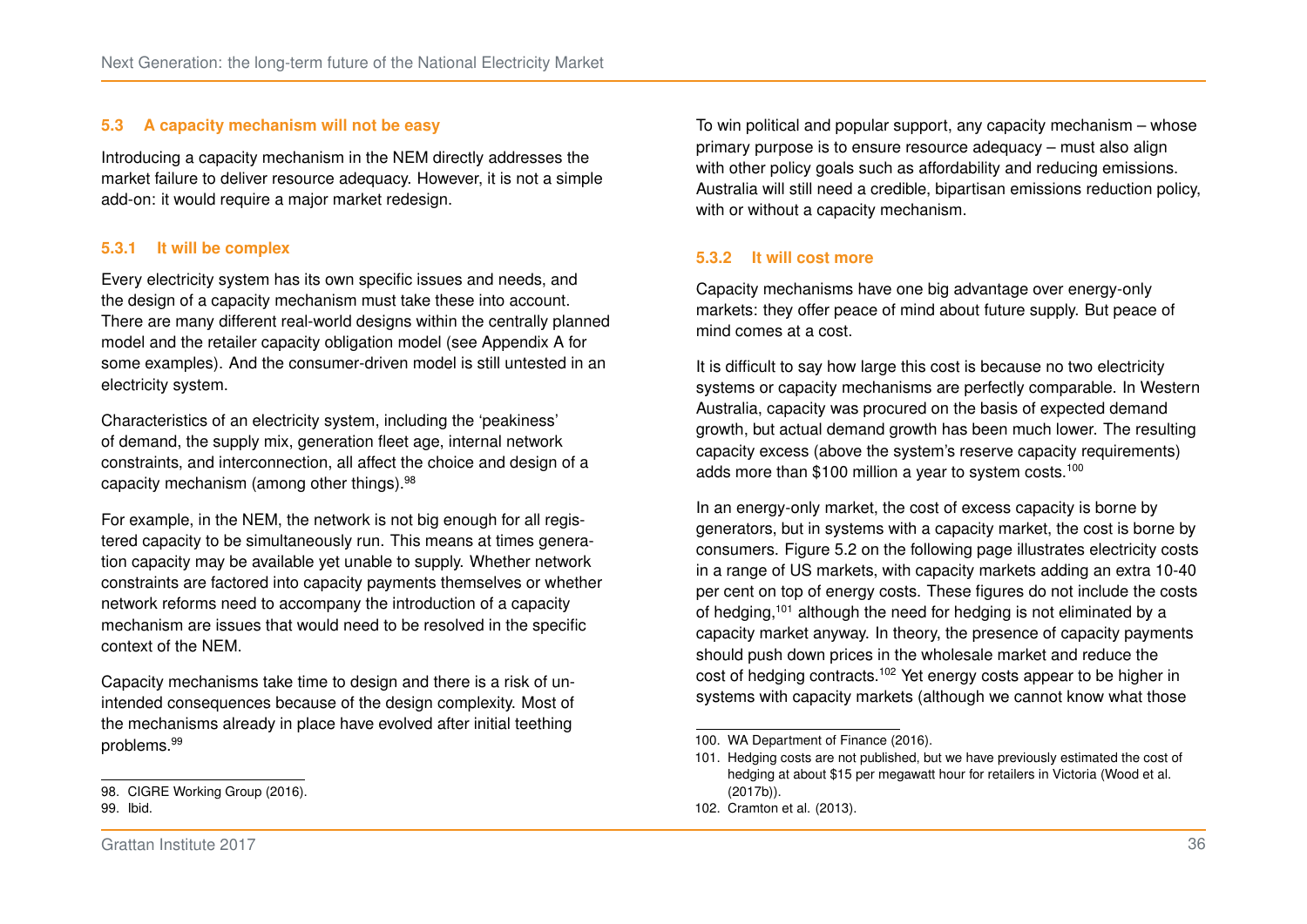#### **5.3 A capacity mechanism will not be easy**

Introducing a capacity mechanism in the NEM directly addresses the market failure to deliver resource adequacy. However, it is not a simple add-on: it would require a major market redesign.

#### **5.3.1 It will be complex**

Every electricity system has its own specific issues and needs, and the design of a capacity mechanism must take these into account. There are many different real-world designs within the centrally planned model and the retailer capacity obligation model (see Appendix [A](#page-48-0) for some examples). And the consumer-driven model is still untested in an electricity system.

Characteristics of an electricity system, including the 'peakiness' of demand, the supply mix, generation fleet age, internal network constraints, and interconnection, all affect the choice and design of a capacity mechanism (among other things).[98](#page-42-0)

For example, in the NEM, the network is not big enough for all registered capacity to be simultaneously run. This means at times generation capacity may be available yet unable to supply. Whether network constraints are factored into capacity payments themselves or whether network reforms need to accompany the introduction of a capacity mechanism are issues that would need to be resolved in the specific context of the NEM.

Capacity mechanisms take time to design and there is a risk of unintended consequences because of the design complexity. Most of the mechanisms already in place have evolved after initial teething problems.[99](#page-42-1)

<span id="page-42-1"></span>99. Ibid.

To win political and popular support, any capacity mechanism – whose primary purpose is to ensure resource adequacy – must also align with other policy goals such as affordability and reducing emissions. Australia will still need a credible, bipartisan emissions reduction policy, with or without a capacity mechanism.

#### **5.3.2 It will cost more**

Capacity mechanisms have one big advantage over energy-only markets: they offer peace of mind about future supply. But peace of mind comes at a cost.

It is difficult to say how large this cost is because no two electricity systems or capacity mechanisms are perfectly comparable. In Western Australia, capacity was procured on the basis of expected demand growth, but actual demand growth has been much lower. The resulting capacity excess (above the system's reserve capacity requirements) adds more than \$[100](#page-42-2) million a year to system costs.<sup>100</sup>

In an energy-only market, the cost of excess capacity is borne by generators, but in systems with a capacity market, the cost is borne by consumers. Figure [5.2](#page-43-0) on the following page illustrates electricity costs in a range of US markets, with capacity markets adding an extra 10-40 per cent on top of energy costs. These figures do not include the costs of hedging,<sup>[101](#page-42-3)</sup> although the need for hedging is not eliminated by a capacity market anyway. In theory, the presence of capacity payments should push down prices in the wholesale market and reduce the cost of hedging contracts.[102](#page-42-4) Yet energy costs appear to be higher in systems with capacity markets (although we cannot know what those

<span id="page-42-0"></span><sup>98.</sup> [CIGRE Working Group \(2016\).](#page-53-5)

<span id="page-42-2"></span><sup>100.</sup> [WA Department of Finance \(2016\).](#page-57-12)

<span id="page-42-3"></span><sup>101.</sup> Hedging costs are not published, but we have previously estimated the cost of hedging at about \$15 per megawatt hour for retailers in Victoria [\(Wood et al.](#page-57-13) [\(2017b\)\)](#page-57-13).

<span id="page-42-4"></span><sup>102.</sup> [Cramton et al. \(2013\).](#page-53-3)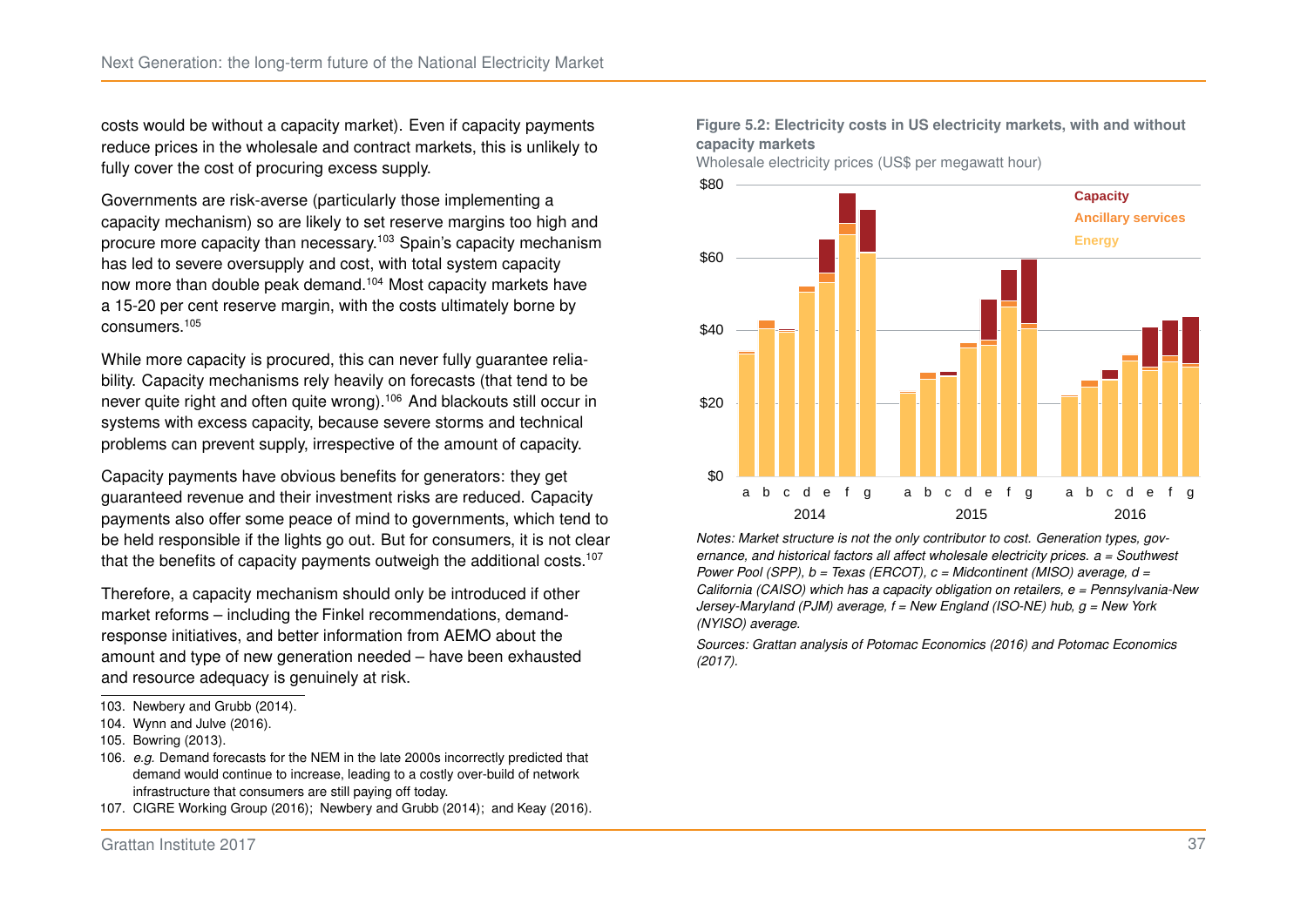costs would be without a capacity market). Even if capacity payments reduce prices in the wholesale and contract markets, this is unlikely to fully cover the cost of procuring excess supply.

Governments are risk-averse (particularly those implementing a capacity mechanism) so are likely to set reserve margins too high and procure more capacity than necessary.[103](#page-43-1) Spain's capacity mechanism has led to severe oversupply and cost, with total system capacity now more than double peak demand.[104](#page-43-2) Most capacity markets have a 15-20 per cent reserve margin, with the costs ultimately borne by consumers.[105](#page-43-3)

While more capacity is procured, this can never fully quarantee reliability. Capacity mechanisms rely heavily on forecasts (that tend to be never quite right and often quite wrong).[106](#page-43-4) And blackouts still occur in systems with excess capacity, because severe storms and technical problems can prevent supply, irrespective of the amount of capacity.

Capacity payments have obvious benefits for generators: they get guaranteed revenue and their investment risks are reduced. Capacity payments also offer some peace of mind to governments, which tend to be held responsible if the lights go out. But for consumers, it is not clear that the benefits of capacity payments outweigh the additional costs.<sup>[107](#page-43-5)</sup>

Therefore, a capacity mechanism should only be introduced if other market reforms – including the Finkel recommendations, demandresponse initiatives, and better information from AEMO about the amount and type of new generation needed – have been exhausted and resource adequacy is genuinely at risk.

- <span id="page-43-3"></span>105. [Bowring \(2013\).](#page-53-14)
- <span id="page-43-4"></span>106. *e.g.* Demand forecasts for the NEM in the late 2000s incorrectly predicted that demand would continue to increase, leading to a costly over-build of network infrastructure that consumers are still paying off today.
- <span id="page-43-5"></span>107. [CIGRE Working Group \(2016\);](#page-53-5) [Newbery and Grubb \(2014\);](#page-55-3) and [Keay \(2016\).](#page-55-4)

#### <span id="page-43-0"></span>**Figure 5.2: Electricity costs in US electricity markets, with and without capacity markets**

Wholesale electricity prices (US\$ per megawatt hour)



*Notes: Market structure is not the only contributor to cost. Generation types, governance, and historical factors all affect wholesale electricity prices. a = Southwest Power Pool (SPP), b = Texas (ERCOT), c = Midcontinent (MISO) average, d = California (CAISO) which has a capacity obligation on retailers, e = Pennsylvania-New Jersey-Maryland (PJM) average, f = New England (ISO-NE) hub, g = New York (NYISO) average.*

*Sources: Grattan analysis of [Potomac Economics \(2016\)](#page-56-12) and [Potomac Economics](#page-56-13) [\(2017\).](#page-56-13)*

<span id="page-43-1"></span><sup>103.</sup> [Newbery and Grubb \(2014\).](#page-55-3)

<span id="page-43-2"></span><sup>104.</sup> [Wynn and Julve \(2016\).](#page-57-14)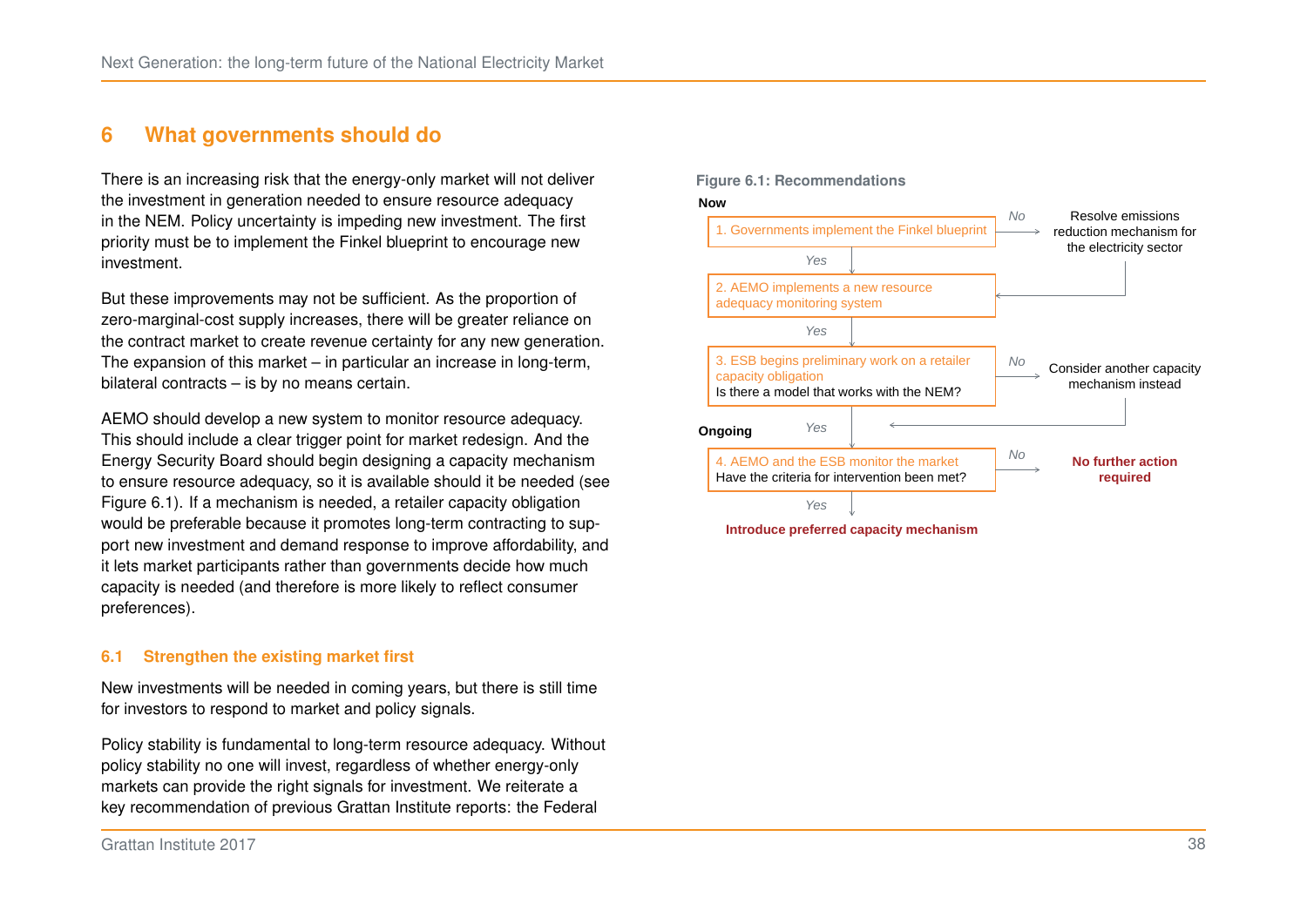## <span id="page-44-0"></span>**6 What governments should do**

There is an increasing risk that the energy-only market will not deliver the investment in generation needed to ensure resource adequacy in the NEM. Policy uncertainty is impeding new investment. The first priority must be to implement the Finkel blueprint to encourage new investment.

But these improvements may not be sufficient. As the proportion of zero-marginal-cost supply increases, there will be greater reliance on the contract market to create revenue certainty for any new generation. The expansion of this market – in particular an increase in long-term, bilateral contracts – is by no means certain.

AEMO should develop a new system to monitor resource adequacy. This should include a clear trigger point for market redesign. And the Energy Security Board should begin designing a capacity mechanism to ensure resource adequacy, so it is available should it be needed (see Figure [6.1\)](#page-44-1). If a mechanism is needed, a retailer capacity obligation would be preferable because it promotes long-term contracting to support new investment and demand response to improve affordability, and it lets market participants rather than governments decide how much capacity is needed (and therefore is more likely to reflect consumer preferences).

#### **6.1 Strengthen the existing market first**

New investments will be needed in coming years, but there is still time for investors to respond to market and policy signals.

Policy stability is fundamental to long-term resource adequacy. Without policy stability no one will invest, regardless of whether energy-only markets can provide the right signals for investment. We reiterate a key recommendation of previous Grattan Institute reports: the Federal

<span id="page-44-1"></span>

**Introduce preferred capacity mechanism**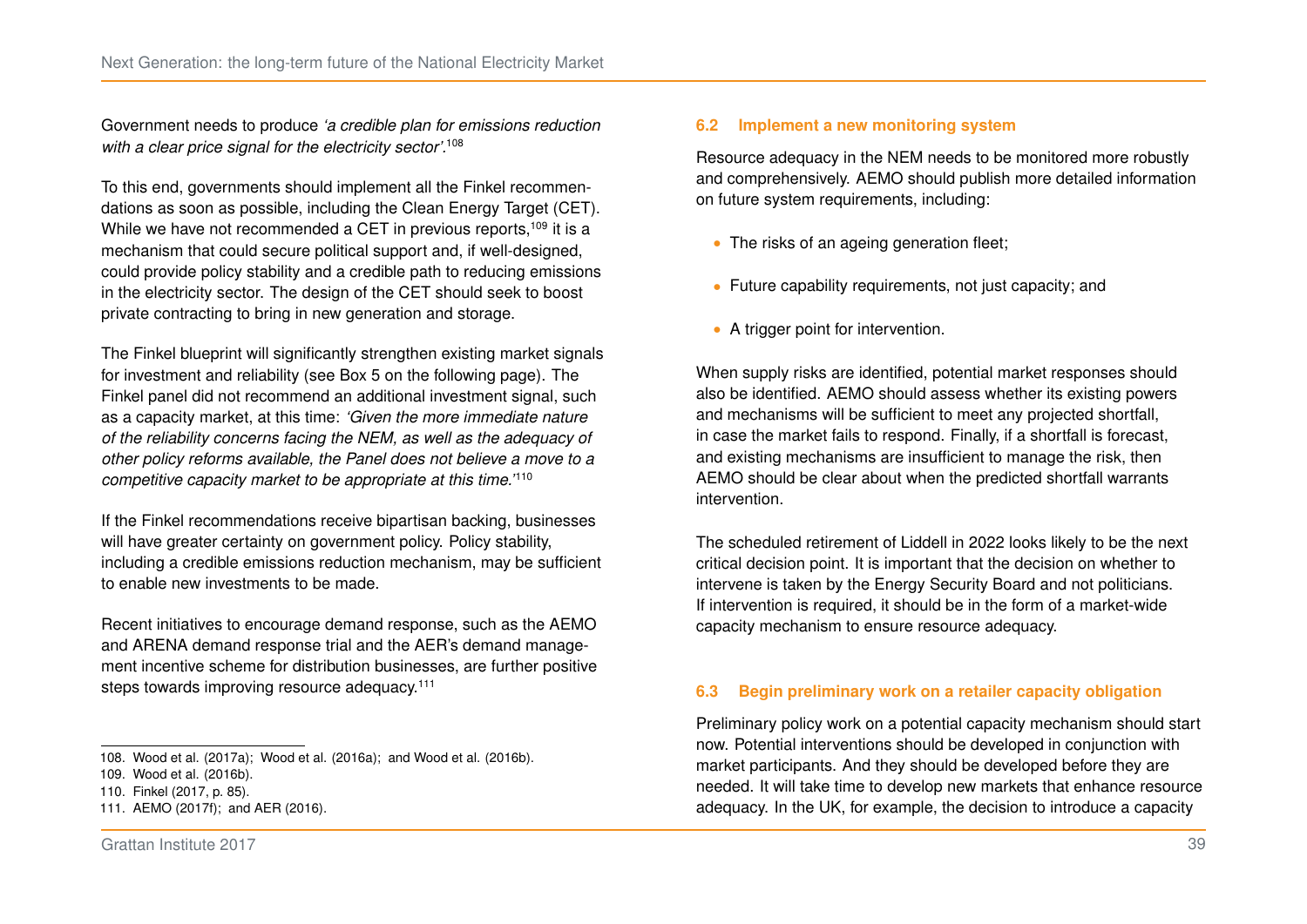Government needs to produce *'a credible plan for emissions reduction with a clear price signal for the electricity sector'.*[108](#page-45-0)

To this end, governments should implement all the Finkel recommendations as soon as possible, including the Clean Energy Target (CET). While we have not recommended a CET in previous reports,<sup>[109](#page-45-1)</sup> it is a mechanism that could secure political support and, if well-designed, could provide policy stability and a credible path to reducing emissions in the electricity sector. The design of the CET should seek to boost private contracting to bring in new generation and storage.

The Finkel blueprint will significantly strengthen existing market signals for investment and reliability (see Box [5](#page-46-0) on the following page). The Finkel panel did not recommend an additional investment signal, such as a capacity market, at this time: *'Given the more immediate nature of the reliability concerns facing the NEM, as well as the adequacy of other policy reforms available, the Panel does not believe a move to a competitive capacity market to be appropriate at this time.'*[110](#page-45-2)

If the Finkel recommendations receive bipartisan backing, businesses will have greater certainty on government policy. Policy stability, including a credible emissions reduction mechanism, may be sufficient to enable new investments to be made.

Recent initiatives to encourage demand response, such as the AEMO and ARENA demand response trial and the AER's demand management incentive scheme for distribution businesses, are further positive steps towards improving resource adequacy.<sup>[111](#page-45-3)</sup>

#### <span id="page-45-0"></span>108. [Wood et al. \(2017a\);](#page-57-4) [Wood et al. \(2016a\);](#page-57-5) and [Wood et al. \(2016b\).](#page-57-15)

### **6.2 Implement a new monitoring system**

Resource adequacy in the NEM needs to be monitored more robustly and comprehensively. AEMO should publish more detailed information on future system requirements, including:

- ∙ The risks of an ageing generation fleet;
- ∙ Future capability requirements, not just capacity; and
- ∙ A trigger point for intervention.

When supply risks are identified, potential market responses should also be identified. AEMO should assess whether its existing powers and mechanisms will be sufficient to meet any projected shortfall, in case the market fails to respond. Finally, if a shortfall is forecast, and existing mechanisms are insufficient to manage the risk, then AEMO should be clear about when the predicted shortfall warrants intervention.

The scheduled retirement of Liddell in 2022 looks likely to be the next critical decision point. It is important that the decision on whether to intervene is taken by the Energy Security Board and not politicians. If intervention is required, it should be in the form of a market-wide capacity mechanism to ensure resource adequacy.

#### **6.3 Begin preliminary work on a retailer capacity obligation**

Preliminary policy work on a potential capacity mechanism should start now. Potential interventions should be developed in conjunction with market participants. And they should be developed before they are needed. It will take time to develop new markets that enhance resource adequacy. In the UK, for example, the decision to introduce a capacity

<span id="page-45-1"></span><sup>109.</sup> [Wood et al. \(2016b\).](#page-57-15)

<span id="page-45-2"></span><sup>110.</sup> Finkel [\(2017,](#page-54-0) p. 85).

<span id="page-45-3"></span><sup>111.</sup> [AEMO \(2017f\);](#page-52-11) and [AER \(2016\).](#page-52-14)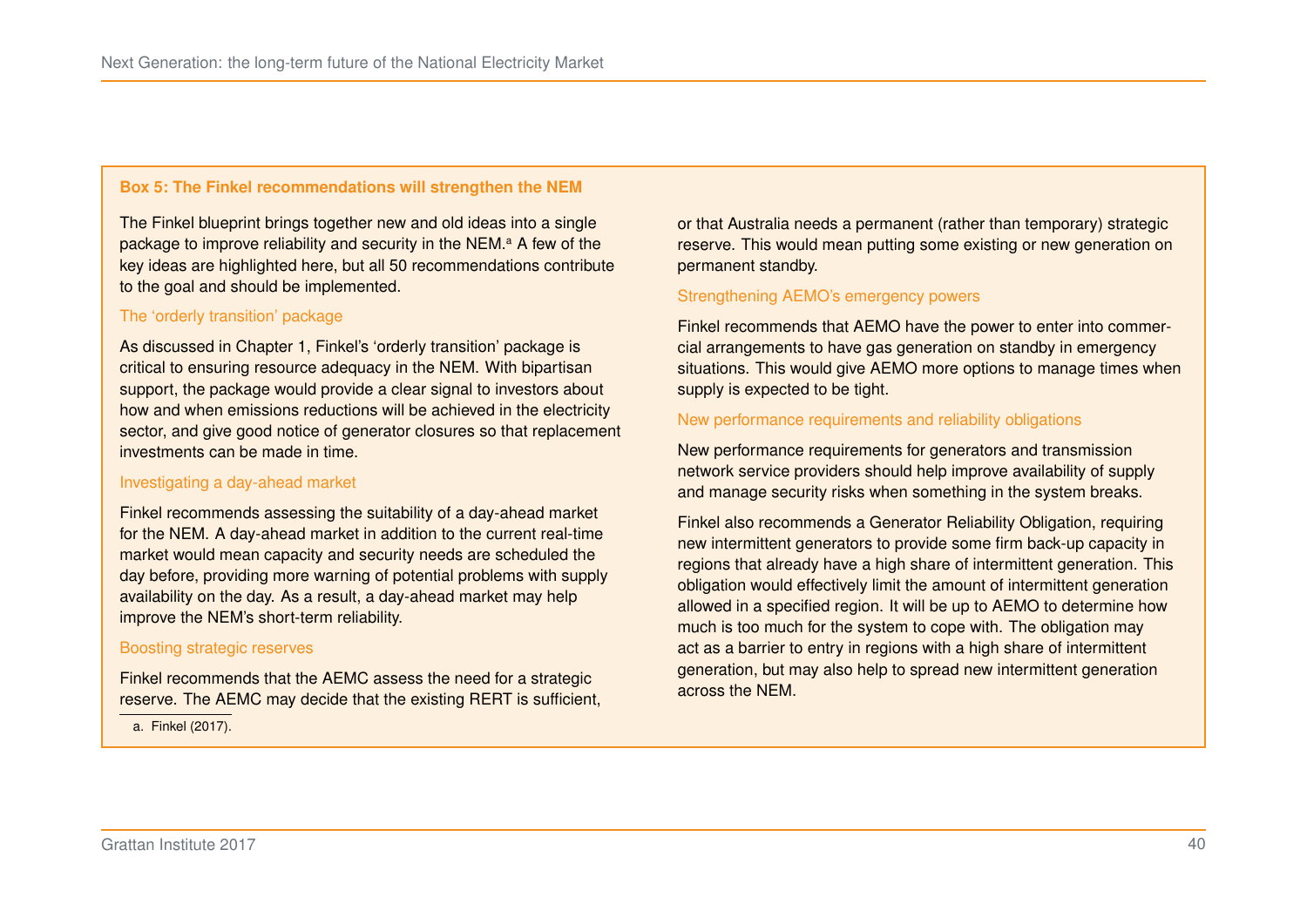#### <span id="page-46-0"></span>**Box 5: The Finkel recommendations will strengthen the NEM**

The Finkel blueprint brings together new and old ideas into a single p[a](#page-46-1)ckage to improve reliability and security in the NEM.<sup>a</sup> A few of the key ideas are highlighted here, but all 50 recommendations contribute to the goal and should be implemented.

#### The 'orderly transition' package

As discussed in Chapter [1,](#page-11-0) Finkel's 'orderly transition' package is critical to ensuring resource adequacy in the NEM. With bipartisan support, the package would provide a clear signal to investors about how and when emissions reductions will be achieved in the electricity sector, and give good notice of generator closures so that replacement investments can be made in time.

#### Investigating a day-ahead market

Finkel recommends assessing the suitability of a day-ahead market for the NEM. A day-ahead market in addition to the current real-time market would mean capacity and security needs are scheduled the day before, providing more warning of potential problems with supply availability on the day. As a result, a day-ahead market may help improve the NEM's short-term reliability.

#### Boosting strategic reserves

Finkel recommends that the AEMC assess the need for a strategic reserve. The AEMC may decide that the existing RERT is sufficient,

<span id="page-46-1"></span>a. [Finkel \(2017\).](#page-54-0)

or that Australia needs a permanent (rather than temporary) strategic reserve. This would mean putting some existing or new generation on permanent standby.

#### Strengthening AEMO's emergency powers

Finkel recommends that AEMO have the power to enter into commercial arrangements to have gas generation on standby in emergency situations. This would give AEMO more options to manage times when supply is expected to be tight.

#### New performance requirements and reliability obligations

New performance requirements for generators and transmission network service providers should help improve availability of supply and manage security risks when something in the system breaks.

Finkel also recommends a Generator Reliability Obligation, requiring new intermittent generators to provide some firm back-up capacity in regions that already have a high share of intermittent generation. This obligation would effectively limit the amount of intermittent generation allowed in a specified region. It will be up to AEMO to determine how much is too much for the system to cope with. The obligation may act as a barrier to entry in regions with a high share of intermittent generation, but may also help to spread new intermittent generation across the NEM.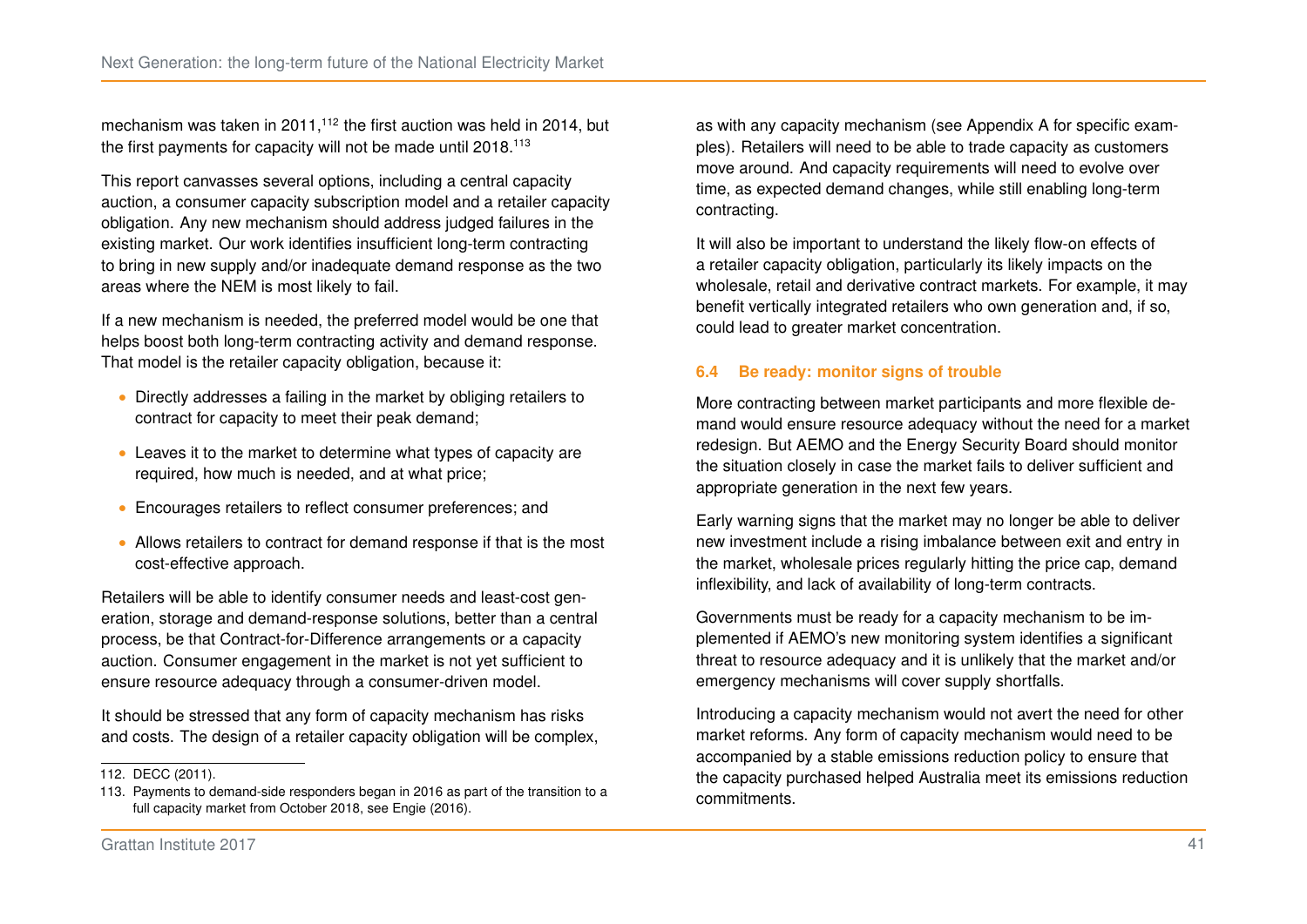mechanism was taken in 2011,<sup>[112](#page-47-0)</sup> the first auction was held in 2014, but the first payments for capacity will not be made until 2018.<sup>[113](#page-47-1)</sup>

This report canvasses several options, including a central capacity auction, a consumer capacity subscription model and a retailer capacity obligation. Any new mechanism should address judged failures in the existing market. Our work identifies insufficient long-term contracting to bring in new supply and/or inadequate demand response as the two areas where the NEM is most likely to fail.

If a new mechanism is needed, the preferred model would be one that helps boost both long-term contracting activity and demand response. That model is the retailer capacity obligation, because it:

- ∙ Directly addresses a failing in the market by obliging retailers to contract for capacity to meet their peak demand;
- ∙ Leaves it to the market to determine what types of capacity are required, how much is needed, and at what price;
- ∙ Encourages retailers to reflect consumer preferences; and
- ∙ Allows retailers to contract for demand response if that is the most cost-effective approach.

Retailers will be able to identify consumer needs and least-cost generation, storage and demand-response solutions, better than a central process, be that Contract-for-Difference arrangements or a capacity auction. Consumer engagement in the market is not yet sufficient to ensure resource adequacy through a consumer-driven model.

It should be stressed that any form of capacity mechanism has risks and costs. The design of a retailer capacity obligation will be complex,

as with any capacity mechanism (see Appendix [A](#page-48-0) for specific examples). Retailers will need to be able to trade capacity as customers move around. And capacity requirements will need to evolve over time, as expected demand changes, while still enabling long-term contracting.

It will also be important to understand the likely flow-on effects of a retailer capacity obligation, particularly its likely impacts on the wholesale, retail and derivative contract markets. For example, it may benefit vertically integrated retailers who own generation and, if so, could lead to greater market concentration.

#### **6.4 Be ready: monitor signs of trouble**

More contracting between market participants and more flexible demand would ensure resource adequacy without the need for a market redesign. But AEMO and the Energy Security Board should monitor the situation closely in case the market fails to deliver sufficient and appropriate generation in the next few years.

Early warning signs that the market may no longer be able to deliver new investment include a rising imbalance between exit and entry in the market, wholesale prices regularly hitting the price cap, demand inflexibility, and lack of availability of long-term contracts.

Governments must be ready for a capacity mechanism to be implemented if AEMO's new monitoring system identifies a significant threat to resource adequacy and it is unlikely that the market and/or emergency mechanisms will cover supply shortfalls.

Introducing a capacity mechanism would not avert the need for other market reforms. Any form of capacity mechanism would need to be accompanied by a stable emissions reduction policy to ensure that the capacity purchased helped Australia meet its emissions reduction commitments.

<span id="page-47-0"></span><sup>112.</sup> [DECC \(2011\).](#page-53-16)

<span id="page-47-1"></span><sup>113.</sup> Payments to demand-side responders began in 2016 as part of the transition to a full capacity market from October 2018, see [Engie \(2016\).](#page-54-16)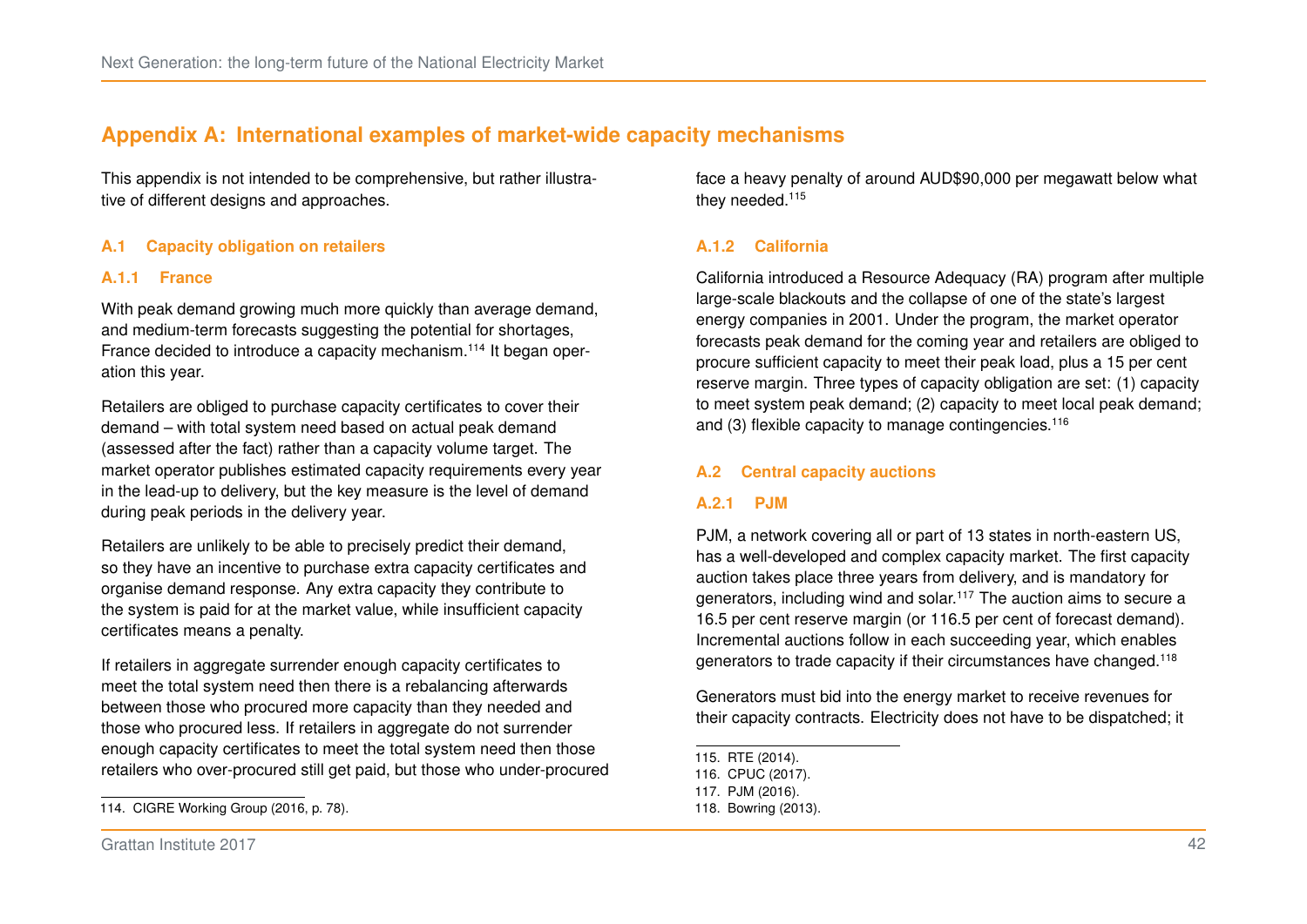## <span id="page-48-0"></span>**Appendix A: International examples of market-wide capacity mechanisms**

This appendix is not intended to be comprehensive, but rather illustrative of different designs and approaches.

#### **A.1 Capacity obligation on retailers**

#### **A.1.1 France**

With peak demand growing much more quickly than average demand, and medium-term forecasts suggesting the potential for shortages, France decided to introduce a capacity mechanism.[114](#page-48-1) It began operation this year.

Retailers are obliged to purchase capacity certificates to cover their demand – with total system need based on actual peak demand (assessed after the fact) rather than a capacity volume target. The market operator publishes estimated capacity requirements every year in the lead-up to delivery, but the key measure is the level of demand during peak periods in the delivery year.

Retailers are unlikely to be able to precisely predict their demand, so they have an incentive to purchase extra capacity certificates and organise demand response. Any extra capacity they contribute to the system is paid for at the market value, while insufficient capacity certificates means a penalty.

If retailers in aggregate surrender enough capacity certificates to meet the total system need then there is a rebalancing afterwards between those who procured more capacity than they needed and those who procured less. If retailers in aggregate do not surrender enough capacity certificates to meet the total system need then those retailers who over-procured still get paid, but those who under-procured face a heavy penalty of around AUD\$90,000 per megawatt below what they needed.<sup>[115](#page-48-2)</sup>

#### **A.1.2 California**

California introduced a Resource Adequacy (RA) program after multiple large-scale blackouts and the collapse of one of the state's largest energy companies in 2001. Under the program, the market operator forecasts peak demand for the coming year and retailers are obliged to procure sufficient capacity to meet their peak load, plus a 15 per cent reserve margin. Three types of capacity obligation are set: (1) capacity to meet system peak demand; (2) capacity to meet local peak demand; and (3) flexible capacity to manage contingencies.<sup>[116](#page-48-3)</sup>

#### **A.2 Central capacity auctions**

#### **A.2.1 PJM**

PJM, a network covering all or part of 13 states in north-eastern US, has a well-developed and complex capacity market. The first capacity auction takes place three years from delivery, and is mandatory for generators, including wind and solar.[117](#page-48-4) The auction aims to secure a 16.5 per cent reserve margin (or 116.5 per cent of forecast demand). Incremental auctions follow in each succeeding year, which enables generators to trade capacity if their circumstances have changed.[118](#page-48-5)

Generators must bid into the energy market to receive revenues for their capacity contracts. Electricity does not have to be dispatched; it

<span id="page-48-1"></span><sup>114.</sup> CIGRE Working Group [\(2016,](#page-53-5) p. 78).

<span id="page-48-2"></span><sup>115.</sup> [RTE \(2014\).](#page-56-14)

<span id="page-48-3"></span><sup>116.</sup> [CPUC \(2017\).](#page-53-15)

<span id="page-48-4"></span><sup>117.</sup> [PJM \(2016\).](#page-56-15)

<span id="page-48-5"></span><sup>118.</sup> [Bowring \(2013\).](#page-53-14)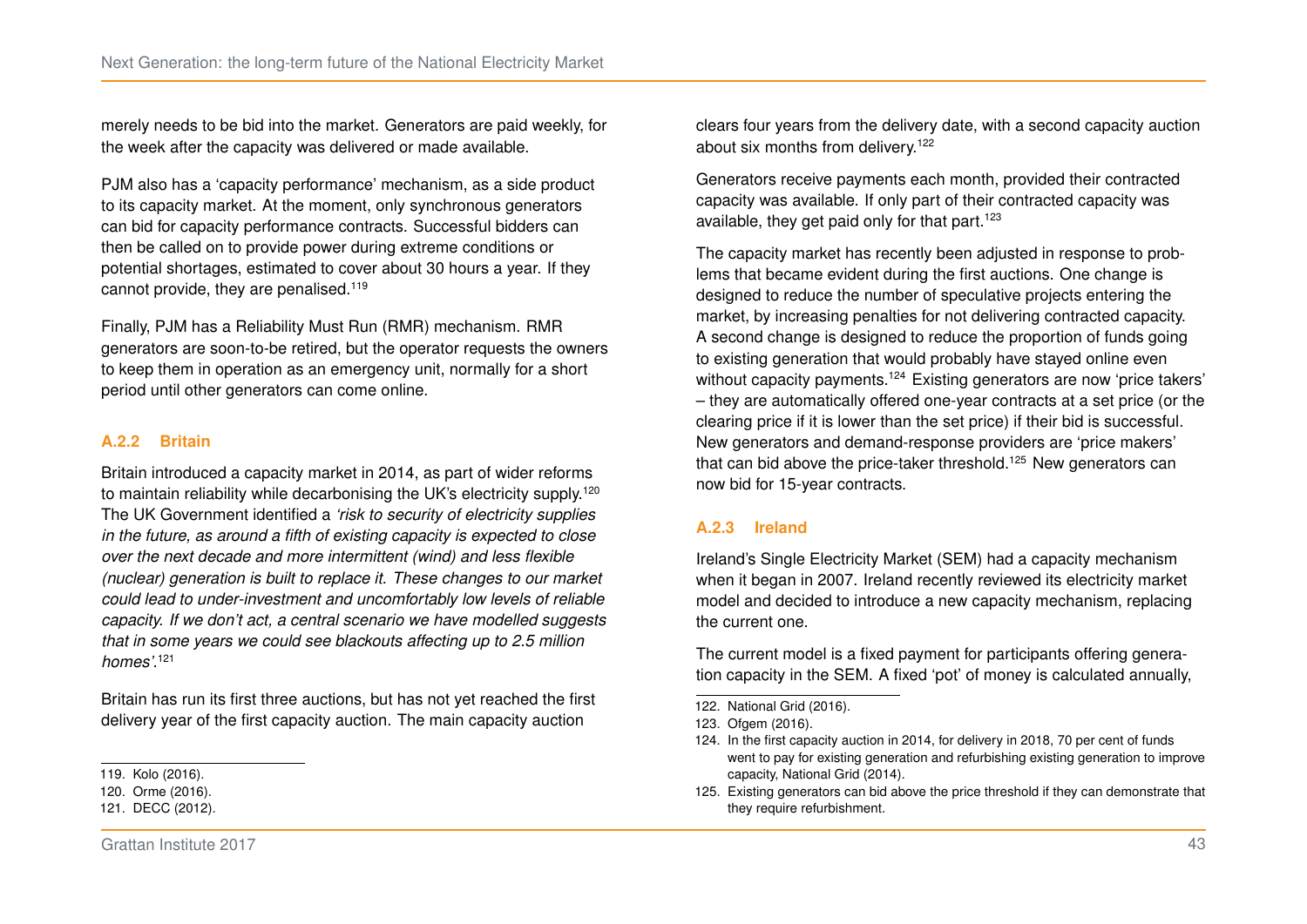merely needs to be bid into the market. Generators are paid weekly, for the week after the capacity was delivered or made available.

PJM also has a 'capacity performance' mechanism, as a side product to its capacity market. At the moment, only synchronous generators can bid for capacity performance contracts. Successful bidders can then be called on to provide power during extreme conditions or potential shortages, estimated to cover about 30 hours a year. If they cannot provide, they are penalised.<sup>[119](#page-49-0)</sup>

Finally, PJM has a Reliability Must Run (RMR) mechanism. RMR generators are soon-to-be retired, but the operator requests the owners to keep them in operation as an emergency unit, normally for a short period until other generators can come online.

#### **A.2.2 Britain**

Britain introduced a capacity market in 2014, as part of wider reforms to maintain reliability while decarbonising the UK's electricity supply.<sup>[120](#page-49-1)</sup> The UK Government identified a *'risk to security of electricity supplies in the future, as around a fifth of existing capacity is expected to close over the next decade and more intermittent (wind) and less flexible (nuclear) generation is built to replace it. These changes to our market could lead to under-investment and uncomfortably low levels of reliable capacity. If we don't act, a central scenario we have modelled suggests that in some years we could see blackouts affecting up to 2.5 million homes'*. [121](#page-49-2)

Britain has run its first three auctions, but has not yet reached the first delivery year of the first capacity auction. The main capacity auction

<span id="page-49-0"></span>119. [Kolo \(2016\).](#page-55-13)

<span id="page-49-2"></span>121. [DECC \(2012\).](#page-53-17)

clears four years from the delivery date, with a second capacity auction about six months from delivery.<sup>[122](#page-49-3)</sup>

Generators receive payments each month, provided their contracted capacity was available. If only part of their contracted capacity was available, they get paid only for that part.<sup>[123](#page-49-4)</sup>

The capacity market has recently been adjusted in response to problems that became evident during the first auctions. One change is designed to reduce the number of speculative projects entering the market, by increasing penalties for not delivering contracted capacity. A second change is designed to reduce the proportion of funds going to existing generation that would probably have stayed online even without capacity payments.<sup>[124](#page-49-5)</sup> Existing generators are now 'price takers' – they are automatically offered one-year contracts at a set price (or the clearing price if it is lower than the set price) if their bid is successful. New generators and demand-response providers are 'price makers' that can bid above the price-taker threshold.<sup>[125](#page-49-6)</sup> New generators can now bid for 15-year contracts.

#### **A.2.3 Ireland**

Ireland's Single Electricity Market (SEM) had a capacity mechanism when it began in 2007. Ireland recently reviewed its electricity market model and decided to introduce a new capacity mechanism, replacing the current one.

The current model is a fixed payment for participants offering generation capacity in the SEM. A fixed 'pot' of money is calculated annually,

<span id="page-49-3"></span>122. [National Grid \(2016\).](#page-55-14)

<span id="page-49-1"></span><sup>120.</sup> [Orme \(2016\).](#page-56-16)

<span id="page-49-4"></span><sup>123.</sup> [Ofgem \(2016\).](#page-55-15)

<span id="page-49-5"></span><sup>124.</sup> In the first capacity auction in 2014, for delivery in 2018, 70 per cent of funds went to pay for existing generation and refurbishing existing generation to improve capacity, [National Grid \(2014\).](#page-55-16)

<span id="page-49-6"></span><sup>125.</sup> Existing generators can bid above the price threshold if they can demonstrate that they require refurbishment.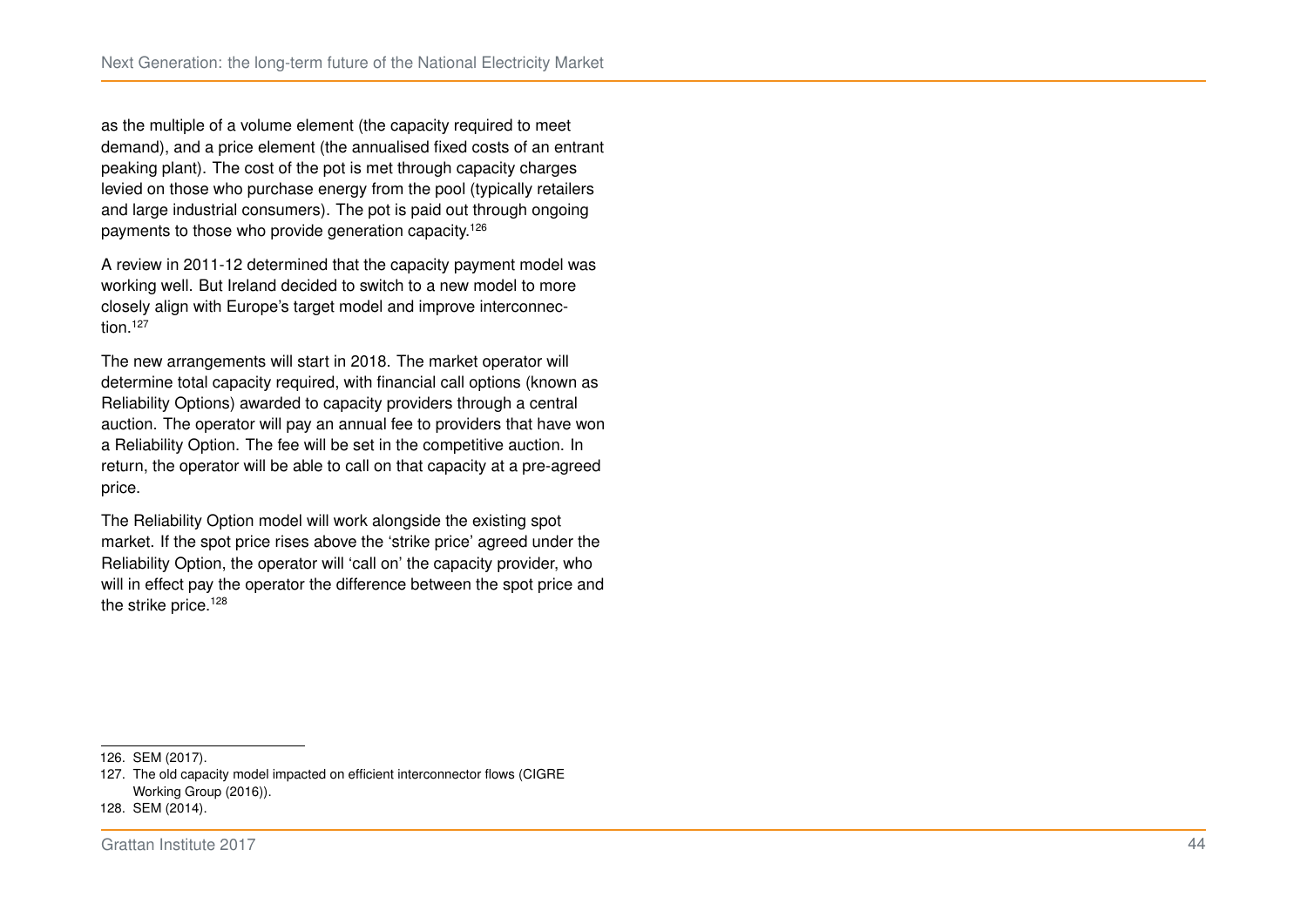as the multiple of a volume element (the capacity required to meet demand), and a price element (the annualised fixed costs of an entrant peaking plant). The cost of the pot is met through capacity charges levied on those who purchase energy from the pool (typically retailers and large industrial consumers). The pot is paid out through ongoing payments to those who provide generation capacity.<sup>[126](#page-50-0)</sup>

A review in 2011-12 determined that the capacity payment model was working well. But Ireland decided to switch to a new model to more closely align with Europe's target model and improve interconnec-tion.<sup>[127](#page-50-1)</sup>

The new arrangements will start in 2018. The market operator will determine total capacity required, with financial call options (known as Reliability Options) awarded to capacity providers through a central auction. The operator will pay an annual fee to providers that have won a Reliability Option. The fee will be set in the competitive auction. In return, the operator will be able to call on that capacity at a pre-agreed price.

The Reliability Option model will work alongside the existing spot market. If the spot price rises above the 'strike price' agreed under the Reliability Option, the operator will 'call on' the capacity provider, who will in effect pay the operator the difference between the spot price and the strike price.<sup>[128](#page-50-2)</sup>

<span id="page-50-1"></span>127. The old capacity model impacted on efficient interconnector flows [\(CIGRE](#page-53-5) [Working Group \(2016\)\)](#page-53-5).

<span id="page-50-0"></span><sup>126.</sup> [SEM \(2017\).](#page-56-17)

<span id="page-50-2"></span><sup>128.</sup> [SEM \(2014\).](#page-56-18)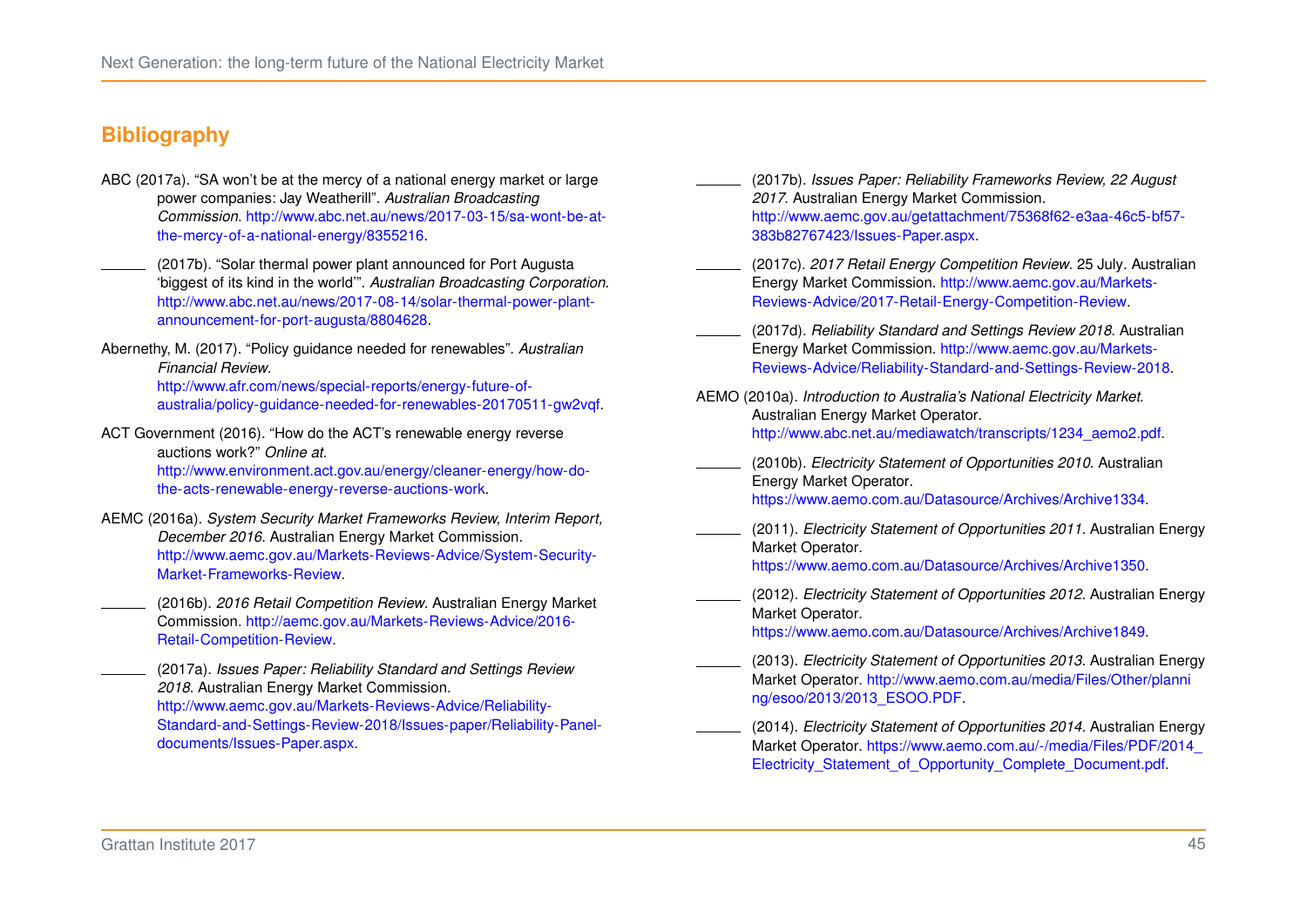## **Bibliography**

- <span id="page-51-0"></span>ABC (2017a). "SA won't be at the mercy of a national energy market or large power companies: Jay Weatherill". *Australian Broadcasting Commission*. [http://www.abc.net.au/news/2017-03-15/sa-wont-be-at](http://www.abc.net.au/news/2017-03-15/sa-wont-be-at-the-mercy-of-a-national-energy/8355216)[the-mercy-of-a-national-energy/8355216.](http://www.abc.net.au/news/2017-03-15/sa-wont-be-at-the-mercy-of-a-national-energy/8355216)
- <span id="page-51-8"></span>(2017b). "Solar thermal power plant announced for Port Augusta 'biggest of its kind in the world'". *Australian Broadcasting Corporation*. [http://www.abc.net.au/news/2017-08-14/solar-thermal-power-plant](http://www.abc.net.au/news/2017-08-14/solar-thermal-power-plant-announcement-for-port-augusta/8804628)[announcement-for-port-augusta/8804628.](http://www.abc.net.au/news/2017-08-14/solar-thermal-power-plant-announcement-for-port-augusta/8804628)
- <span id="page-51-6"></span>Abernethy, M. (2017). "Policy guidance needed for renewables". *Australian Financial Review*. [http://www.afr.com/news/special-reports/energy-future-of](http://www.afr.com/news/special-reports/energy-future-of-australia/policy-guidance-needed-for-renewables-20170511-gw2vqf)[australia/policy-guidance-needed-for-renewables-20170511-gw2vqf.](http://www.afr.com/news/special-reports/energy-future-of-australia/policy-guidance-needed-for-renewables-20170511-gw2vqf)
- <span id="page-51-7"></span>ACT Government (2016). "How do the ACT's renewable energy reverse auctions work?" *Online at*. [http://www.environment.act.gov.au/energy/cleaner-energy/how-do](http://www.environment.act.gov.au/energy/cleaner-energy/how-do-the-acts-renewable-energy-reverse-auctions-work)[the-acts-renewable-energy-reverse-auctions-work.](http://www.environment.act.gov.au/energy/cleaner-energy/how-do-the-acts-renewable-energy-reverse-auctions-work)
- <span id="page-51-1"></span>AEMC (2016a). *System Security Market Frameworks Review, Interim Report, December 2016*. Australian Energy Market Commission. [http://www.aemc.gov.au/Markets-Reviews-Advice/System-Security-](http://www.aemc.gov.au/Markets-Reviews-Advice/System-Security-Market-Frameworks-Review)[Market-Frameworks-Review.](http://www.aemc.gov.au/Markets-Reviews-Advice/System-Security-Market-Frameworks-Review)
	- (2016b). *2016 Retail Competition Review*. Australian Energy Market Commission. [http://aemc.gov.au/Markets-Reviews-Advice/2016-](http://aemc.gov.au/Markets-Reviews-Advice/2016-Retail-Competition-Review) [Retail-Competition-Review.](http://aemc.gov.au/Markets-Reviews-Advice/2016-Retail-Competition-Review)

<span id="page-51-15"></span><span id="page-51-3"></span>(2017a). *Issues Paper: Reliability Standard and Settings Review 2018*. Australian Energy Market Commission. [http://www.aemc.gov.au/Markets-Reviews-Advice/Reliability-](http://www.aemc.gov.au/Markets-Reviews-Advice/Reliability-Standard-and-Settings-Review-2018/Issues-paper/Reliability-Panel-documents/Issues-Paper.aspx)[Standard-and-Settings-Review-2018/Issues-paper/Reliability-Panel](http://www.aemc.gov.au/Markets-Reviews-Advice/Reliability-Standard-and-Settings-Review-2018/Issues-paper/Reliability-Panel-documents/Issues-Paper.aspx)[documents/Issues-Paper.aspx.](http://www.aemc.gov.au/Markets-Reviews-Advice/Reliability-Standard-and-Settings-Review-2018/Issues-paper/Reliability-Panel-documents/Issues-Paper.aspx)

- <span id="page-51-4"></span>(2017b). *Issues Paper: Reliability Frameworks Review, 22 August 2017*. Australian Energy Market Commission. [http://www.aemc.gov.au/getattachment/75368f62-e3aa-46c5-bf57-](http://www.aemc.gov.au/getattachment/75368f62-e3aa-46c5-bf57-383b82767423/Issues-Paper.aspx) [383b82767423/Issues-Paper.aspx.](http://www.aemc.gov.au/getattachment/75368f62-e3aa-46c5-bf57-383b82767423/Issues-Paper.aspx)
- <span id="page-51-5"></span>(2017c). *2017 Retail Energy Competition Review*. 25 July. Australian Energy Market Commission. [http://www.aemc.gov.au/Markets-](http://www.aemc.gov.au/Markets-Reviews-Advice/2017-Retail-Energy-Competition-Review)[Reviews-Advice/2017-Retail-Energy-Competition-Review.](http://www.aemc.gov.au/Markets-Reviews-Advice/2017-Retail-Energy-Competition-Review)
- <span id="page-51-14"></span>(2017d). *Reliability Standard and Settings Review 2018*. Australian Energy Market Commission. [http://www.aemc.gov.au/Markets-](http://www.aemc.gov.au/Markets-Reviews-Advice/Reliability-Standard-and-Settings-Review-2018)[Reviews-Advice/Reliability-Standard-and-Settings-Review-2018.](http://www.aemc.gov.au/Markets-Reviews-Advice/Reliability-Standard-and-Settings-Review-2018)
- <span id="page-51-2"></span>AEMO (2010a). *Introduction to Australia's National Electricity Market*. Australian Energy Market Operator. [http://www.abc.net.au/mediawatch/transcripts/1234\\_aemo2.pdf.](http://www.abc.net.au/mediawatch/transcripts/1234_aemo2.pdf)
- <span id="page-51-9"></span>(2010b). *Electricity Statement of Opportunities 2010*. Australian Energy Market Operator. [https://www.aemo.com.au/Datasource/Archives/Archive1334.](https://www.aemo.com.au/Datasource/Archives/Archive1334)
- <span id="page-51-10"></span>(2011). *Electricity Statement of Opportunities 2011*. Australian Energy Market Operator. [https://www.aemo.com.au/Datasource/Archives/Archive1350.](https://www.aemo.com.au/Datasource/Archives/Archive1350)

<span id="page-51-11"></span>(2012). *Electricity Statement of Opportunities 2012*. Australian Energy Market Operator.

[https://www.aemo.com.au/Datasource/Archives/Archive1849.](https://www.aemo.com.au/Datasource/Archives/Archive1849)

- <span id="page-51-12"></span>(2013). *Electricity Statement of Opportunities 2013*. Australian Energy Market Operator. [http://www.aemo.com.au/media/Files/Other/planni](http://www.aemo.com.au/media/Files/Other/planning/esoo/2013/2013_ESOO.PDF) [ng/esoo/2013/2013\\_ESOO.PDF.](http://www.aemo.com.au/media/Files/Other/planning/esoo/2013/2013_ESOO.PDF)
- <span id="page-51-13"></span>(2014). *Electricity Statement of Opportunities 2014*. Australian Energy Market Operator. [https://www.aemo.com.au/-/media/Files/PDF/2014\\_](https://www.aemo.com.au/-/media/Files/PDF/2014_Electricity_Statement_of_Opportunity_Complete_Document.pdf) [Electricity\\_Statement\\_of\\_Opportunity\\_Complete\\_Document.pdf.](https://www.aemo.com.au/-/media/Files/PDF/2014_Electricity_Statement_of_Opportunity_Complete_Document.pdf)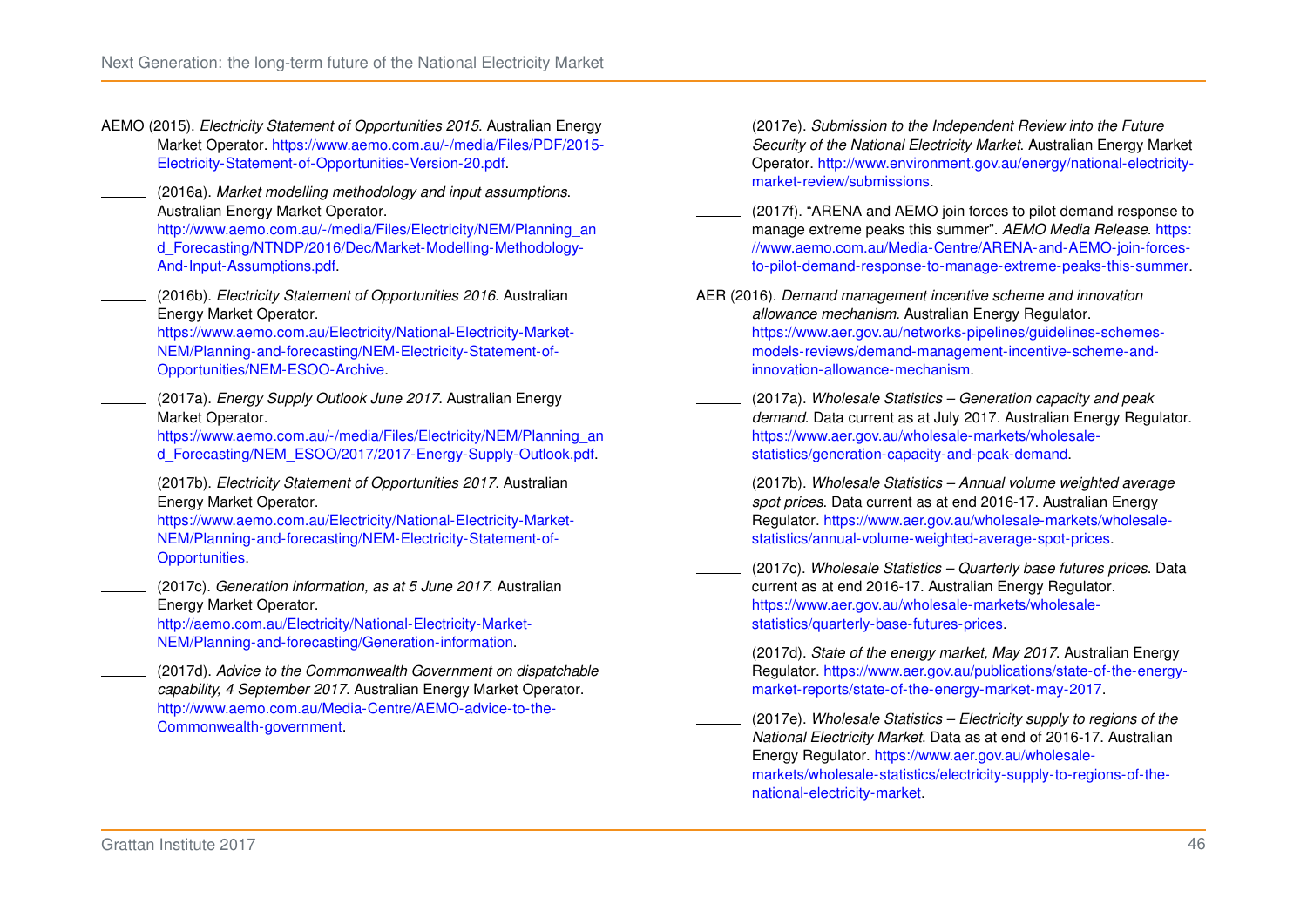<span id="page-52-12"></span>AEMO (2015). *Electricity Statement of Opportunities 2015*. Australian Energy Market Operator. [https://www.aemo.com.au/-/media/Files/PDF/2015-](https://www.aemo.com.au/-/media/Files/PDF/2015-Electricity-Statement-of-Opportunities-Version-20.pdf) [Electricity-Statement-of-Opportunities-Version-20.pdf.](https://www.aemo.com.au/-/media/Files/PDF/2015-Electricity-Statement-of-Opportunities-Version-20.pdf)

<span id="page-52-0"></span>(2016a). *Market modelling methodology and input assumptions*. Australian Energy Market Operator.

[http://www.aemo.com.au/-/media/Files/Electricity/NEM/Planning\\_an](http://www.aemo.com.au/-/media/Files/Electricity/NEM/Planning_and_Forecasting/NTNDP/2016/Dec/Market-Modelling-Methodology-And-Input-Assumptions.pdf) [d\\_Forecasting/NTNDP/2016/Dec/Market-Modelling-Methodology-](http://www.aemo.com.au/-/media/Files/Electricity/NEM/Planning_and_Forecasting/NTNDP/2016/Dec/Market-Modelling-Methodology-And-Input-Assumptions.pdf)[And-Input-Assumptions.pdf.](http://www.aemo.com.au/-/media/Files/Electricity/NEM/Planning_and_Forecasting/NTNDP/2016/Dec/Market-Modelling-Methodology-And-Input-Assumptions.pdf)

<span id="page-52-13"></span>(2016b). *Electricity Statement of Opportunities 2016*. Australian Energy Market Operator.

[https://www.aemo.com.au/Electricity/National-Electricity-Market-](https://www.aemo.com.au/Electricity/National-Electricity-Market-NEM/Planning-and-forecasting/NEM-Electricity-Statement-of-Opportunities/NEM-ESOO-Archive)[NEM/Planning-and-forecasting/NEM-Electricity-Statement-of-](https://www.aemo.com.au/Electricity/National-Electricity-Market-NEM/Planning-and-forecasting/NEM-Electricity-Statement-of-Opportunities/NEM-ESOO-Archive)[Opportunities/NEM-ESOO-Archive.](https://www.aemo.com.au/Electricity/National-Electricity-Market-NEM/Planning-and-forecasting/NEM-Electricity-Statement-of-Opportunities/NEM-ESOO-Archive)

<span id="page-52-1"></span>(2017a). *Energy Supply Outlook June 2017*. Australian Energy Market Operator.

[https://www.aemo.com.au/-/media/Files/Electricity/NEM/Planning\\_an](https://www.aemo.com.au/-/media/Files/Electricity/NEM/Planning_and_Forecasting/NEM_ESOO/2017/2017-Energy-Supply-Outlook.pdf) [d\\_Forecasting/NEM\\_ESOO/2017/2017-Energy-Supply-Outlook.pdf.](https://www.aemo.com.au/-/media/Files/Electricity/NEM/Planning_and_Forecasting/NEM_ESOO/2017/2017-Energy-Supply-Outlook.pdf)

<span id="page-52-2"></span>(2017b). *Electricity Statement of Opportunities 2017*. Australian Energy Market Operator.

[https://www.aemo.com.au/Electricity/National-Electricity-Market-](https://www.aemo.com.au/Electricity/National-Electricity-Market-NEM/Planning-and-forecasting/NEM-Electricity-Statement-of-Opportunities)[NEM/Planning-and-forecasting/NEM-Electricity-Statement-of-](https://www.aemo.com.au/Electricity/National-Electricity-Market-NEM/Planning-and-forecasting/NEM-Electricity-Statement-of-Opportunities)[Opportunities.](https://www.aemo.com.au/Electricity/National-Electricity-Market-NEM/Planning-and-forecasting/NEM-Electricity-Statement-of-Opportunities)

<span id="page-52-4"></span>(2017c). *Generation information, as at 5 June 2017*. Australian Energy Market Operator.

[http://aemo.com.au/Electricity/National-Electricity-Market-](http://aemo.com.au/Electricity/National-Electricity-Market-NEM/Planning-and-forecasting/Generation-information)[NEM/Planning-and-forecasting/Generation-information.](http://aemo.com.au/Electricity/National-Electricity-Market-NEM/Planning-and-forecasting/Generation-information)

<span id="page-52-7"></span>(2017d). *Advice to the Commonwealth Government on dispatchable capability, 4 September 2017*. Australian Energy Market Operator. [http://www.aemo.com.au/Media-Centre/AEMO-advice-to-the-](http://www.aemo.com.au/Media-Centre/AEMO-advice-to-the-Commonwealth-government)[Commonwealth-government.](http://www.aemo.com.au/Media-Centre/AEMO-advice-to-the-Commonwealth-government)

- <span id="page-52-8"></span>(2017e). *Submission to the Independent Review into the Future Security of the National Electricity Market*. Australian Energy Market Operator. [http://www.environment.gov.au/energy/national-electricity](http://www.environment.gov.au/energy/national-electricity-market-review/submissions)[market-review/submissions.](http://www.environment.gov.au/energy/national-electricity-market-review/submissions)
- <span id="page-52-11"></span>(2017f). "ARENA and AEMO join forces to pilot demand response to manage extreme peaks this summer". *AEMO Media Release*. [https:](https://www.aemo.com.au/Media-Centre/ARENA-and-AEMO-join-forces-to-pilot-demand-response-to-manage-extreme-peaks-this-summer) [//www.aemo.com.au/Media-Centre/ARENA-and-AEMO-join-forces](https://www.aemo.com.au/Media-Centre/ARENA-and-AEMO-join-forces-to-pilot-demand-response-to-manage-extreme-peaks-this-summer)[to-pilot-demand-response-to-manage-extreme-peaks-this-summer.](https://www.aemo.com.au/Media-Centre/ARENA-and-AEMO-join-forces-to-pilot-demand-response-to-manage-extreme-peaks-this-summer)
- <span id="page-52-14"></span>AER (2016). *Demand management incentive scheme and innovation allowance mechanism*. Australian Energy Regulator. [https://www.aer.gov.au/networks-pipelines/guidelines-schemes](https://www.aer.gov.au/networks-pipelines/guidelines-schemes-models-reviews/demand-management-incentive-scheme-and-innovation-allowance-mechanism)[models-reviews/demand-management-incentive-scheme-and](https://www.aer.gov.au/networks-pipelines/guidelines-schemes-models-reviews/demand-management-incentive-scheme-and-innovation-allowance-mechanism)[innovation-allowance-mechanism.](https://www.aer.gov.au/networks-pipelines/guidelines-schemes-models-reviews/demand-management-incentive-scheme-and-innovation-allowance-mechanism)
- <span id="page-52-3"></span>(2017a). *Wholesale Statistics – Generation capacity and peak demand*. Data current as at July 2017. Australian Energy Regulator. [https://www.aer.gov.au/wholesale-markets/wholesale](https://www.aer.gov.au/wholesale-markets/wholesale-statistics/generation-capacity-and-peak-demand)[statistics/generation-capacity-and-peak-demand.](https://www.aer.gov.au/wholesale-markets/wholesale-statistics/generation-capacity-and-peak-demand)
- <span id="page-52-5"></span>(2017b). *Wholesale Statistics – Annual volume weighted average spot prices*. Data current as at end 2016-17. Australian Energy Regulator. [https://www.aer.gov.au/wholesale-markets/wholesale](https://www.aer.gov.au/wholesale-markets/wholesale-statistics/annual-volume-weighted-average-spot-prices)[statistics/annual-volume-weighted-average-spot-prices.](https://www.aer.gov.au/wholesale-markets/wholesale-statistics/annual-volume-weighted-average-spot-prices)
- <span id="page-52-6"></span>(2017c). *Wholesale Statistics – Quarterly base futures prices*. Data current as at end 2016-17. Australian Energy Regulator. [https://www.aer.gov.au/wholesale-markets/wholesale](https://www.aer.gov.au/wholesale-markets/wholesale-statistics/quarterly-base-futures-prices)[statistics/quarterly-base-futures-prices.](https://www.aer.gov.au/wholesale-markets/wholesale-statistics/quarterly-base-futures-prices)
- <span id="page-52-9"></span>(2017d). *State of the energy market, May 2017*. Australian Energy Regulator. [https://www.aer.gov.au/publications/state-of-the-energy](https://www.aer.gov.au/publications/state-of-the-energy-market-reports/state-of-the-energy-market-may-2017)[market-reports/state-of-the-energy-market-may-2017.](https://www.aer.gov.au/publications/state-of-the-energy-market-reports/state-of-the-energy-market-may-2017)
- <span id="page-52-10"></span>(2017e). *Wholesale Statistics – Electricity supply to regions of the National Electricity Market*. Data as at end of 2016-17. Australian Energy Regulator. [https://www.aer.gov.au/wholesale](https://www.aer.gov.au/wholesale-markets/wholesale-statistics/electricity-supply-to-regions-of-the-national-electricity-market)[markets/wholesale-statistics/electricity-supply-to-regions-of-the](https://www.aer.gov.au/wholesale-markets/wholesale-statistics/electricity-supply-to-regions-of-the-national-electricity-market)[national-electricity-market.](https://www.aer.gov.au/wholesale-markets/wholesale-statistics/electricity-supply-to-regions-of-the-national-electricity-market)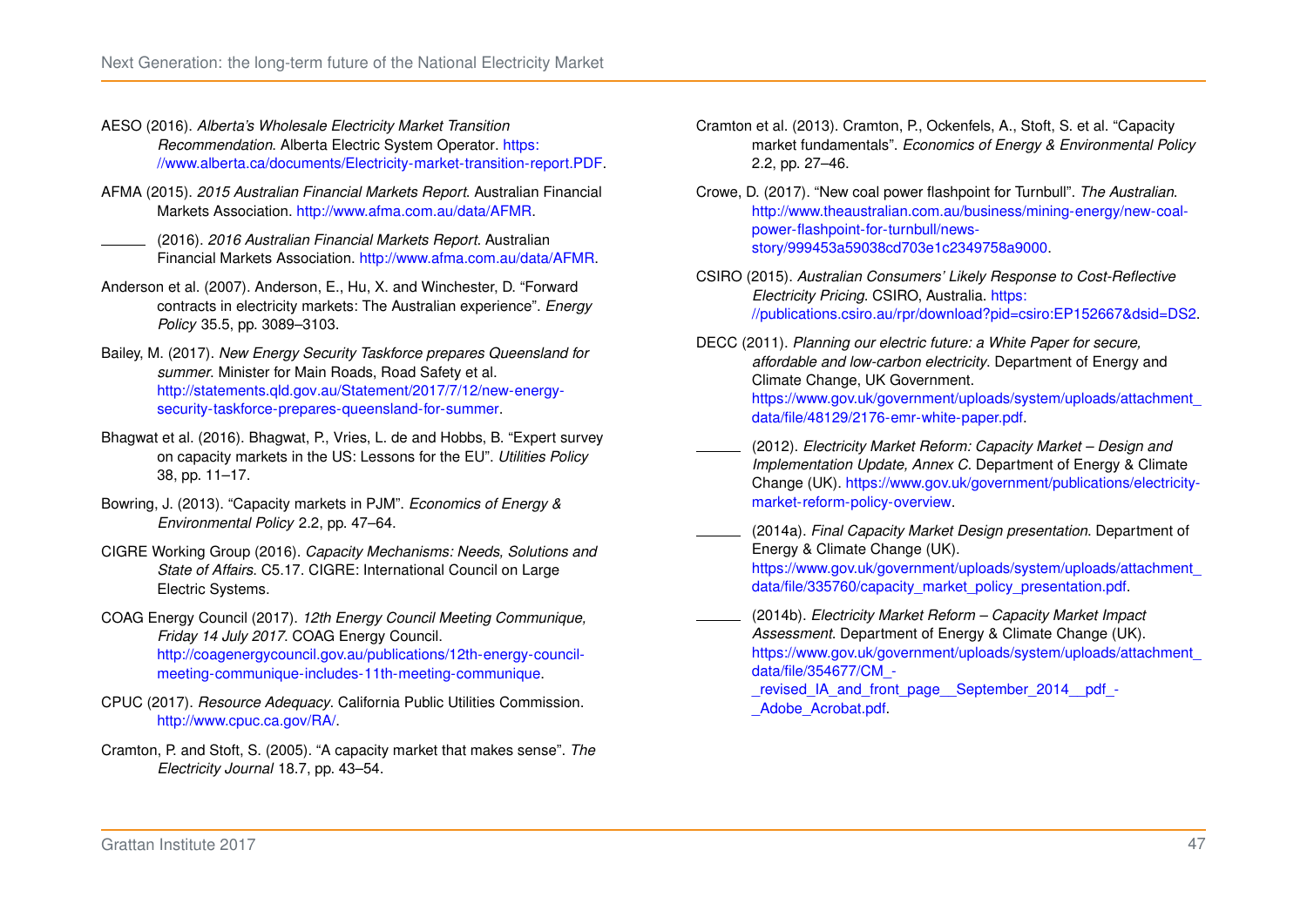- <span id="page-53-4"></span>AESO (2016). *Alberta's Wholesale Electricity Market Transition Recommendation*. Alberta Electric System Operator. [https:](https://www.alberta.ca/documents/Electricity-market-transition-report.PDF) [//www.alberta.ca/documents/Electricity-market-transition-report.PDF.](https://www.alberta.ca/documents/Electricity-market-transition-report.PDF)
- <span id="page-53-8"></span>AFMA (2015). *2015 Australian Financial Markets Report*. Australian Financial Markets Association. [http://www.afma.com.au/data/AFMR.](http://www.afma.com.au/data/AFMR)
- <span id="page-53-6"></span>(2016). *2016 Australian Financial Markets Report*. Australian Financial Markets Association. [http://www.afma.com.au/data/AFMR.](http://www.afma.com.au/data/AFMR)
- <span id="page-53-7"></span>Anderson et al. (2007). Anderson, E., Hu, X. and Winchester, D. "Forward contracts in electricity markets: The Australian experience". *Energy Policy* 35.5, pp. 3089–3103.
- <span id="page-53-0"></span>Bailey, M. (2017). *New Energy Security Taskforce prepares Queensland for summer*. Minister for Main Roads, Road Safety et al. [http://statements.qld.gov.au/Statement/2017/7/12/new-energy](http://statements.qld.gov.au/Statement/2017/7/12/new-energy-security-taskforce-prepares-queensland-for-summer)[security-taskforce-prepares-queensland-for-summer.](http://statements.qld.gov.au/Statement/2017/7/12/new-energy-security-taskforce-prepares-queensland-for-summer)
- <span id="page-53-13"></span>Bhagwat et al. (2016). Bhagwat, P., Vries, L. de and Hobbs, B. "Expert survey on capacity markets in the US: Lessons for the EU". *Utilities Policy* 38, pp. 11–17.
- <span id="page-53-14"></span>Bowring, J. (2013). "Capacity markets in PJM". *Economics of Energy & Environmental Policy* 2.2, pp. 47–64.
- <span id="page-53-5"></span>CIGRE Working Group (2016). *Capacity Mechanisms: Needs, Solutions and State of Affairs*. C5.17. CIGRE: International Council on Large Electric Systems.
- <span id="page-53-2"></span>COAG Energy Council (2017). *12th Energy Council Meeting Communique, Friday 14 July 2017*. COAG Energy Council. [http://coagenergycouncil.gov.au/publications/12th-energy-council](http://coagenergycouncil.gov.au/publications/12th-energy-council-meeting-communique-includes-11th-meeting-communique)[meeting-communique-includes-11th-meeting-communique.](http://coagenergycouncil.gov.au/publications/12th-energy-council-meeting-communique-includes-11th-meeting-communique)
- <span id="page-53-15"></span>CPUC (2017). *Resource Adequacy*. California Public Utilities Commission. [http://www.cpuc.ca.gov/RA/.](http://www.cpuc.ca.gov/RA/)
- <span id="page-53-12"></span>Cramton, P. and Stoft, S. (2005). "A capacity market that makes sense". *The Electricity Journal* 18.7, pp. 43–54.
- <span id="page-53-3"></span>Cramton et al. (2013). Cramton, P., Ockenfels, A., Stoft, S. et al. "Capacity market fundamentals". *Economics of Energy & Environmental Policy* 2.2, pp. 27–46.
- <span id="page-53-1"></span>Crowe, D. (2017). "New coal power flashpoint for Turnbull". *The Australian*. [http://www.theaustralian.com.au/business/mining-energy/new-coal](http://www.theaustralian.com.au/business/mining-energy/new-coal-power-flashpoint-for-turnbull/news-story/999453a59038cd703e1c2349758a9000)[power-flashpoint-for-turnbull/news](http://www.theaustralian.com.au/business/mining-energy/new-coal-power-flashpoint-for-turnbull/news-story/999453a59038cd703e1c2349758a9000)[story/999453a59038cd703e1c2349758a9000.](http://www.theaustralian.com.au/business/mining-energy/new-coal-power-flashpoint-for-turnbull/news-story/999453a59038cd703e1c2349758a9000)
- <span id="page-53-9"></span>CSIRO (2015). *Australian Consumers' Likely Response to Cost-Reflective Electricity Pricing*. CSIRO, Australia. [https:](https://publications.csiro.au/rpr/download?pid=csiro:EP152667&dsid=DS2) [//publications.csiro.au/rpr/download?pid=csiro:EP152667&dsid=DS2.](https://publications.csiro.au/rpr/download?pid=csiro:EP152667&dsid=DS2)
- <span id="page-53-16"></span>DECC (2011). *Planning our electric future: a White Paper for secure, affordable and low-carbon electricity*. Department of Energy and Climate Change, UK Government. [https://www.gov.uk/government/uploads/system/uploads/attachment\\_](https://www.gov.uk/government/uploads/system/uploads/attachment_data/file/48129/2176-emr-white-paper.pdf) [data/file/48129/2176-emr-white-paper.pdf.](https://www.gov.uk/government/uploads/system/uploads/attachment_data/file/48129/2176-emr-white-paper.pdf)
- <span id="page-53-17"></span>(2012). *Electricity Market Reform: Capacity Market – Design and Implementation Update, Annex C*. Department of Energy & Climate Change (UK). [https://www.gov.uk/government/publications/electricity](https://www.gov.uk/government/publications/electricity-market-reform-policy-overview)[market-reform-policy-overview.](https://www.gov.uk/government/publications/electricity-market-reform-policy-overview)
- <span id="page-53-10"></span>(2014a). *Final Capacity Market Design presentation*. Department of Energy & Climate Change (UK). [https://www.gov.uk/government/uploads/system/uploads/attachment\\_](https://www.gov.uk/government/uploads/system/uploads/attachment_data/file/335760/capacity_market_policy_presentation.pdf) [data/file/335760/capacity\\_market\\_policy\\_presentation.pdf.](https://www.gov.uk/government/uploads/system/uploads/attachment_data/file/335760/capacity_market_policy_presentation.pdf)
- <span id="page-53-11"></span>(2014b). *Electricity Market Reform – Capacity Market Impact Assessment*. Department of Energy & Climate Change (UK). [https://www.gov.uk/government/uploads/system/uploads/attachment\\_](https://www.gov.uk/government/uploads/system/uploads/attachment_data/file/354677/CM_-_revised_IA_and_front_page__September_2014__pdf_-_Adobe_Acrobat.pdf) [data/file/354677/CM\\_-](https://www.gov.uk/government/uploads/system/uploads/attachment_data/file/354677/CM_-_revised_IA_and_front_page__September_2014__pdf_-_Adobe_Acrobat.pdf) [\\_revised\\_IA\\_and\\_front\\_page\\_\\_September\\_2014\\_\\_pdf\\_-](https://www.gov.uk/government/uploads/system/uploads/attachment_data/file/354677/CM_-_revised_IA_and_front_page__September_2014__pdf_-_Adobe_Acrobat.pdf)
	- Adobe Acrobat.pdf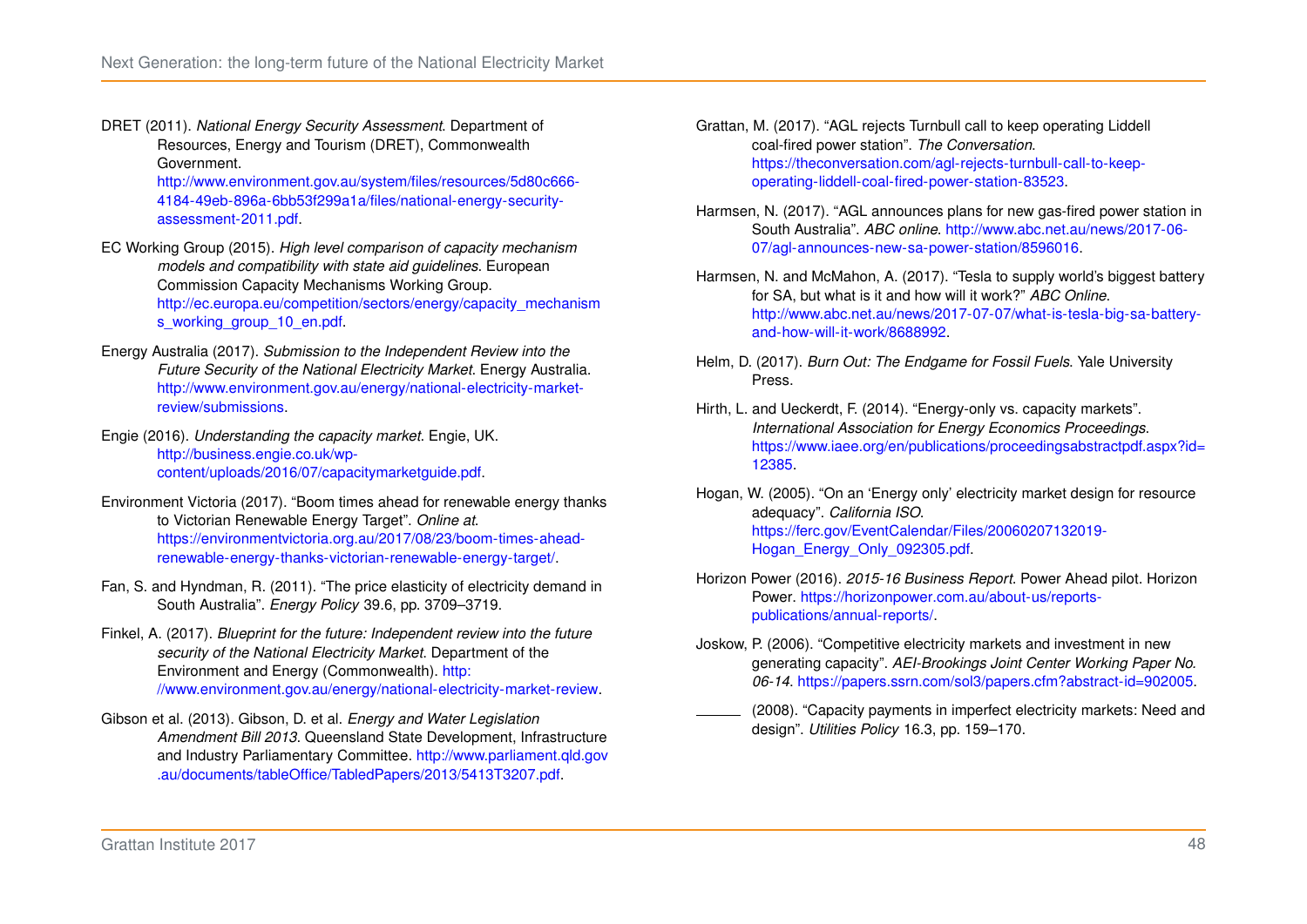<span id="page-54-12"></span>DRET (2011). *National Energy Security Assessment*. Department of Resources, Energy and Tourism (DRET), Commonwealth Government.

[http://www.environment.gov.au/system/files/resources/5d80c666-](http://www.environment.gov.au/system/files/resources/5d80c666-4184-49eb-896a-6bb53f299a1a/files/national-energy-security-assessment-2011.pdf) [4184-49eb-896a-6bb53f299a1a/files/national-energy-security](http://www.environment.gov.au/system/files/resources/5d80c666-4184-49eb-896a-6bb53f299a1a/files/national-energy-security-assessment-2011.pdf)[assessment-2011.pdf.](http://www.environment.gov.au/system/files/resources/5d80c666-4184-49eb-896a-6bb53f299a1a/files/national-energy-security-assessment-2011.pdf)

- <span id="page-54-13"></span>EC Working Group (2015). *High level comparison of capacity mechanism models and compatibility with state aid guidelines*. European Commission Capacity Mechanisms Working Group. [http://ec.europa.eu/competition/sectors/energy/capacity\\_mechanism](http://ec.europa.eu/competition/sectors/energy/capacity_mechanisms_working_group_10_en.pdf) [s\\_working\\_group\\_10\\_en.pdf.](http://ec.europa.eu/competition/sectors/energy/capacity_mechanisms_working_group_10_en.pdf)
- <span id="page-54-2"></span>Energy Australia (2017). *Submission to the Independent Review into the Future Security of the National Electricity Market*. Energy Australia. [http://www.environment.gov.au/energy/national-electricity-market](http://www.environment.gov.au/energy/national-electricity-market-review/submissions)[review/submissions.](http://www.environment.gov.au/energy/national-electricity-market-review/submissions)
- <span id="page-54-16"></span>Engie (2016). *Understanding the capacity market*. Engie, UK. [http://business.engie.co.uk/wp](http://business.engie.co.uk/wp-content/uploads/2016/07/capacitymarketguide.pdf)[content/uploads/2016/07/capacitymarketguide.pdf.](http://business.engie.co.uk/wp-content/uploads/2016/07/capacitymarketguide.pdf)
- <span id="page-54-10"></span>Environment Victoria (2017). "Boom times ahead for renewable energy thanks to Victorian Renewable Energy Target". *Online at*. [https://environmentvictoria.org.au/2017/08/23/boom-times-ahead](https://environmentvictoria.org.au/2017/08/23/boom-times-ahead-renewable-energy-thanks-victorian-renewable-energy-target/)[renewable-energy-thanks-victorian-renewable-energy-target/.](https://environmentvictoria.org.au/2017/08/23/boom-times-ahead-renewable-energy-thanks-victorian-renewable-energy-target/)
- <span id="page-54-11"></span>Fan, S. and Hyndman, R. (2011). "The price elasticity of electricity demand in South Australia". *Energy Policy* 39.6, pp. 3709–3719.
- <span id="page-54-0"></span>Finkel, A. (2017). *Blueprint for the future: Independent review into the future security of the National Electricity Market*. Department of the Environment and Energy (Commonwealth). [http:](http://www.environment.gov.au/energy/national-electricity-market-review) [//www.environment.gov.au/energy/national-electricity-market-review.](http://www.environment.gov.au/energy/national-electricity-market-review)
- <span id="page-54-7"></span>Gibson et al. (2013). Gibson, D. et al. *Energy and Water Legislation Amendment Bill 2013*. Queensland State Development, Infrastructure and Industry Parliamentary Committee. [http://www.parliament.qld.gov](http://www.parliament.qld.gov.au/documents/tableOffice/TabledPapers/2013/5413T3207.pdf) [.au/documents/tableOffice/TabledPapers/2013/5413T3207.pdf.](http://www.parliament.qld.gov.au/documents/tableOffice/TabledPapers/2013/5413T3207.pdf)
- <span id="page-54-14"></span>Grattan, M. (2017). "AGL rejects Turnbull call to keep operating Liddell coal-fired power station". *The Conversation*. [https://theconversation.com/agl-rejects-turnbull-call-to-keep](https://theconversation.com/agl-rejects-turnbull-call-to-keep-operating-liddell-coal-fired-power-station-83523)[operating-liddell-coal-fired-power-station-83523.](https://theconversation.com/agl-rejects-turnbull-call-to-keep-operating-liddell-coal-fired-power-station-83523)
- <span id="page-54-1"></span>Harmsen, N. (2017). "AGL announces plans for new gas-fired power station in South Australia". *ABC online*. [http://www.abc.net.au/news/2017-06-](http://www.abc.net.au/news/2017-06-07/agl-announces-new-sa-power-station/8596016) [07/agl-announces-new-sa-power-station/8596016.](http://www.abc.net.au/news/2017-06-07/agl-announces-new-sa-power-station/8596016)
- <span id="page-54-9"></span>Harmsen, N. and McMahon, A. (2017). "Tesla to supply world's biggest battery for SA, but what is it and how will it work?" *ABC Online*. [http://www.abc.net.au/news/2017-07-07/what-is-tesla-big-sa-battery](http://www.abc.net.au/news/2017-07-07/what-is-tesla-big-sa-battery-and-how-will-it-work/8688992)[and-how-will-it-work/8688992.](http://www.abc.net.au/news/2017-07-07/what-is-tesla-big-sa-battery-and-how-will-it-work/8688992)
- <span id="page-54-8"></span>Helm, D. (2017). *Burn Out: The Endgame for Fossil Fuels*. Yale University Press.
- <span id="page-54-6"></span>Hirth, L. and Ueckerdt, F. (2014). "Energy-only vs. capacity markets". *International Association for Energy Economics Proceedings*. [https://www.iaee.org/en/publications/proceedingsabstractpdf.aspx?id=](https://www.iaee.org/en/publications/proceedingsabstractpdf.aspx?id=12385) [12385.](https://www.iaee.org/en/publications/proceedingsabstractpdf.aspx?id=12385)
- <span id="page-54-3"></span>Hogan, W. (2005). "On an 'Energy only' electricity market design for resource adequacy". *California ISO*. [https://ferc.gov/EventCalendar/Files/20060207132019-](https://ferc.gov/EventCalendar/Files/20060207132019-Hogan_Energy_Only_092305.pdf) [Hogan\\_Energy\\_Only\\_092305.pdf.](https://ferc.gov/EventCalendar/Files/20060207132019-Hogan_Energy_Only_092305.pdf)
- <span id="page-54-15"></span>Horizon Power (2016). *2015-16 Business Report*. Power Ahead pilot. Horizon Power. [https://horizonpower.com.au/about-us/reports](https://horizonpower.com.au/about-us/reports-publications/annual-reports/)[publications/annual-reports/.](https://horizonpower.com.au/about-us/reports-publications/annual-reports/)
- <span id="page-54-5"></span><span id="page-54-4"></span>Joskow, P. (2006). "Competitive electricity markets and investment in new generating capacity". *AEI-Brookings Joint Center Working Paper No. 06-14*. [https://papers.ssrn.com/sol3/papers.cfm?abstract-id=902005.](https://papers.ssrn.com/sol3/papers.cfm?abstract-id=902005)
	- (2008). "Capacity payments in imperfect electricity markets: Need and design". *Utilities Policy* 16.3, pp. 159–170.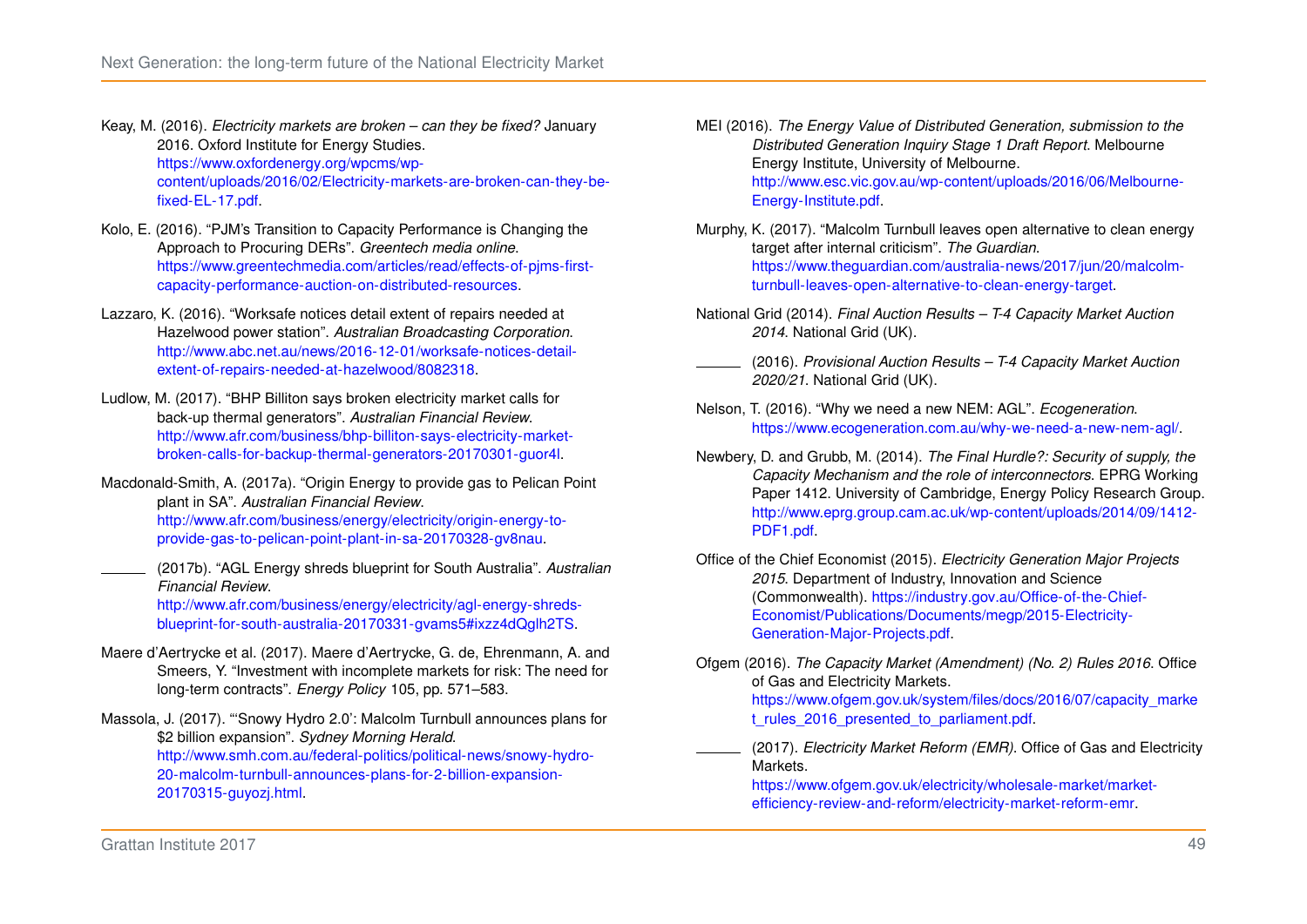- <span id="page-55-4"></span>Keay, M. (2016). *Electricity markets are broken – can they be fixed?* January 2016. Oxford Institute for Energy Studies. [https://www.oxfordenergy.org/wpcms/wp](https://www.oxfordenergy.org/wpcms/wp-content/uploads/2016/02/Electricity-markets-are-broken-can-they-be-fixed-EL-17.pdf)[content/uploads/2016/02/Electricity-markets-are-broken-can-they-be](https://www.oxfordenergy.org/wpcms/wp-content/uploads/2016/02/Electricity-markets-are-broken-can-they-be-fixed-EL-17.pdf)[fixed-EL-17.pdf.](https://www.oxfordenergy.org/wpcms/wp-content/uploads/2016/02/Electricity-markets-are-broken-can-they-be-fixed-EL-17.pdf)
- <span id="page-55-13"></span>Kolo, E. (2016). "PJM's Transition to Capacity Performance is Changing the Approach to Procuring DERs". *Greentech media online*. [https://www.greentechmedia.com/articles/read/effects-of-pjms-first](https://www.greentechmedia.com/articles/read/effects-of-pjms-first-capacity-performance-auction-on-distributed-resources)[capacity-performance-auction-on-distributed-resources.](https://www.greentechmedia.com/articles/read/effects-of-pjms-first-capacity-performance-auction-on-distributed-resources)
- <span id="page-55-10"></span>Lazzaro, K. (2016). "Worksafe notices detail extent of repairs needed at Hazelwood power station". *Australian Broadcasting Corporation*. [http://www.abc.net.au/news/2016-12-01/worksafe-notices-detail](http://www.abc.net.au/news/2016-12-01/worksafe-notices-detail-extent-of-repairs-needed-at-hazelwood/8082318)[extent-of-repairs-needed-at-hazelwood/8082318.](http://www.abc.net.au/news/2016-12-01/worksafe-notices-detail-extent-of-repairs-needed-at-hazelwood/8082318)
- <span id="page-55-0"></span>Ludlow, M. (2017). "BHP Billiton says broken electricity market calls for back-up thermal generators". *Australian Financial Review*. [http://www.afr.com/business/bhp-billiton-says-electricity-market](http://www.afr.com/business/bhp-billiton-says-electricity-market-broken-calls-for-backup-thermal-generators-20170301-guor4l)[broken-calls-for-backup-thermal-generators-20170301-guor4l.](http://www.afr.com/business/bhp-billiton-says-electricity-market-broken-calls-for-backup-thermal-generators-20170301-guor4l)
- <span id="page-55-8"></span>Macdonald-Smith, A. (2017a). "Origin Energy to provide gas to Pelican Point plant in SA". *Australian Financial Review*. [http://www.afr.com/business/energy/electricity/origin-energy-to](http://www.afr.com/business/energy/electricity/origin-energy-to-provide-gas-to-pelican-point-plant-in-sa-20170328-gv8nau)[provide-gas-to-pelican-point-plant-in-sa-20170328-gv8nau.](http://www.afr.com/business/energy/electricity/origin-energy-to-provide-gas-to-pelican-point-plant-in-sa-20170328-gv8nau)
- <span id="page-55-12"></span>(2017b). "AGL Energy shreds blueprint for South Australia". *Australian Financial Review*. [http://www.afr.com/business/energy/electricity/agl-energy-shreds](http://www.afr.com/business/energy/electricity/agl-energy-shreds-blueprint-for-south-australia-20170331-gvams5#ixzz4dQglh2TS)[blueprint-for-south-australia-20170331-gvams5#ixzz4dQglh2TS.](http://www.afr.com/business/energy/electricity/agl-energy-shreds-blueprint-for-south-australia-20170331-gvams5#ixzz4dQglh2TS)
- <span id="page-55-6"></span>Maere d'Aertrycke et al. (2017). Maere d'Aertrycke, G. de, Ehrenmann, A. and Smeers, Y. "Investment with incomplete markets for risk: The need for long-term contracts". *Energy Policy* 105, pp. 571–583.

<span id="page-55-2"></span>Massola, J. (2017). "'Snowy Hydro 2.0': Malcolm Turnbull announces plans for \$2 billion expansion". *Sydney Morning Herald*. [http://www.smh.com.au/federal-politics/political-news/snowy-hydro-](http://www.smh.com.au/federal-politics/political-news/snowy-hydro-20-malcolm-turnbull-announces-plans-for-2-billion-expansion-20170315-guyozj.html)[20-malcolm-turnbull-announces-plans-for-2-billion-expansion-](http://www.smh.com.au/federal-politics/political-news/snowy-hydro-20-malcolm-turnbull-announces-plans-for-2-billion-expansion-20170315-guyozj.html)[20170315-guyozj.html.](http://www.smh.com.au/federal-politics/political-news/snowy-hydro-20-malcolm-turnbull-announces-plans-for-2-billion-expansion-20170315-guyozj.html)

- <span id="page-55-5"></span>MEI (2016). *The Energy Value of Distributed Generation, submission to the Distributed Generation Inquiry Stage 1 Draft Report*. Melbourne Energy Institute, University of Melbourne. [http://www.esc.vic.gov.au/wp-content/uploads/2016/06/Melbourne-](http://www.esc.vic.gov.au/wp-content/uploads/2016/06/Melbourne-Energy-Institute.pdf)[Energy-Institute.pdf.](http://www.esc.vic.gov.au/wp-content/uploads/2016/06/Melbourne-Energy-Institute.pdf)
- <span id="page-55-11"></span>Murphy, K. (2017). "Malcolm Turnbull leaves open alternative to clean energy target after internal criticism". *The Guardian*. [https://www.theguardian.com/australia-news/2017/jun/20/malcolm](https://www.theguardian.com/australia-news/2017/jun/20/malcolm-turnbull-leaves-open-alternative-to-clean-energy-target)[turnbull-leaves-open-alternative-to-clean-energy-target.](https://www.theguardian.com/australia-news/2017/jun/20/malcolm-turnbull-leaves-open-alternative-to-clean-energy-target)
- <span id="page-55-16"></span><span id="page-55-14"></span>National Grid (2014). *Final Auction Results – T-4 Capacity Market Auction 2014*. National Grid (UK).
	- (2016). *Provisional Auction Results T-4 Capacity Market Auction 2020/21*. National Grid (UK).
- <span id="page-55-1"></span>Nelson, T. (2016). "Why we need a new NEM: AGL". *Ecogeneration*. [https://www.ecogeneration.com.au/why-we-need-a-new-nem-agl/.](https://www.ecogeneration.com.au/why-we-need-a-new-nem-agl/)
- <span id="page-55-3"></span>Newbery, D. and Grubb, M. (2014). *The Final Hurdle?: Security of supply, the Capacity Mechanism and the role of interconnectors*. EPRG Working Paper 1412. University of Cambridge, Energy Policy Research Group. [http://www.eprg.group.cam.ac.uk/wp-content/uploads/2014/09/1412-](http://www.eprg.group.cam.ac.uk/wp-content/uploads/2014/09/1412-PDF1.pdf) [PDF1.pdf.](http://www.eprg.group.cam.ac.uk/wp-content/uploads/2014/09/1412-PDF1.pdf)
- <span id="page-55-7"></span>Office of the Chief Economist (2015). *Electricity Generation Major Projects 2015*. Department of Industry, Innovation and Science (Commonwealth). [https://industry.gov.au/Office-of-the-Chief-](https://industry.gov.au/Office-of-the-Chief-Economist/Publications/Documents/megp/2015-Electricity-Generation-Major-Projects.pdf)[Economist/Publications/Documents/megp/2015-Electricity-](https://industry.gov.au/Office-of-the-Chief-Economist/Publications/Documents/megp/2015-Electricity-Generation-Major-Projects.pdf)[Generation-Major-Projects.pdf.](https://industry.gov.au/Office-of-the-Chief-Economist/Publications/Documents/megp/2015-Electricity-Generation-Major-Projects.pdf)
- <span id="page-55-15"></span>Ofgem (2016). *The Capacity Market (Amendment) (No. 2) Rules 2016*. Office of Gas and Electricity Markets. [https://www.ofgem.gov.uk/system/files/docs/2016/07/capacity\\_marke](https://www.ofgem.gov.uk/system/files/docs/2016/07/capacity_market_rules_2016_presented_to_parliament.pdf) [t\\_rules\\_2016\\_presented\\_to\\_parliament.pdf.](https://www.ofgem.gov.uk/system/files/docs/2016/07/capacity_market_rules_2016_presented_to_parliament.pdf)
	- (2017). *Electricity Market Reform (EMR)*. Office of Gas and Electricity Markets.

<span id="page-55-9"></span>[https://www.ofgem.gov.uk/electricity/wholesale-market/market](https://www.ofgem.gov.uk/electricity/wholesale-market/market-efficiency-review-and-reform/electricity-market-reform-emr)[efficiency-review-and-reform/electricity-market-reform-emr.](https://www.ofgem.gov.uk/electricity/wholesale-market/market-efficiency-review-and-reform/electricity-market-reform-emr)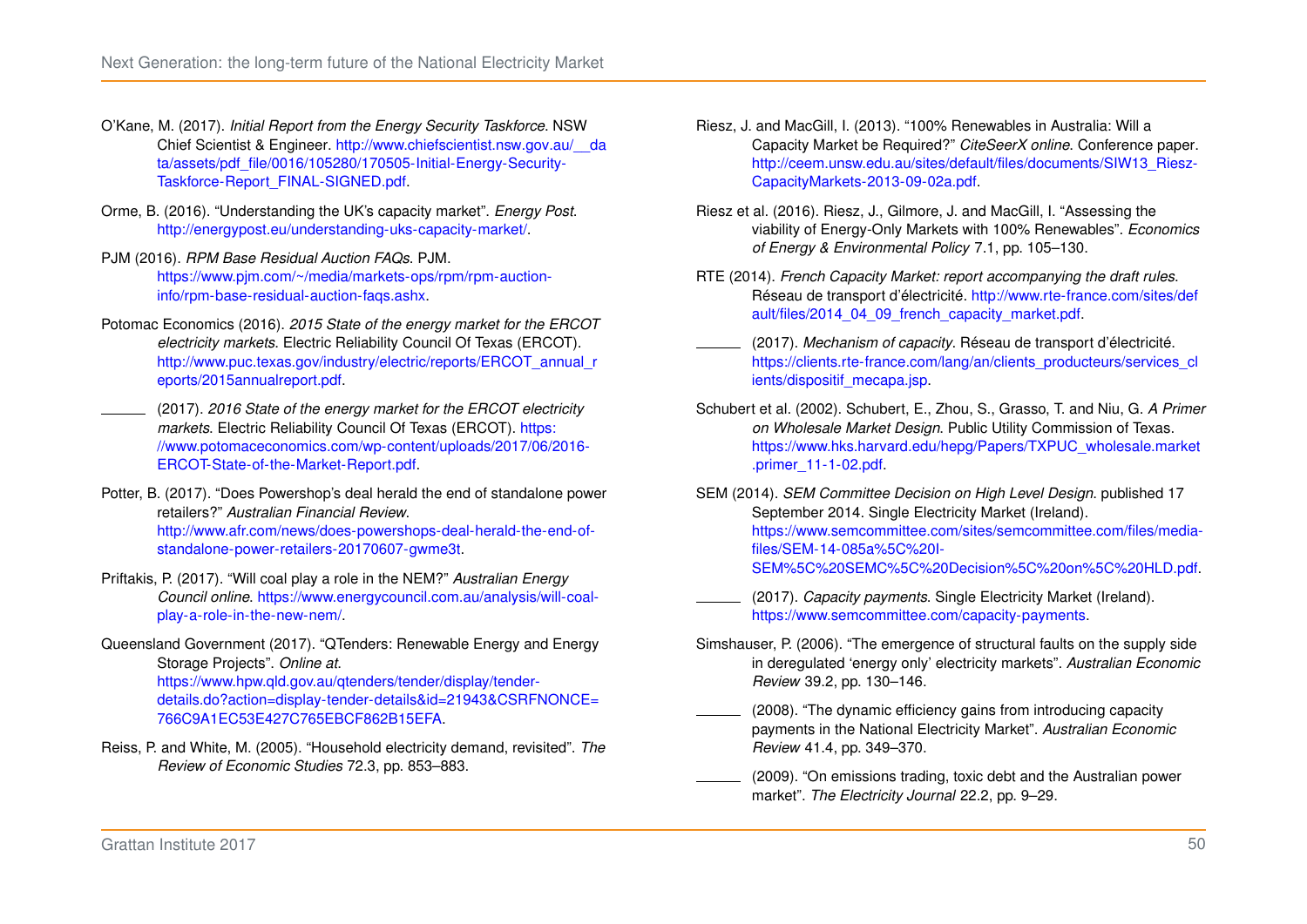- <span id="page-56-9"></span>O'Kane, M. (2017). *Initial Report from the Energy Security Taskforce*. NSW Chief Scientist & Engineer. [http://www.chiefscientist.nsw.gov.au/\\_\\_da](http://www.chiefscientist.nsw.gov.au/__data/assets/pdf_file/0016/105280/170505-Initial-Energy-Security-Taskforce-Report_FINAL-SIGNED.pdf) [ta/assets/pdf\\_file/0016/105280/170505-Initial-Energy-Security-](http://www.chiefscientist.nsw.gov.au/__data/assets/pdf_file/0016/105280/170505-Initial-Energy-Security-Taskforce-Report_FINAL-SIGNED.pdf)[Taskforce-Report\\_FINAL-SIGNED.pdf.](http://www.chiefscientist.nsw.gov.au/__data/assets/pdf_file/0016/105280/170505-Initial-Energy-Security-Taskforce-Report_FINAL-SIGNED.pdf)
- <span id="page-56-16"></span>Orme, B. (2016). "Understanding the UK's capacity market". *Energy Post*. [http://energypost.eu/understanding-uks-capacity-market/.](http://energypost.eu/understanding-uks-capacity-market/)
- <span id="page-56-15"></span>PJM (2016). *RPM Base Residual Auction FAQs*. PJM. [https://www.pjm.com/~/media/markets-ops/rpm/rpm-auction](https://www.pjm.com/~/media/markets-ops/rpm/rpm-auction-info/rpm-base-residual-auction-faqs.ashx)[info/rpm-base-residual-auction-faqs.ashx.](https://www.pjm.com/~/media/markets-ops/rpm/rpm-auction-info/rpm-base-residual-auction-faqs.ashx)
- <span id="page-56-12"></span>Potomac Economics (2016). *2015 State of the energy market for the ERCOT electricity markets*. Electric Reliability Council Of Texas (ERCOT). [http://www.puc.texas.gov/industry/electric/reports/ERCOT\\_annual\\_r](http://www.puc.texas.gov/industry/electric/reports/ERCOT_annual_reports/2015annualreport.pdf) [eports/2015annualreport.pdf.](http://www.puc.texas.gov/industry/electric/reports/ERCOT_annual_reports/2015annualreport.pdf)
- <span id="page-56-13"></span>(2017). *2016 State of the energy market for the ERCOT electricity markets*. Electric Reliability Council Of Texas (ERCOT). [https:](https://www.potomaceconomics.com/wp-content/uploads/2017/06/2016-ERCOT-State-of-the-Market-Report.pdf) [//www.potomaceconomics.com/wp-content/uploads/2017/06/2016-](https://www.potomaceconomics.com/wp-content/uploads/2017/06/2016-ERCOT-State-of-the-Market-Report.pdf) [ERCOT-State-of-the-Market-Report.pdf.](https://www.potomaceconomics.com/wp-content/uploads/2017/06/2016-ERCOT-State-of-the-Market-Report.pdf)
- <span id="page-56-6"></span>Potter, B. (2017). "Does Powershop's deal herald the end of standalone power retailers?" *Australian Financial Review*. [http://www.afr.com/news/does-powershops-deal-herald-the-end-of](http://www.afr.com/news/does-powershops-deal-herald-the-end-of-standalone-power-retailers-20170607-gwme3t)[standalone-power-retailers-20170607-gwme3t.](http://www.afr.com/news/does-powershops-deal-herald-the-end-of-standalone-power-retailers-20170607-gwme3t)
- <span id="page-56-0"></span>Priftakis, P. (2017). "Will coal play a role in the NEM?" *Australian Energy Council online*. [https://www.energycouncil.com.au/analysis/will-coal](https://www.energycouncil.com.au/analysis/will-coal-play-a-role-in-the-new-nem/)[play-a-role-in-the-new-nem/.](https://www.energycouncil.com.au/analysis/will-coal-play-a-role-in-the-new-nem/)
- <span id="page-56-7"></span>Queensland Government (2017). "QTenders: Renewable Energy and Energy Storage Projects". *Online at*. [https://www.hpw.qld.gov.au/qtenders/tender/display/tender](https://www.hpw.qld.gov.au/qtenders/tender/display/tender-details.do?action=display-tender-details&id=21943&CSRFNONCE=766C9A1EC53E427C765EBCF862B15EFA)[details.do?action=display-tender-details&id=21943&CSRFNONCE=](https://www.hpw.qld.gov.au/qtenders/tender/display/tender-details.do?action=display-tender-details&id=21943&CSRFNONCE=766C9A1EC53E427C765EBCF862B15EFA) [766C9A1EC53E427C765EBCF862B15EFA.](https://www.hpw.qld.gov.au/qtenders/tender/display/tender-details.do?action=display-tender-details&id=21943&CSRFNONCE=766C9A1EC53E427C765EBCF862B15EFA)
- <span id="page-56-8"></span>Reiss, P. and White, M. (2005). "Household electricity demand, revisited". *The Review of Economic Studies* 72.3, pp. 853–883.
- <span id="page-56-2"></span>Riesz, J. and MacGill, I. (2013). "100% Renewables in Australia: Will a Capacity Market be Required?" *CiteSeerX online*. Conference paper. [http://ceem.unsw.edu.au/sites/default/files/documents/SIW13\\_Riesz-](http://ceem.unsw.edu.au/sites/default/files/documents/SIW13_Riesz-CapacityMarkets-2013-09-02a.pdf)[CapacityMarkets-2013-09-02a.pdf.](http://ceem.unsw.edu.au/sites/default/files/documents/SIW13_Riesz-CapacityMarkets-2013-09-02a.pdf)
- <span id="page-56-5"></span>Riesz et al. (2016). Riesz, J., Gilmore, J. and MacGill, I. "Assessing the viability of Energy-Only Markets with 100% Renewables". *Economics of Energy & Environmental Policy* 7.1, pp. 105–130.
- <span id="page-56-14"></span>RTE (2014). *French Capacity Market: report accompanying the draft rules*. Réseau de transport d'électricité. [http://www.rte-france.com/sites/def](http://www.rte-france.com/sites/default/files/2014_04_09_french_capacity_market.pdf) [ault/files/2014\\_04\\_09\\_french\\_capacity\\_market.pdf.](http://www.rte-france.com/sites/default/files/2014_04_09_french_capacity_market.pdf)
- <span id="page-56-11"></span>(2017). *Mechanism of capacity*. Réseau de transport d'électricité. [https://clients.rte-france.com/lang/an/clients\\_producteurs/services\\_cl](https://clients.rte-france.com/lang/an/clients_producteurs/services_clients/dispositif_mecapa.jsp) [ients/dispositif\\_mecapa.jsp.](https://clients.rte-france.com/lang/an/clients_producteurs/services_clients/dispositif_mecapa.jsp)
- <span id="page-56-10"></span>Schubert et al. (2002). Schubert, E., Zhou, S., Grasso, T. and Niu, G. *A Primer on Wholesale Market Design*. Public Utility Commission of Texas. [https://www.hks.harvard.edu/hepg/Papers/TXPUC\\_wholesale.market](https://www.hks.harvard.edu/hepg/Papers/TXPUC_wholesale.market.primer_11-1-02.pdf) [.primer\\_11-1-02.pdf.](https://www.hks.harvard.edu/hepg/Papers/TXPUC_wholesale.market.primer_11-1-02.pdf)
- <span id="page-56-18"></span>SEM (2014). *SEM Committee Decision on High Level Design*. published 17 September 2014. Single Electricity Market (Ireland). [https://www.semcommittee.com/sites/semcommittee.com/files/media](https://www.semcommittee.com/sites/semcommittee.com/files/media-files/SEM-14-085a%5C%20I-SEM%5C%20SEMC%5C%20Decision%5C%20on%5C%20HLD.pdf)[files/SEM-14-085a%5C%20I-](https://www.semcommittee.com/sites/semcommittee.com/files/media-files/SEM-14-085a%5C%20I-SEM%5C%20SEMC%5C%20Decision%5C%20on%5C%20HLD.pdf)[SEM%5C%20SEMC%5C%20Decision%5C%20on%5C%20HLD.pdf.](https://www.semcommittee.com/sites/semcommittee.com/files/media-files/SEM-14-085a%5C%20I-SEM%5C%20SEMC%5C%20Decision%5C%20on%5C%20HLD.pdf)
- <span id="page-56-17"></span>(2017). *Capacity payments*. Single Electricity Market (Ireland). [https://www.semcommittee.com/capacity-payments.](https://www.semcommittee.com/capacity-payments)
- <span id="page-56-4"></span>Simshauser, P. (2006). "The emergence of structural faults on the supply side in deregulated 'energy only' electricity markets". *Australian Economic Review* 39.2, pp. 130–146.
- <span id="page-56-1"></span>(2008). "The dynamic efficiency gains from introducing capacity payments in the National Electricity Market". *Australian Economic Review* 41.4, pp. 349–370.
- <span id="page-56-3"></span>(2009). "On emissions trading, toxic debt and the Australian power market". *The Electricity Journal* 22.2, pp. 9–29.